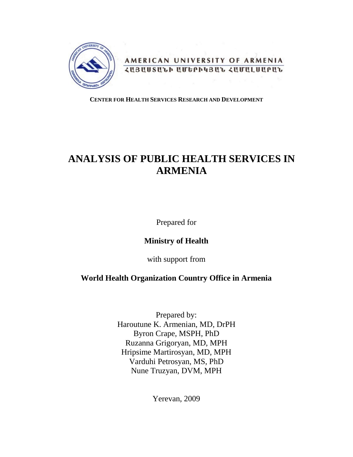

AMERICAN UNIVERSITY OF ARMENIA *<u>ZUBUUSULA UUEPAHBUL ZUUULUUPUL</u>* 

## **CENTER FOR HEALTH SERVICES RESEARCH AND DEVELOPMENT**

# **ANALYSIS OF PUBLIC HEALTH SERVICES IN ARMENIA**

Prepared for

## **Ministry of Health**

with support from

## **World Health Organization Country Office in Armenia**

Prepared by: Haroutune K. Armenian, MD, DrPH Byron Crape, MSPH, PhD Ruzanna Grigoryan, MD, MPH Hripsime Martirosyan, MD, MPH Varduhi Petrosyan, MS, PhD Nune Truzyan, DVM, MPH

Yerevan, 2009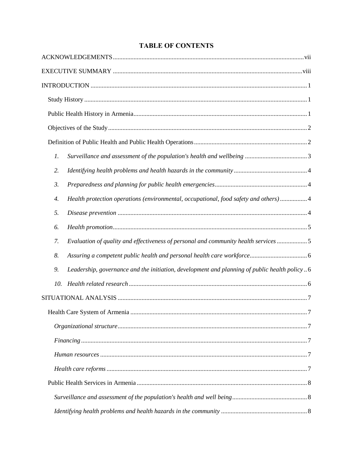## **TABLE OF CONTENTS**

| $\mathfrak{1}.$ |                                                                                              |
|-----------------|----------------------------------------------------------------------------------------------|
| 2.              |                                                                                              |
| 3.              |                                                                                              |
| 4.              | Health protection operations (environmental, occupational, food safety and others)4          |
| 5.              |                                                                                              |
| 6.              |                                                                                              |
| 7.              | Evaluation of quality and effectiveness of personal and community health services 5          |
| 8.              |                                                                                              |
| 9.              | Leadership, governance and the initiation, development and planning of public health policy6 |
| 10.             |                                                                                              |
|                 |                                                                                              |
|                 |                                                                                              |
|                 |                                                                                              |
|                 |                                                                                              |
|                 |                                                                                              |
|                 |                                                                                              |
|                 |                                                                                              |
|                 |                                                                                              |
|                 |                                                                                              |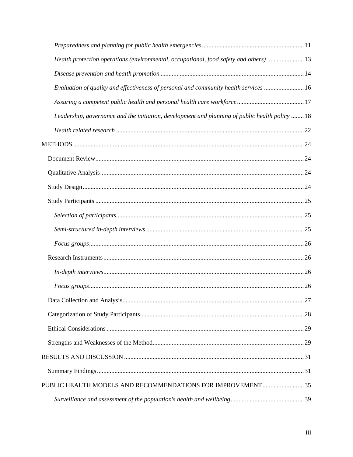| Health protection operations (environmental, occupational, food safety and others)  13          |  |
|-------------------------------------------------------------------------------------------------|--|
|                                                                                                 |  |
| Evaluation of quality and effectiveness of personal and community health services  16           |  |
|                                                                                                 |  |
| Leadership, governance and the initiation, development and planning of public health policy  18 |  |
|                                                                                                 |  |
|                                                                                                 |  |
|                                                                                                 |  |
|                                                                                                 |  |
|                                                                                                 |  |
|                                                                                                 |  |
|                                                                                                 |  |
|                                                                                                 |  |
|                                                                                                 |  |
|                                                                                                 |  |
|                                                                                                 |  |
|                                                                                                 |  |
|                                                                                                 |  |
|                                                                                                 |  |
|                                                                                                 |  |
|                                                                                                 |  |
|                                                                                                 |  |
|                                                                                                 |  |
| PUBLIC HEALTH MODELS AND RECOMMENDATIONS FOR IMPROVEMENT 35                                     |  |
|                                                                                                 |  |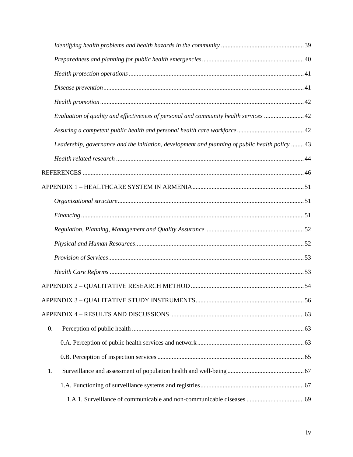|                  | Evaluation of quality and effectiveness of personal and community health services 42            |  |
|------------------|-------------------------------------------------------------------------------------------------|--|
|                  |                                                                                                 |  |
|                  | Leadership, governance and the initiation, development and planning of public health policy  43 |  |
|                  |                                                                                                 |  |
|                  |                                                                                                 |  |
|                  |                                                                                                 |  |
|                  |                                                                                                 |  |
|                  |                                                                                                 |  |
|                  |                                                                                                 |  |
|                  |                                                                                                 |  |
|                  |                                                                                                 |  |
|                  |                                                                                                 |  |
|                  |                                                                                                 |  |
|                  |                                                                                                 |  |
|                  |                                                                                                 |  |
| $\overline{0}$ . |                                                                                                 |  |
|                  |                                                                                                 |  |
|                  |                                                                                                 |  |
| 1.               |                                                                                                 |  |
|                  |                                                                                                 |  |
|                  |                                                                                                 |  |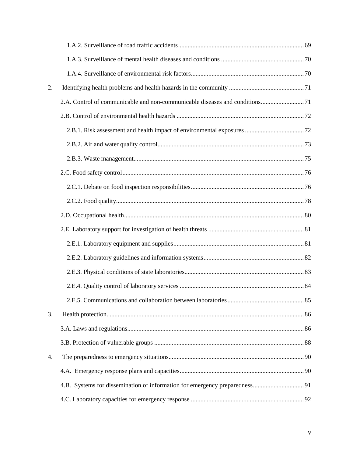| 2. |  |
|----|--|
|    |  |
|    |  |
|    |  |
|    |  |
|    |  |
|    |  |
|    |  |
|    |  |
|    |  |
|    |  |
|    |  |
|    |  |
|    |  |
|    |  |
|    |  |
| 3. |  |
|    |  |
|    |  |
| 4. |  |
|    |  |
|    |  |
|    |  |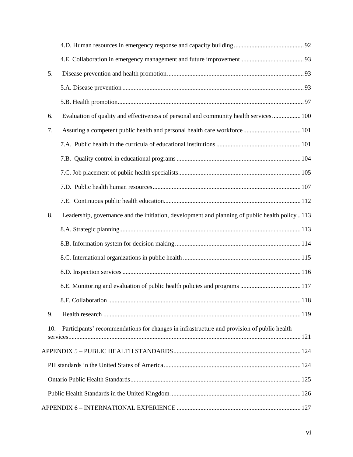| 5.  |                                                                                                |  |
|-----|------------------------------------------------------------------------------------------------|--|
|     |                                                                                                |  |
|     |                                                                                                |  |
| 6.  | Evaluation of quality and effectiveness of personal and community health services 100          |  |
| 7.  |                                                                                                |  |
|     |                                                                                                |  |
|     |                                                                                                |  |
|     |                                                                                                |  |
|     |                                                                                                |  |
|     |                                                                                                |  |
| 8.  | Leadership, governance and the initiation, development and planning of public health policy113 |  |
|     |                                                                                                |  |
|     |                                                                                                |  |
|     |                                                                                                |  |
|     |                                                                                                |  |
|     |                                                                                                |  |
|     |                                                                                                |  |
| 9.  |                                                                                                |  |
| 10. | Participants' recommendations for changes in infrastructure and provision of public health     |  |
|     |                                                                                                |  |
|     |                                                                                                |  |
|     |                                                                                                |  |
|     |                                                                                                |  |
|     |                                                                                                |  |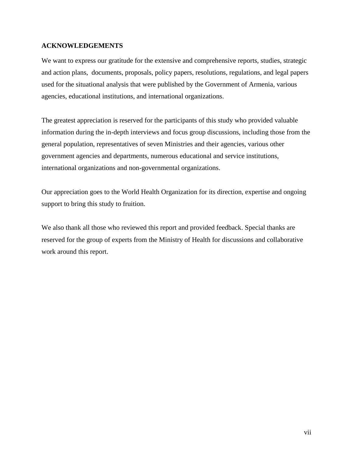## <span id="page-6-0"></span>**ACKNOWLEDGEMENTS**

We want to express our gratitude for the extensive and comprehensive reports, studies, strategic and action plans, documents, proposals, policy papers, resolutions, regulations, and legal papers used for the situational analysis that were published by the Government of Armenia, various agencies, educational institutions, and international organizations.

The greatest appreciation is reserved for the participants of this study who provided valuable information during the in-depth interviews and focus group discussions, including those from the general population, representatives of seven Ministries and their agencies, various other government agencies and departments, numerous educational and service institutions, international organizations and non-governmental organizations.

Our appreciation goes to the World Health Organization for its direction, expertise and ongoing support to bring this study to fruition.

We also thank all those who reviewed this report and provided feedback. Special thanks are reserved for the group of experts from the Ministry of Health for discussions and collaborative work around this report.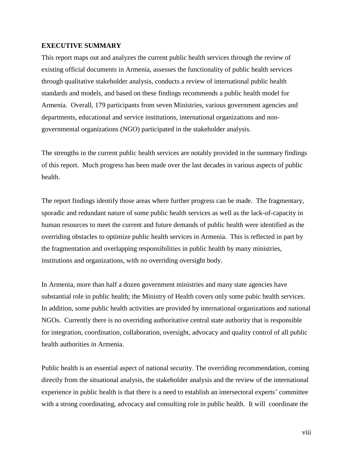## <span id="page-7-0"></span>**EXECUTIVE SUMMARY**

This report maps out and analyzes the current public health services through the review of existing official documents in Armenia, assesses the functionality of public health services through qualitative stakeholder analysis, conducts a review of international public health standards and models, and based on these findings recommends a public health model for Armenia. Overall, 179 participants from seven Ministries, various government agencies and departments, educational and service institutions, international organizations and nongovernmental organizations (NGO) participated in the stakeholder analysis.

The strengths in the current public health services are notably provided in the summary findings of this report. Much progress has been made over the last decades in various aspects of public health.

The report findings identify those areas where further progress can be made. The fragmentary, sporadic and redundant nature of some public health services as well as the lack-of-capacity in human resources to meet the current and future demands of public health were identified as the overriding obstacles to optimize public health services in Armenia. This is reflected in part by the fragmentation and overlapping responsibilities in public health by many ministries, institutions and organizations, with no overriding oversight body.

In Armenia, more than half a dozen government ministries and many state agencies have substantial role in public health; the Ministry of Health covers only some pubic health services. In addition, some public health activities are provided by international organizations and national NGOs. Currently there is no overriding authoritative central state authority that is responsible for integration, coordination, collaboration, oversight, advocacy and quality control of all public health authorities in Armenia.

Public health is an essential aspect of national security. The overriding recommendation, coming directly from the situational analysis, the stakeholder analysis and the review of the international experience in public health is that there is a need to establish an intersectoral experts' committee with a strong coordinating, advocacy and consulting role in public health. It will coordinate the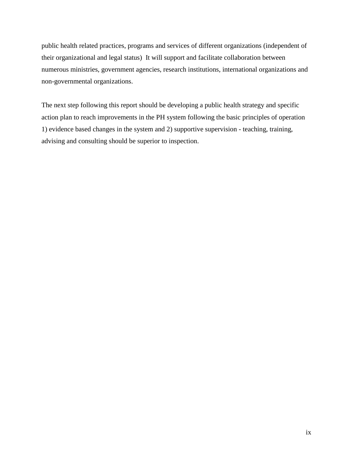public health related practices, programs and services of different organizations (independent of their organizational and legal status) It will support and facilitate collaboration between numerous ministries, government agencies, research institutions, international organizations and non-governmental organizations.

The next step following this report should be developing a public health strategy and specific action plan to reach improvements in the PH system following the basic principles of operation 1) evidence based changes in the system and 2) supportive supervision - teaching, training, advising and consulting should be superior to inspection.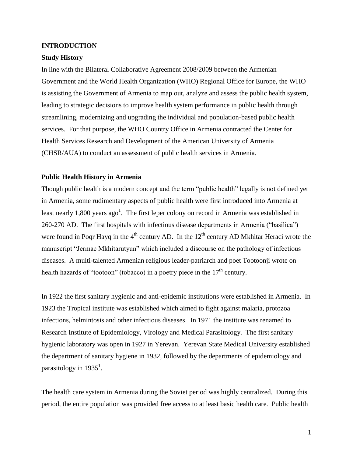#### <span id="page-9-0"></span>**INTRODUCTION**

### <span id="page-9-1"></span>**Study History**

In line with the Bilateral Collaborative Agreement 2008/2009 between the Armenian Government and the World Health Organization (WHO) Regional Office for Europe, the WHO is assisting the Government of Armenia to map out, analyze and assess the public health system, leading to strategic decisions to improve health system performance in public health through streamlining, modernizing and upgrading the individual and population-based public health services. For that purpose, the WHO Country Office in Armenia contracted the Center for Health Services Research and Development of the American University of Armenia (CHSR/AUA) to conduct an assessment of public health services in Armenia.

## <span id="page-9-2"></span>**Public Health History in Armenia**

Though public health is a modern concept and the term "public health" legally is not defined yet in Armenia, some rudimentary aspects of public health were first introduced into Armenia at least nearly 1,800 years  $ago<sup>1</sup>$ . The first leper colony on record in Armenia was established in 260-270 AD. The first hospitals with infectious disease departments in Armenia ("basilica") were found in Poqr Hayq in the  $4<sup>th</sup>$  century AD. In the  $12<sup>th</sup>$  century AD Mkhitar Heraci wrote the manuscript "Jermac Mkhitarutyun" which included a discourse on the pathology of infectious diseases. A multi-talented Armenian religious leader-patriarch and poet Tootoonji wrote on health hazards of "tootoon" (tobacco) in a poetry piece in the  $17<sup>th</sup>$  century.

In 1922 the first sanitary hygienic and anti-epidemic institutions were established in Armenia. In 1923 the Tropical institute was established which aimed to fight against malaria, protozoa infections, helmintosis and other infectious diseases. In 1971 the institute was renamed to Research Institute of Epidemiology, Virology and Medical Parasitology. The first sanitary hygienic laboratory was open in 1927 in Yerevan. Yerevan State Medical University established the department of sanitary hygiene in 1932, followed by the departments of epidemiology and parasitology in  $1935^1$ .

The health care system in Armenia during the Soviet period was highly centralized. During this period, the entire population was provided free access to at least basic health care. Public health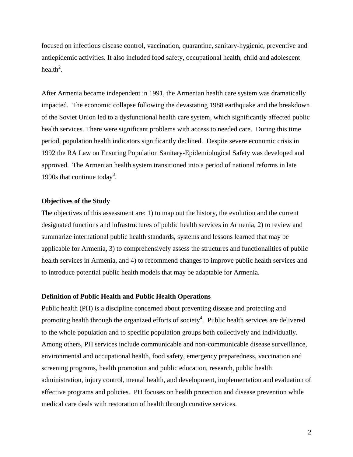focused on infectious disease control, vaccination, quarantine, sanitary-hygienic, preventive and antiepidemic activities. It also included food safety, occupational health, child and adolescent health<sup>2</sup>.

After Armenia became independent in 1991, the Armenian health care system was dramatically impacted. The economic collapse following the devastating 1988 earthquake and the breakdown of the Soviet Union led to a dysfunctional health care system, which significantly affected public health services. There were significant problems with access to needed care. During this time period, population health indicators significantly declined. Despite severe economic crisis in 1992 the RA Law on Ensuring Population Sanitary-Epidemiological Safety was developed and approved. The Armenian health system transitioned into a period of national reforms in late 1990s that continue today<sup>3</sup>.

## <span id="page-10-0"></span>**Objectives of the Study**

The objectives of this assessment are: 1) to map out the history, the evolution and the current designated functions and infrastructures of public health services in Armenia, 2) to review and summarize international public health standards, systems and lessons learned that may be applicable for Armenia, 3) to comprehensively assess the structures and functionalities of public health services in Armenia, and 4) to recommend changes to improve public health services and to introduce potential public health models that may be adaptable for Armenia.

### <span id="page-10-1"></span>**Definition of Public Health and Public Health Operations**

Public health (PH) is a discipline concerned about preventing disease and protecting and promoting health through the organized efforts of society<sup>4</sup>. Public health services are delivered to the whole population and to specific population groups both collectively and individually. Among others, PH services include communicable and non-communicable disease surveillance, environmental and occupational health, food safety, emergency preparedness, vaccination and screening programs, health promotion and public education, research, public health administration, injury control, mental health, and development, implementation and evaluation of effective programs and policies. PH focuses on health protection and disease prevention while medical care deals with restoration of health through curative services.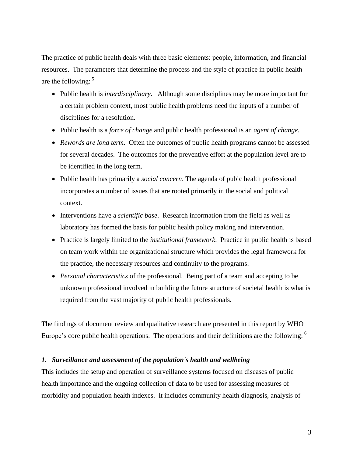The practice of public health deals with three basic elements: people, information, and financial resources. The parameters that determine the process and the style of practice in public health are the following:  $5$ 

- Public health is *interdisciplinary*. Although some disciplines may be more important for a certain problem context, most public health problems need the inputs of a number of disciplines for a resolution.
- Public health is a *force of change* and public health professional is an *agent of change.*
- *Rewords are long term*. Often the outcomes of public health programs cannot be assessed for several decades. The outcomes for the preventive effort at the population level are to be identified in the long term.
- Public health has primarily a *social concern*. The agenda of pubic health professional incorporates a number of issues that are rooted primarily in the social and political context.
- Interventions have a *scientific base*. Research information from the field as well as laboratory has formed the basis for public health policy making and intervention.
- Practice is largely limited to the *institutional framework*. Practice in public health is based on team work within the organizational structure which provides the legal framework for the practice, the necessary resources and continuity to the programs.
- *Personal characteristics* of the professional. Being part of a team and accepting to be unknown professional involved in building the future structure of societal health is what is required from the vast majority of public health professionals.

The findings of document review and qualitative research are presented in this report by WHO Europe's core public health operations. The operations and their definitions are the following:  $<sup>6</sup>$ </sup>

## <span id="page-11-0"></span>*1. Surveillance and assessment of the population's health and wellbeing*

This includes the setup and operation of surveillance systems focused on diseases of public health importance and the ongoing collection of data to be used for assessing measures of morbidity and population health indexes. It includes community health diagnosis, analysis of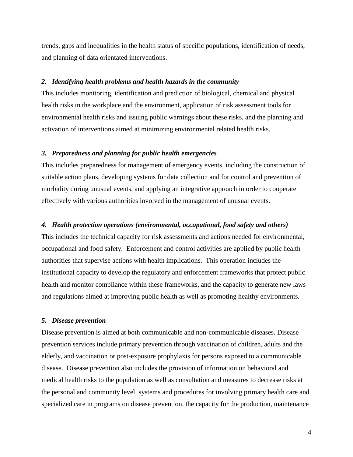trends, gaps and inequalities in the health status of specific populations, identification of needs, and planning of data orientated interventions.

#### <span id="page-12-0"></span>*2. Identifying health problems and health hazards in the community*

This includes monitoring, identification and prediction of biological, chemical and physical health risks in the workplace and the environment, application of risk assessment tools for environmental health risks and issuing public warnings about these risks, and the planning and activation of interventions aimed at minimizing environmental related health risks.

## <span id="page-12-1"></span>*3. Preparedness and planning for public health emergencies*

This includes preparedness for management of emergency events, including the construction of suitable action plans, developing systems for data collection and for control and prevention of morbidity during unusual events, and applying an integrative approach in order to cooperate effectively with various authorities involved in the management of unusual events.

## <span id="page-12-2"></span>*4. Health protection operations (environmental, occupational, food safety and others)*

This includes the technical capacity for risk assessments and actions needed for environmental, occupational and food safety. Enforcement and control activities are applied by public health authorities that supervise actions with health implications. This operation includes the institutional capacity to develop the regulatory and enforcement frameworks that protect public health and monitor compliance within these frameworks, and the capacity to generate new laws and regulations aimed at improving public health as well as promoting healthy environments.

## <span id="page-12-3"></span>*5. Disease prevention*

Disease prevention is aimed at both communicable and non-communicable diseases. Disease prevention services include primary prevention through vaccination of children, adults and the elderly, and vaccination or post-exposure prophylaxis for persons exposed to a communicable disease. Disease prevention also includes the provision of information on behavioral and medical health risks to the population as well as consultation and measures to decrease risks at the personal and community level, systems and procedures for involving primary health care and specialized care in programs on disease prevention, the capacity for the production, maintenance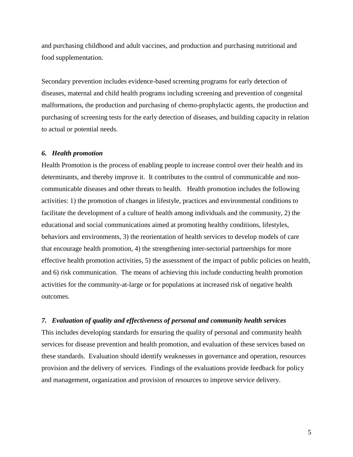and purchasing childhood and adult vaccines, and production and purchasing nutritional and food supplementation.

Secondary prevention includes evidence-based screening programs for early detection of diseases, maternal and child health programs including screening and prevention of congenital malformations, the production and purchasing of chemo-prophylactic agents, the production and purchasing of screening tests for the early detection of diseases, and building capacity in relation to actual or potential needs.

### <span id="page-13-0"></span>*6. Health promotion*

Health Promotion is the process of enabling people to increase control over their health and its determinants, and thereby improve it. It contributes to the control of communicable and noncommunicable diseases and other threats to health. Health promotion includes the following activities: 1) the promotion of changes in lifestyle, practices and environmental conditions to facilitate the development of a culture of health among individuals and the community, 2) the educational and social communications aimed at promoting healthy conditions, lifestyles, behaviors and environments, 3) the reorientation of health services to develop models of care that encourage health promotion, 4) the strengthening inter-sectorial partnerships for more effective health promotion activities, 5) the assessment of the impact of public policies on health, and 6) risk communication. The means of achieving this include conducting health promotion activities for the community-at-large or for populations at increased risk of negative health outcomes.

## <span id="page-13-1"></span>*7. Evaluation of quality and effectiveness of personal and community health services*

This includes developing standards for ensuring the quality of personal and community health services for disease prevention and health promotion, and evaluation of these services based on these standards. Evaluation should identify weaknesses in governance and operation, resources provision and the delivery of services. Findings of the evaluations provide feedback for policy and management, organization and provision of resources to improve service delivery.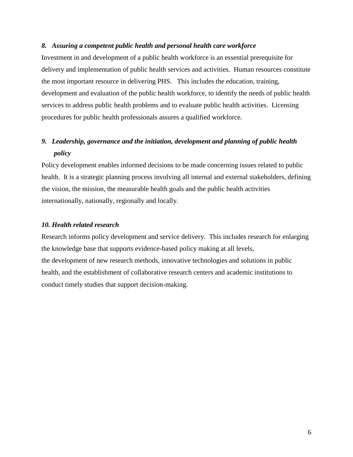## <span id="page-14-0"></span>*8. Assuring a competent public health and personal health care workforce*

Investment in and development of a public health workforce is an essential prerequisite for delivery and implementation of public health services and activities. Human resources constitute the most important resource in delivering PHS. This includes the education, training, development and evaluation of the public health workforce, to identify the needs of public health services to address public health problems and to evaluate public health activities. Licensing procedures for public health professionals assures a qualified workforce.

## <span id="page-14-1"></span>*9. Leadership, governance and the initiation, development and planning of public health policy*

Policy development enables informed decisions to be made concerning issues related to public health. It is a strategic planning process involving all internal and external stakeholders, defining the vision, the mission, the measurable health goals and the public health activities internationally, nationally, regionally and locally.

## <span id="page-14-2"></span>*10. Health related research*

Research informs policy development and service delivery. This includes research for enlarging the knowledge base that supports evidence-based policy making at all levels, the development of new research methods, innovative technologies and solutions in public health, and the establishment of collaborative research centers and academic institutions to conduct timely studies that support decision-making.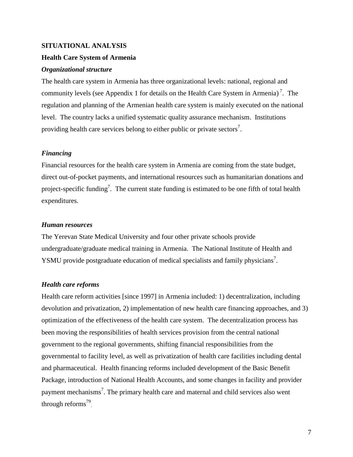## <span id="page-15-0"></span>**SITUATIONAL ANALYSIS**

## <span id="page-15-1"></span>**Health Care System of Armenia**

## <span id="page-15-2"></span>*Organizational structure*

The health care system in Armenia has three organizational levels: national, regional and community levels (see Appendix 1 for details on the Health Care System in Armenia)<sup>7</sup>. The regulation and planning of the Armenian health care system is mainly executed on the national level. The country lacks a unified systematic quality assurance mechanism. Institutions providing health care services belong to either public or private sectors<sup>7</sup>.

## <span id="page-15-3"></span>*Financing*

Financial resources for the health care system in Armenia are coming from the state budget, direct out-of-pocket payments, and international resources such as humanitarian donations and project-specific funding<sup>7</sup>. The current state funding is estimated to be one fifth of total health expenditures.

## <span id="page-15-4"></span>*Human resources*

The Yerevan State Medical University and four other private schools provide undergraduate/graduate medical training in Armenia. The National Institute of Health and YSMU provide postgraduate education of medical specialists and family physicians<sup>7</sup>.

## <span id="page-15-5"></span>*Health care reforms*

Health care reform activities [since 1997] in Armenia included: 1) decentralization, including devolution and privatization, 2) implementation of new health care financing approaches, and 3) optimization of the effectiveness of the health care system. The decentralization process has been moving the responsibilities of health services provision from the central national government to the regional governments, shifting financial responsibilities from the governmental to facility level, as well as privatization of health care facilities including dental and pharmaceutical. Health financing reforms included development of the Basic Benefit Package, introduction of National Health Accounts, and some changes in facility and provider payment mechanisms<sup>7</sup>. The primary health care and maternal and child services also went through reforms<sup>79</sup>.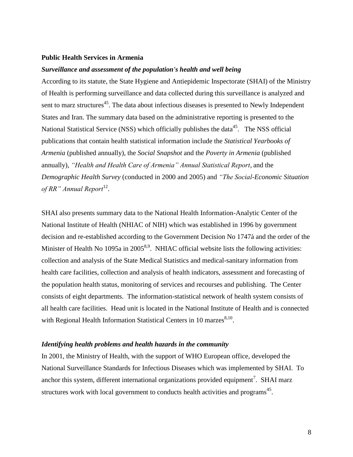#### <span id="page-16-0"></span>**Public Health Services in Armenia**

#### <span id="page-16-1"></span>*Surveillance and assessment of the population's health and well being*

According to its statute, the State Hygiene and Antiepidemic Inspectorate (SHAI) of the Ministry of Health is performing surveillance and data collected during this surveillance is analyzed and sent to marz structures<sup>45</sup>. The data about infectious diseases is presented to Newly Independent States and Iran. The summary data based on the administrative reporting is presented to the National Statistical Service (NSS) which officially publishes the data<sup>45</sup>. The NSS official publications that contain health statistical information include the *Statistical Yearbooks of Armenia* (published annually), the *Social Snapshot* and the *Poverty in Armenia* (published annually), *"Health and Health Care of Armenia" Annual Statistical Report,* and the *Demographic Health Survey* (conducted in 2000 and 2005) and *"The Social-Economic Situation*  of RR" Annual Report<sup>12</sup>.

SHAI also presents summary data to the National Health Information-Analytic Center of the National Institute of Health (NHIAC of NIH) which was established in 1996 by government decision and re-established according to the Government Decision No 1747à and the order of the Minister of Health No 1095a in 2005<sup>8,9</sup>. NHIAC official website lists the following activities: collection and analysis of the State Medical Statistics and medical-sanitary information from health care facilities, collection and analysis of health indicators, assessment and forecasting of the population health status, monitoring of services and recourses and publishing. The Center consists of eight departments. The information-statistical network of health system consists of all health care facilities. Head unit is located in the National Institute of Health and is connected with Regional Health Information Statistical Centers in 10 marzes $8,10$ .

## <span id="page-16-2"></span>*Identifying health problems and health hazards in the community*

In 2001, the Ministry of Health, with the support of WHO European office, developed the National Surveillance Standards for Infectious Diseases which was implemented by SHAI. To anchor this system, different international organizations provided equipment<sup>7</sup>. SHAI marz structures work with local government to conducts health activities and programs<sup>45</sup>.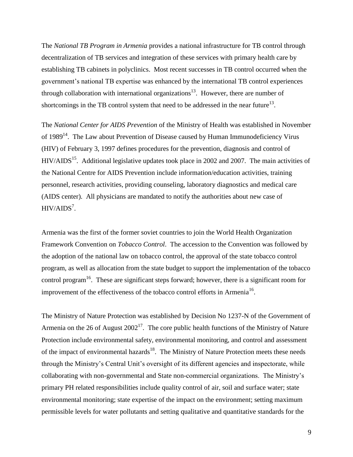The *National TB Program in Armenia* provides a national infrastructure for TB control through decentralization of TB services and integration of these services with primary health care by establishing TB cabinets in polyclinics. Most recent successes in TB control occurred when the government's national TB expertise was enhanced by the international TB control experiences through collaboration with international organizations<sup>13</sup>. However, there are number of shortcomings in the TB control system that need to be addressed in the near future<sup>13</sup>.

The *National Center for AIDS Prevention* of the Ministry of Health was established in November of  $1989<sup>14</sup>$ . The Law about Prevention of Disease caused by Human Immunodeficiency Virus (HIV) of February 3, 1997 defines procedures for the prevention, diagnosis and control of HIV/AIDS<sup>15</sup>. Additional legislative updates took place in 2002 and 2007. The main activities of the National Centre for AIDS Prevention include information/education activities, training personnel, research activities, providing counseling, laboratory diagnostics and medical care (AIDS center). All physicians are mandated to notify the authorities about new case of  $HIV/ALDS<sup>7</sup>$ .

Armenia was the first of the former soviet countries to join the World Health Organization Framework Convention on *Tobacco Control*. The accession to the Convention was followed by the adoption of the national law on tobacco control, the approval of the state tobacco control program, as well as allocation from the state budget to support the implementation of the tobacco control program<sup>16</sup>. These are significant steps forward; however, there is a significant room for improvement of the effectiveness of the tobacco control efforts in Armenia<sup>16</sup>.

The Ministry of Nature Protection was established by Decision No 1237-N of the Government of Armenia on the 26 of August  $2002<sup>17</sup>$ . The core public health functions of the Ministry of Nature Protection include environmental safety, environmental monitoring, and control and assessment of the impact of environmental hazards<sup>18</sup>. The Ministry of Nature Protection meets these needs through the Ministry's Central Unit's oversight of its different agencies and inspectorate, while collaborating with non-governmental and State non-commercial organizations. The Ministry's primary PH related responsibilities include quality control of air, soil and surface water; state environmental monitoring; state expertise of the impact on the environment; setting maximum permissible levels for water pollutants and setting qualitative and quantitative standards for the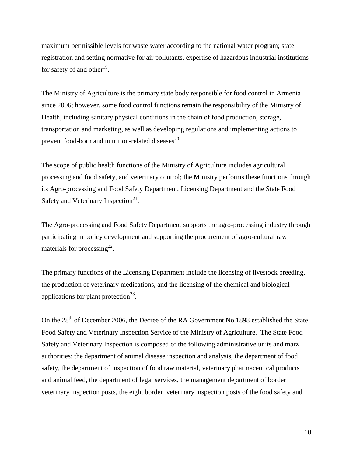maximum permissible levels for waste water according to the national water program; state registration and setting normative for air pollutants, expertise of hazardous industrial institutions for safety of and other<sup>19</sup>.

The Ministry of Agriculture is the primary state body responsible for food control in Armenia since 2006; however, some food control functions remain the responsibility of the Ministry of Health, including sanitary physical conditions in the chain of food production, storage, transportation and marketing, as well as developing regulations and implementing actions to prevent food-born and nutrition-related diseases $^{20}$ .

The scope of public health functions of the Ministry of Agriculture includes agricultural processing and food safety, and veterinary control; the Ministry performs these functions through its Agro-processing and Food Safety Department, Licensing Department and the State Food Safety and Veterinary Inspection<sup>21</sup>.

The Agro-processing and Food Safety Department supports the agro-processing industry through participating in policy development and supporting the procurement of agro-cultural raw materials for processing<sup>22</sup>.

The primary functions of the Licensing Department include the licensing of livestock breeding, the production of veterinary medications, and the licensing of the chemical and biological applications for plant protection<sup>23</sup>.

On the 28<sup>th</sup> of December 2006, the Decree of the RA Government No 1898 established the State Food Safety and Veterinary Inspection Service of the Ministry of Agriculture. The State Food Safety and Veterinary Inspection is composed of the following administrative units and marz authorities: the department of animal disease inspection and analysis, the department of food safety, the department of inspection of food raw material, veterinary pharmaceutical products and animal feed, the department of legal services, the management department of border veterinary inspection posts, the eight border veterinary inspection posts of the food safety and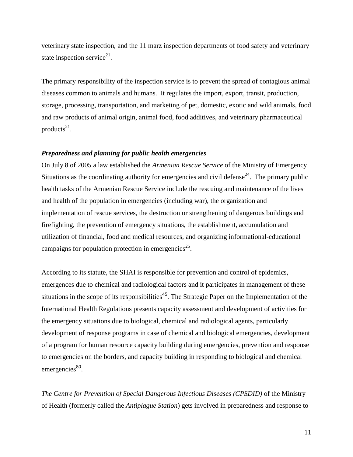veterinary state inspection, and the 11 marz inspection departments of food safety and veterinary state inspection service<sup>21</sup>.

The primary responsibility of the inspection service is to prevent the spread of contagious animal diseases common to animals and humans. It regulates the import, export, transit, production, storage, processing, transportation, and marketing of pet, domestic, exotic and wild animals, food and raw products of animal origin, animal food, food additives, and veterinary pharmaceutical products $21$ .

## <span id="page-19-0"></span>*Preparedness and planning for public health emergencies*

On July 8 of 2005 a law established the *Armenian Rescue Service* of the Ministry of Emergency Situations as the coordinating authority for emergencies and civil defense<sup>24</sup>. The primary public health tasks of the Armenian Rescue Service include the rescuing and maintenance of the lives and health of the population in emergencies (including war), the organization and implementation of rescue services, the destruction or strengthening of dangerous buildings and firefighting, the prevention of emergency situations, the establishment, accumulation and utilization of financial, food and medical resources, and organizing informational-educational campaigns for population protection in emergencies<sup>25</sup>.

According to its statute, the SHAI is responsible for prevention and control of epidemics, emergences due to chemical and radiological factors and it participates in management of these situations in the scope of its responsibilities<sup>45</sup>. The Strategic Paper on the Implementation of the International Health Regulations presents capacity assessment and development of activities for the emergency situations due to biological, chemical and radiological agents, particularly development of response programs in case of chemical and biological emergencies, development of a program for human resource capacity building during emergencies, prevention and response to emergencies on the borders, and capacity building in responding to biological and chemical emergencies<sup>80</sup>.

*The Centre for Prevention of Special Dangerous Infectious Diseases (CPSDID)* of the Ministry of Health (formerly called the *Antiplague Station*) gets involved in preparedness and response to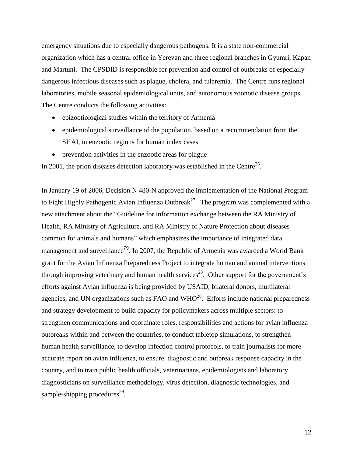emergency situations due to especially dangerous pathogens. It is a state non-commercial organization which has a central office in Yerevan and three regional branches in Gyumri, Kapan and Martuni. The CPSDID is responsible for prevention and control of outbreaks of especially dangerous infectious diseases such as plague, cholera, and tularemia. The Centre runs regional laboratories, mobile seasonal epidemiological units, and autonomous zoonotic disease groups. The Centre conducts the following activities:

- epizootiological studies within the territory of Armenia
- epidemiological surveillance of the population, based on a recommendation from the SHAI, in enzootic regions for human index cases
- prevention activities in the enzootic areas for plague

In 2001, the prion diseases detection laboratory was established in the Centre<sup>26</sup>.

In January 19 of 2006, Decision N 480-N approved the implementation of the National Program to Fight Highly Pathogenic Avian Influenza Outbreak<sup>27</sup>. The program was complemented with a new attachment about the "Guideline for information exchange between the RA Ministry of Health, RA Ministry of Agriculture, and RA Ministry of Nature Protection about diseases common for animals and humans" which emphasizes the importance of integrated data management and surveillance<sup>79</sup>. In 2007, the Republic of Armenia was awarded a World Bank grant for the Avian Influenza Preparedness Project to integrate human and animal interventions through improving veterinary and human health services<sup>28</sup>. Other support for the government's efforts against Avian influenza is being provided by USAID, bilateral donors, multilateral agencies, and UN organizations such as FAO and  $WHO^{28}$ . Efforts include national preparedness and strategy development to build capacity for policymakers across multiple sectors: to strengthen communications and coordinate roles, responsibilities and actions for avian influenza outbreaks within and between the countries, to conduct tabletop simulations, to strengthen human health surveillance, to develop infection control protocols, to train journalists for more accurate report on avian influenza, to ensure diagnostic and outbreak response capacity in the country, and to train public health officials, veterinarians, epidemiologists and laboratory diagnosticians on surveillance methodology, virus detection, diagnostic technologies, and sample-shipping procedures<sup>29</sup>.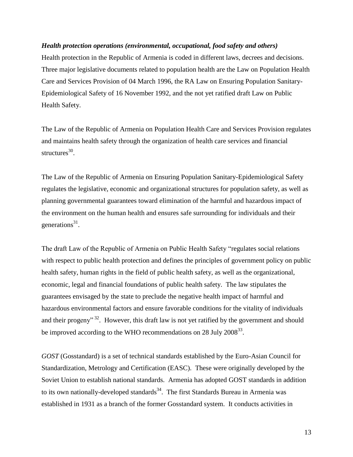## <span id="page-21-0"></span>*Health protection operations (environmental, occupational, food safety and others)*

Health protection in the Republic of Armenia is coded in different laws, decrees and decisions. Three major legislative documents related to population health are the Law on Population Health Care and Services Provision of 04 March 1996, the RA Law on Ensuring Population Sanitary-Epidemiological Safety of 16 November 1992, and the not yet ratified draft Law on Public Health Safety.

The Law of the Republic of Armenia on Population Health Care and Services Provision regulates and maintains health safety through the organization of health care services and financial structures<sup>30</sup>.

The Law of the Republic of Armenia on Ensuring Population Sanitary-Epidemiological Safety regulates the legislative, economic and organizational structures for population safety, as well as planning governmental guarantees toward elimination of the harmful and hazardous impact of the environment on the human health and ensures safe surrounding for individuals and their generations<sup>31</sup>.

The draft Law of the Republic of Armenia on Public Health Safety "regulates social relations with respect to public health protection and defines the principles of government policy on public health safety, human rights in the field of public health safety, as well as the organizational, economic, legal and financial foundations of public health safety. The law stipulates the guarantees envisaged by the state to preclude the negative health impact of harmful and hazardous environmental factors and ensure favorable conditions for the vitality of individuals and their progeny"<sup>32</sup>. However, this draft law is not yet ratified by the government and should be improved according to the WHO recommendations on 28 July  $2008^{33}$ .

*GOST* (Gosstandard) is a set of technical standards established by the Euro-Asian Council for Standardization, Metrology and Certification (EASC). These were originally developed by the Soviet Union to establish national standards. Armenia has adopted GOST standards in addition to its own nationally-developed standards $34$ . The first Standards Bureau in Armenia was established in 1931 as a branch of the former Gosstandard system. It conducts activities in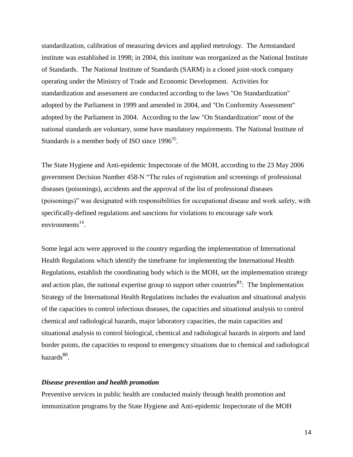standardization, calibration of measuring devices and applied metrology. The Armstandard institute was established in 1998; in 2004, this institute was reorganized as the National Institute of Standards. The National Institute of Standards (SARM) is a closed joint-stock company operating under the Ministry of Trade and Economic Development. Activities for standardization and assessment are conducted according to the laws "On Standardization" adopted by the Parliament in 1999 and amended in 2004, and "On Conformity Assessment" adopted by the Parliament in 2004. According to the law "On Standardization" most of the national standards are voluntary, some have mandatory requirements. The National Institute of Standards is a member body of ISO since  $1996^{35}$ .

The State Hygiene and Anti-epidemic Inspectorate of the MOH, according to the 23 May 2006 government Decision Number 458-N "The rules of registration and screenings of professional diseases (poisonings), accidents and the approval of the list of professional diseases (poisonings)‖ was designated with responsibilities for occupational disease and work safety, with specifically-defined regulations and sanctions for violations to encourage safe work environments $^{14}$ .

Some legal acts were approved in the country regarding the implementation of International Health Regulations which identify the timeframe for implementing the International Health Regulations, establish the coordinating body which is the MOH, set the implementation strategy and action plan, the national expertise group to support other countries<sup>81</sup>: The Implementation Strategy of the International Health Regulations includes the evaluation and situational analysis of the capacities to control infectious diseases, the capacities and situational analysis to control chemical and radiological hazards, major laboratory capacities, the main capacities and situational analysis to control biological, chemical and radiological hazards in airports and land border points, the capacities to respond to emergency situations due to chemical and radiological hazards<sup>80</sup>.

### <span id="page-22-0"></span>*Disease prevention and health promotion*

Preventive services in public health are conducted mainly through health promotion and immunization programs by the State Hygiene and Anti-epidemic Inspectorate of the MOH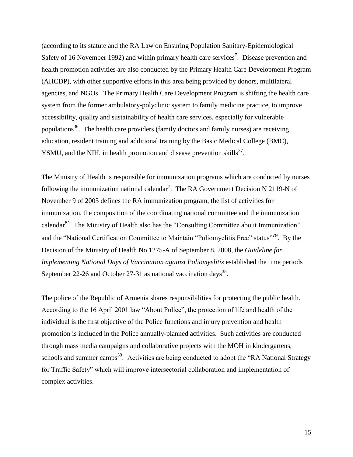(according to its statute and the RA Law on Ensuring Population Sanitary-Epidemiological Safety of 16 November 1992) and within primary health care services<sup>7</sup>. Disease prevention and health promotion activities are also conducted by the Primary Health Care Development Program (AHCDP), with other supportive efforts in this area being provided by donors, multilateral agencies, and NGOs. The Primary Health Care Development Program is shifting the health care system from the former ambulatory-polyclinic system to family medicine practice, to improve accessibility, quality and sustainability of health care services, especially for vulnerable populations<sup>36</sup>. The health care providers (family doctors and family nurses) are receiving education, resident training and additional training by the Basic Medical College (BMC), YSMU, and the NIH, in health promotion and disease prevention skills $^{37}$ .

The Ministry of Health is responsible for immunization programs which are conducted by nurses following the immunization national calendar<sup>7</sup>. The RA Government Decision N 2119-N of November 9 of 2005 defines the RA immunization program, the list of activities for immunization, the composition of the coordinating national committee and the immunization calendar<sup>81:</sup> The Ministry of Health also has the "Consulting Committee about Immunization" and the "National Certification Committee to Maintain "Poliomyelitis Free" status"<sup>79</sup>. By the Decision of the Ministry of Health No 1275-A of September 8, 2008, the *Guideline for Implementing National Days of Vaccination against Poliomyelitis* established the time periods September 22-26 and October 27-31 as national vaccination days<sup>38</sup>.

The police of the Republic of Armenia shares responsibilities for protecting the public health. According to the 16 April 2001 law "About Police", the protection of life and health of the individual is the first objective of the Police functions and injury prevention and health promotion is included in the Police annually-planned activities. Such activities are conducted through mass media campaigns and collaborative projects with the MOH in kindergartens, schools and summer camps<sup>39</sup>. Activities are being conducted to adopt the "RA National Strategy for Traffic Safety" which will improve intersectorial collaboration and implementation of complex activities.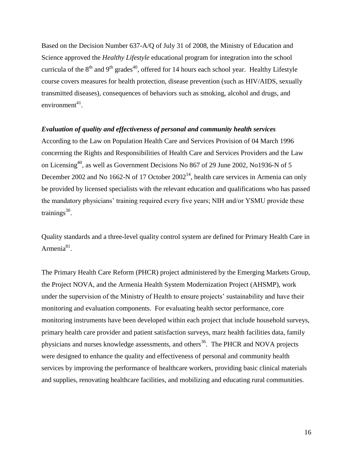Based on the Decision Number 637-A/Q of July 31 of 2008, the Ministry of Education and Science approved the *Healthy Lifestyle* educational program for integration into the school curricula of the  $8<sup>th</sup>$  and  $9<sup>th</sup>$  grades<sup>40</sup>, offered for 14 hours each school year. Healthy Lifestyle course covers measures for health protection, disease prevention (such as HIV/AIDS, sexually transmitted diseases), consequences of behaviors such as smoking, alcohol and drugs, and  $environment<sup>41</sup>$ .

## <span id="page-24-0"></span>*Evaluation of quality and effectiveness of personal and community health services*

According to the Law on Population Health Care and Services Provision of 04 March 1996 concerning the Rights and Responsibilities of Health Care and Services Providers and the Law on Licensing<sup>40</sup>, as well as Government Decisions No 867 of 29 June 2002, No1936-N of 5 December 2002 and No 1662-N of 17 October  $2002<sup>14</sup>$ , health care services in Armenia can only be provided by licensed specialists with the relevant education and qualifications who has passed the mandatory physicians' training required every five years; NIH and/or YSMU provide these trainings<sup>30</sup>.

Quality standards and a three-level quality control system are defined for Primary Health Care in Armenia<sup>81</sup>.

The Primary Health Care Reform (PHCR) project administered by the Emerging Markets Group, the Project NOVA, and the Armenia Health System Modernization Project (AHSMP), work under the supervision of the Ministry of Health to ensure projects' sustainability and have their monitoring and evaluation components. For evaluating health sector performance, core monitoring instruments have been developed within each project that include household surveys, primary health care provider and patient satisfaction surveys, marz health facilities data, family physicians and nurses knowledge assessments, and others<sup>36</sup>. The PHCR and NOVA projects were designed to enhance the quality and effectiveness of personal and community health services by improving the performance of healthcare workers, providing basic clinical materials and supplies, renovating healthcare facilities, and mobilizing and educating rural communities.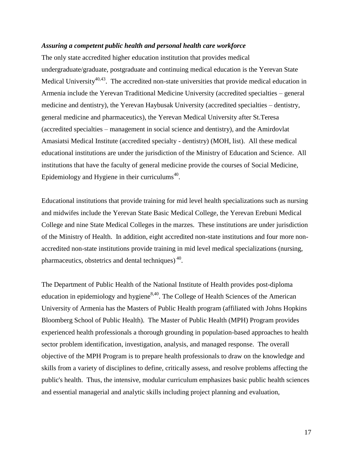### <span id="page-25-0"></span>*Assuring a competent public health and personal health care workforce*

The only state accredited higher education institution that provides medical undergraduate/graduate, postgraduate and continuing medical education is the Yerevan State Medical University<sup>40,43</sup>. The accredited non-state universities that provide medical education in Armenia include the Yerevan Traditional Medicine University (accredited specialties – general medicine and dentistry), the Yerevan Haybusak University (accredited specialties – dentistry, general medicine and pharmaceutics), the Yerevan Medical University after St.Teresa (accredited specialties – management in social science and dentistry), and the Amirdovlat Amasiatsi Medical Institute (accredited specialty - dentistry) (MOH, list). All these medical educational institutions are under the jurisdiction of the Ministry of Education and Science. All institutions that have the faculty of general medicine provide the courses of Social Medicine, Epidemiology and Hygiene in their curriculums<sup>40</sup>.

Educational institutions that provide training for mid level health specializations such as nursing and midwifes include the Yerevan State Basic Medical College, the Yerevan Erebuni Medical College and nine State Medical Colleges in the marzes. These institutions are under jurisdiction of the Ministry of Health. In addition, eight accredited non-state institutions and four more nonaccredited non-state institutions provide training in mid level medical specializations (nursing, pharmaceutics, obstetrics and dental techniques)<sup>40</sup>.

The Department of Public Health of the National Institute of Health provides post-diploma education in epidemiology and hygiene $8,40$ . The College of Health Sciences of the American University of Armenia has the Masters of Public Health program (affiliated with Johns Hopkins Bloomberg School of Public Health). The Master of Public Health (MPH) Program provides experienced health professionals a thorough grounding in population-based approaches to health sector problem identification, investigation, analysis, and managed response. The overall objective of the MPH Program is to prepare health professionals to draw on the knowledge and skills from a variety of disciplines to define, critically assess, and resolve problems affecting the public's health. Thus, the intensive, modular curriculum emphasizes basic public health sciences and essential managerial and analytic skills including project planning and evaluation,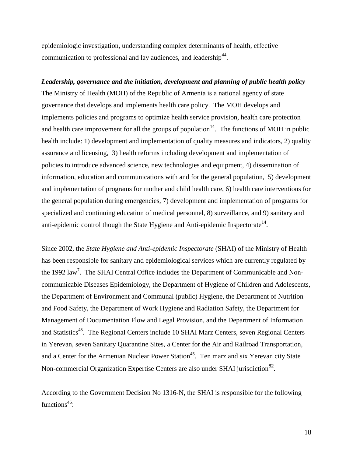epidemiologic investigation, understanding complex determinants of health, effective communication to professional and lay audiences, and leadership<sup>44</sup>.

<span id="page-26-0"></span>*Leadership, governance and the initiation, development and planning of public health policy* The Ministry of Health (MOH) of the Republic of Armenia is a national agency of state governance that develops and implements health care policy. The MOH develops and implements policies and programs to optimize health service provision, health care protection and health care improvement for all the groups of population<sup>14</sup>. The functions of MOH in public health include: 1) development and implementation of quality measures and indicators, 2) quality assurance and licensing, 3) health reforms including development and implementation of policies to introduce advanced science, new technologies and equipment, 4) dissemination of information, education and communications with and for the general population, 5) development and implementation of programs for mother and child health care, 6) health care interventions for the general population during emergencies, 7) development and implementation of programs for specialized and continuing education of medical personnel, 8) surveillance, and 9) sanitary and anti-epidemic control though the State Hygiene and Anti-epidemic Inspectorate<sup>14</sup>.

Since 2002, the *State Hygiene and Anti-epidemic Inspectorate* (SHAI) of the Ministry of Health has been responsible for sanitary and epidemiological services which are currently regulated by the 1992 law<sup>7</sup>. The SHAI Central Office includes the Department of Communicable and Noncommunicable Diseases Epidemiology, the Department of Hygiene of Children and Adolescents, the Department of Environment and Communal (public) Hygiene, the Department of Nutrition and Food Safety, the Department of Work Hygiene and Radiation Safety, the Department for Management of Documentation Flow and Legal Provision, and the Department of Information and Statistics<sup>45</sup>. The Regional Centers include 10 SHAI Marz Centers, seven Regional Centers in Yerevan, seven Sanitary Quarantine Sites, a Center for the Air and Railroad Transportation, and a Center for the Armenian Nuclear Power Station<sup>45</sup>. Ten marz and six Yerevan city State Non-commercial Organization Expertise Centers are also under SHAI jurisdiction<sup>82</sup>.

According to the Government Decision No 1316-N, the SHAI is responsible for the following functions $45$ :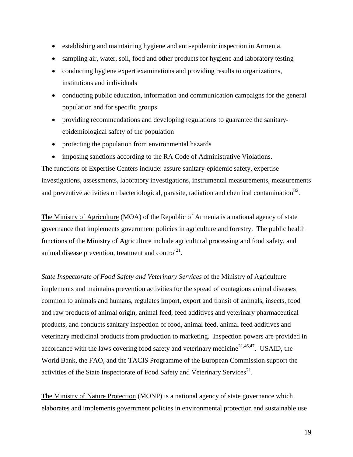- establishing and maintaining hygiene and anti-epidemic inspection in Armenia,
- sampling air, water, soil, food and other products for hygiene and laboratory testing
- conducting hygiene expert examinations and providing results to organizations, institutions and individuals
- conducting public education, information and communication campaigns for the general population and for specific groups
- providing recommendations and developing regulations to guarantee the sanitaryepidemiological safety of the population
- protecting the population from environmental hazards
- imposing sanctions according to the RA Code of Administrative Violations.

The functions of Expertise Centers include: assure sanitary-epidemic safety, expertise investigations, assessments, laboratory investigations, instrumental measurements, measurements and preventive activities on bacteriological, parasite, radiation and chemical contamination $^{82}$ .

The Ministry of Agriculture (MOA) of the Republic of Armenia is a national agency of state governance that implements government policies in agriculture and forestry. The public health functions of the Ministry of Agriculture include agricultural processing and food safety, and animal disease prevention, treatment and control $21$ .

*State Inspectorate of Food Safety and Veterinary Services* of the Ministry of Agriculture implements and maintains prevention activities for the spread of contagious animal diseases common to animals and humans, regulates import, export and transit of animals, insects, food and raw products of animal origin, animal feed, feed additives and veterinary pharmaceutical products, and conducts sanitary inspection of food, animal feed, animal feed additives and veterinary medicinal products from production to marketing. Inspection powers are provided in accordance with the laws covering food safety and veterinary medicine $21,46,47$ . USAID, the World Bank, the FAO, and the TACIS Programme of the European Commission support the activities of the State Inspectorate of Food Safety and Veterinary Services<sup>21</sup>.

The Ministry of Nature Protection (MONP) is a national agency of state governance which elaborates and implements government policies in environmental protection and sustainable use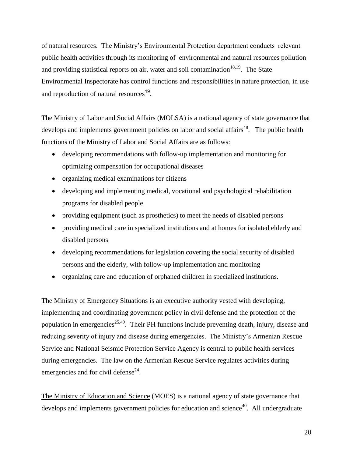of natural resources. The Ministry's Environmental Protection department conducts relevant public health activities through its monitoring of environmental and natural resources pollution and providing statistical reports on air, water and soil contamination  $18,19$ . The State Environmental Inspectorate has control functions and responsibilities in nature protection, in use and reproduction of natural resources<sup>19</sup>.

The Ministry of Labor and Social Affairs (MOLSA) is a national agency of state governance that develops and implements government policies on labor and social affairs<sup>48</sup>. The public health functions of the Ministry of Labor and Social Affairs are as follows:

- developing recommendations with follow-up implementation and monitoring for optimizing compensation for occupational diseases
- organizing medical examinations for citizens
- developing and implementing medical, vocational and psychological rehabilitation programs for disabled people
- providing equipment (such as prosthetics) to meet the needs of disabled persons
- providing medical care in specialized institutions and at homes for isolated elderly and disabled persons
- developing recommendations for legislation covering the social security of disabled persons and the elderly, with follow-up implementation and monitoring
- organizing care and education of orphaned children in specialized institutions.

The Ministry of Emergency Situations is an executive authority vested with developing, implementing and coordinating government policy in civil defense and the protection of the population in emergencies<sup>25,49</sup>. Their PH functions include preventing death, injury, disease and reducing severity of injury and disease during emergencies. The Ministry's Armenian Rescue Service and National Seismic Protection Service Agency is central to public health services during emergencies. The law on the Armenian Rescue Service regulates activities during emergencies and for civil defense $^{24}$ .

The Ministry of Education and Science (MOES) is a national agency of state governance that develops and implements government policies for education and science<sup>40</sup>. All undergraduate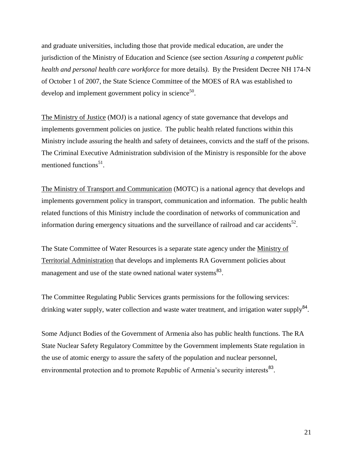and graduate universities, including those that provide medical education, are under the jurisdiction of the Ministry of Education and Science (see section *Assuring a competent public health and personal health care workforce* for more details*)*. By the President Decree NH 174-N of October 1 of 2007, the State Science Committee of the MOES of RA was established to develop and implement government policy in science<sup>50</sup>.

The Ministry of Justice (MOJ) is a national agency of state governance that develops and implements government policies on justice. The public health related functions within this Ministry include assuring the health and safety of detainees, convicts and the staff of the prisons. The Criminal Executive Administration subdivision of the Ministry is responsible for the above mentioned functions<sup>51</sup>.

The Ministry of Transport and Communication (MOTC) is a national agency that develops and implements government policy in transport, communication and information. The public health related functions of this Ministry include the coordination of networks of communication and information during emergency situations and the surveillance of railroad and car accidents<sup>52</sup>.

The State Committee of Water Resources is a separate state agency under the Ministry of Territorial Administration that develops and implements RA Government policies about management and use of the state owned national water systems<sup>83</sup>.

The Committee Regulating Public Services grants permissions for the following services: drinking water supply, water collection and waste water treatment, and irrigation water supply<sup>84</sup>.

Some Adjunct Bodies of the Government of Armenia also has public health functions. The RA State Nuclear Safety Regulatory Committee by the Government implements State regulation in the use of atomic energy to assure the safety of the population and nuclear personnel, environmental protection and to promote Republic of Armenia's security interests<sup>83</sup>.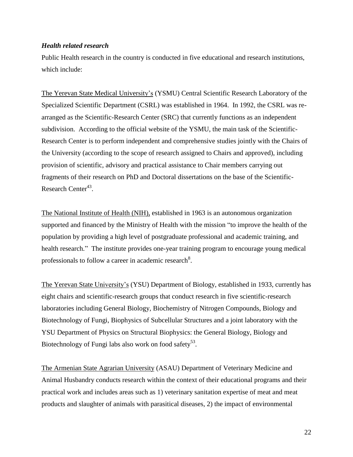## <span id="page-30-0"></span>*Health related research*

Public Health research in the country is conducted in five educational and research institutions, which include:

The Yerevan State Medical University's (YSMU) Central Scientific Research Laboratory of the Specialized Scientific Department (CSRL) was established in 1964. In 1992, the CSRL was rearranged as the Scientific-Research Center (SRC) that currently functions as an independent subdivision. According to the official website of the YSMU, the main task of the Scientific-Research Center is to perform independent and comprehensive studies jointly with the Chairs of the University (according to the scope of research assigned to Chairs and approved), including provision of scientific, advisory and practical assistance to Chair members carrying out fragments of their research on PhD and Doctoral dissertations on the base of the Scientific-Research Center<sup>43</sup>.

The National Institute of Health (NIH), established in 1963 is an autonomous organization supported and financed by the Ministry of Health with the mission "to improve the health of the population by providing a high level of postgraduate professional and academic training, and health research." The institute provides one-year training program to encourage young medical professionals to follow a career in academic research<sup>8</sup>.

The Yerevan State University's (YSU) Department of Biology, established in 1933, currently has eight chairs and scientific-research groups that conduct research in five scientific-research laboratories including General Biology, Biochemistry of Nitrogen Compounds, Biology and Biotechnology of Fungi, Biophysics of Subcellular Structures and a joint laboratory with the YSU Department of Physics on Structural Biophysics: the General Biology, Biology and Biotechnology of Fungi labs also work on food safety<sup>53</sup>.

The Armenian State Agrarian University (ASAU) Department of Veterinary Medicine and Animal Husbandry conducts research within the context of their educational programs and their practical work and includes areas such as 1) veterinary sanitation expertise of meat and meat products and slaughter of animals with parasitical diseases, 2) the impact of environmental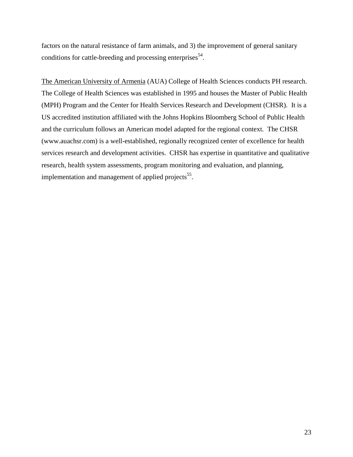factors on the natural resistance of farm animals, and 3) the improvement of general sanitary conditions for cattle-breeding and processing enterprises  $54$ .

The American University of Armenia (AUA) College of Health Sciences conducts PH research. The College of Health Sciences was established in 1995 and houses the Master of Public Health (MPH) Program and the Center for Health Services Research and Development (CHSR). It is a US accredited institution affiliated with the Johns Hopkins Bloomberg School of Public Health and the curriculum follows an American model adapted for the regional context. The CHSR [\(www.auachsr.com\)](http://www.auachsr.com/) is a well-established, regionally recognized center of excellence for health services research and development activities. CHSR has expertise in quantitative and qualitative research, health system assessments, program monitoring and evaluation, and planning, implementation and management of applied projects<sup>55</sup>.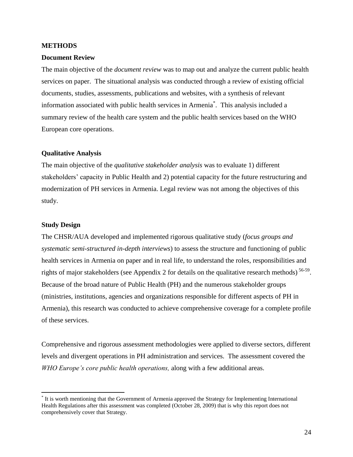### <span id="page-32-0"></span>**METHODS**

#### <span id="page-32-1"></span>**Document Review**

The main objective of the *document review* was to map out and analyze the current public health services on paper. The situational analysis was conducted through a review of existing official documents, studies, assessments, publications and websites, with a synthesis of relevant information associated with public health services in Armenia\* . This analysis included a summary review of the health care system and the public health services based on the WHO European core operations.

## <span id="page-32-2"></span>**Qualitative Analysis**

The main objective of the *qualitative stakeholder analysis* was to evaluate 1) different stakeholders' capacity in Public Health and 2) potential capacity for the future restructuring and modernization of PH services in Armenia. Legal review was not among the objectives of this study.

## <span id="page-32-3"></span>**Study Design**

 $\overline{\phantom{a}}$ 

The CHSR/AUA developed and implemented rigorous qualitative study (*focus groups and systematic semi-structured in-depth interviews*) to assess the structure and functioning of public health services in Armenia on paper and in real life, to understand the roles, responsibilities and rights of major stakeholders (see Appendix 2 for details on the qualitative research methods)<sup>56-59</sup>. Because of the broad nature of Public Health (PH) and the numerous stakeholder groups (ministries, institutions, agencies and organizations responsible for different aspects of PH in Armenia), this research was conducted to achieve comprehensive coverage for a complete profile of these services.

Comprehensive and rigorous assessment methodologies were applied to diverse sectors, different levels and divergent operations in PH administration and services. The assessment covered the *WHO Europe's core public health operations,* along with a few additional areas.

<sup>\*</sup> It is worth mentioning that the Government of Armenia approved the Strategy for Implementing International Health Regulations after this assessment was completed (October 28, 2009) that is why this report does not comprehensively cover that Strategy.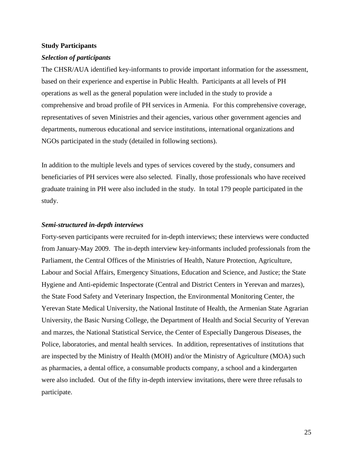#### <span id="page-33-0"></span>**Study Participants**

#### <span id="page-33-1"></span>*Selection of participants*

The CHSR/AUA identified key-informants to provide important information for the assessment, based on their experience and expertise in Public Health. Participants at all levels of PH operations as well as the general population were included in the study to provide a comprehensive and broad profile of PH services in Armenia. For this comprehensive coverage, representatives of seven Ministries and their agencies, various other government agencies and departments, numerous educational and service institutions, international organizations and NGOs participated in the study (detailed in following sections).

In addition to the multiple levels and types of services covered by the study, consumers and beneficiaries of PH services were also selected. Finally, those professionals who have received graduate training in PH were also included in the study. In total 179 people participated in the study.

### <span id="page-33-2"></span>*Semi-structured in-depth interviews*

Forty-seven participants were recruited for in-depth interviews; these interviews were conducted from January-May 2009. The in-depth interview key-informants included professionals from the Parliament, the Central Offices of the Ministries of Health, Nature Protection, Agriculture, Labour and Social Affairs, Emergency Situations, Education and Science, and Justice; the State Hygiene and Anti-epidemic Inspectorate (Central and District Centers in Yerevan and marzes), the State Food Safety and Veterinary Inspection, the Environmental Monitoring Center, the Yerevan State Medical University, the National Institute of Health, the Armenian State Agrarian University, the Basic Nursing College, the Department of Health and Social Security of Yerevan and marzes, the National Statistical Service, the Center of Especially Dangerous Diseases, the Police, laboratories, and mental health services. In addition, representatives of institutions that are inspected by the Ministry of Health (MOH) and/or the Ministry of Agriculture (MOA) such as pharmacies, a dental office, a consumable products company, a school and a kindergarten were also included. Out of the fifty in-depth interview invitations, there were three refusals to participate.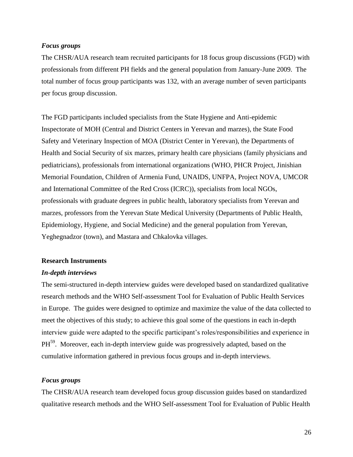## <span id="page-34-0"></span>*Focus groups*

The CHSR/AUA research team recruited participants for 18 focus group discussions (FGD) with professionals from different PH fields and the general population from January-June 2009. The total number of focus group participants was 132, with an average number of seven participants per focus group discussion.

The FGD participants included specialists from the State Hygiene and Anti-epidemic Inspectorate of MOH (Central and District Centers in Yerevan and marzes), the State Food Safety and Veterinary Inspection of MOA (District Center in Yerevan), the Departments of Health and Social Security of six marzes, primary health care physicians (family physicians and pediatricians), professionals from international organizations (WHO, PHCR Project, Jinishian Memorial Foundation, Children of Armenia Fund, UNAIDS, UNFPA, Project NOVA, UMCOR and International Committee of the Red Cross (ICRC)), specialists from local NGOs, professionals with graduate degrees in public health, laboratory specialists from Yerevan and marzes, professors from the Yerevan State Medical University (Departments of Public Health, Epidemiology, Hygiene, and Social Medicine) and the general population from Yerevan, Yeghegnadzor (town), and Mastara and Chkalovka villages.

## <span id="page-34-1"></span>**Research Instruments**

#### <span id="page-34-2"></span>*In-depth interviews*

The semi-structured in-depth interview guides were developed based on standardized qualitative research methods and the WHO Self-assessment Tool for Evaluation of Public Health Services in Europe. The guides were designed to optimize and maximize the value of the data collected to meet the objectives of this study; to achieve this goal some of the questions in each in-depth interview guide were adapted to the specific participant's roles/responsibilities and experience in PH<sup>59</sup>. Moreover, each in-depth interview guide was progressively adapted, based on the cumulative information gathered in previous focus groups and in-depth interviews.

## <span id="page-34-3"></span>*Focus groups*

The CHSR/AUA research team developed focus group discussion guides based on standardized qualitative research methods and the WHO Self-assessment Tool for Evaluation of Public Health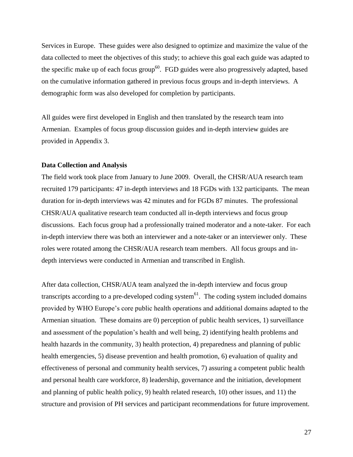Services in Europe. These guides were also designed to optimize and maximize the value of the data collected to meet the objectives of this study; to achieve this goal each guide was adapted to the specific make up of each focus group<sup>60</sup>. FGD guides were also progressively adapted, based on the cumulative information gathered in previous focus groups and in-depth interviews. A demographic form was also developed for completion by participants.

All guides were first developed in English and then translated by the research team into Armenian. Examples of focus group discussion guides and in-depth interview guides are provided in Appendix 3.

## <span id="page-35-0"></span>**Data Collection and Analysis**

The field work took place from January to June 2009. Overall, the CHSR/AUA research team recruited 179 participants: 47 in-depth interviews and 18 FGDs with 132 participants. The mean duration for in-depth interviews was 42 minutes and for FGDs 87 minutes. The professional CHSR/AUA qualitative research team conducted all in-depth interviews and focus group discussions. Each focus group had a professionally trained moderator and a note-taker. For each in-depth interview there was both an interviewer and a note-taker or an interviewer only. These roles were rotated among the CHSR/AUA research team members. All focus groups and indepth interviews were conducted in Armenian and transcribed in English.

After data collection, CHSR/AUA team analyzed the in-depth interview and focus group transcripts according to a pre-developed coding system $<sup>61</sup>$ . The coding system included domains</sup> provided by WHO Europe's core public health operations and additional domains adapted to the Armenian situation. These domains are 0) perception of public health services, 1) surveillance and assessment of the population's health and well being, 2) identifying health problems and health hazards in the community, 3) health protection, 4) preparedness and planning of public health emergencies, 5) disease prevention and health promotion, 6) evaluation of quality and effectiveness of personal and community health services, 7) assuring a competent public health and personal health care workforce, 8) leadership, governance and the initiation, development and planning of public health policy, 9) health related research, 10) other issues, and 11) the structure and provision of PH services and participant recommendations for future improvement.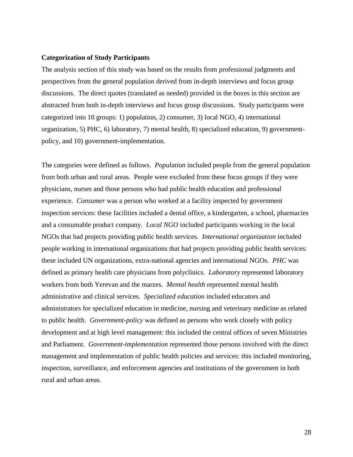#### **Categorization of Study Participants**

The analysis section of this study was based on the results from professional judgments and perspectives from the general population derived from in-depth interviews and focus group discussions. The direct quotes (translated as needed) provided in the boxes in this section are abstracted from both in-depth interviews and focus group discussions. Study participants were categorized into 10 groups: 1) population, 2) consumer, 3) local NGO, 4) international organization, 5) PHC, 6) laboratory, 7) mental health, 8) specialized education, 9) governmentpolicy, and 10) government-implementation.

The categories were defined as follows. *Population* included people from the general population from both urban and rural areas. People were excluded from these focus groups if they were physicians, nurses and those persons who had public health education and professional experience. *Consumer* was a person who worked at a facility inspected by government inspection services: these facilities included a dental office, a kindergarten, a school, pharmacies and a consumable product company. *Local NGO* included participants working in the local NGOs that had projects providing public health services. *International organization* included people working in international organizations that had projects providing public health services: these included UN organizations, extra-national agencies and international NGOs. *PHC* was defined as primary health care physicians from polyclinics. *Laboratory* represented laboratory workers from both Yerevan and the marzes. *Mental health* represented mental health administrative and clinical services. *Specialized education* included educators and administrators for specialized education in medicine, nursing and veterinary medicine as related to public health. *Government-policy* was defined as persons who work closely with policy development and at high level management: this included the central offices of seven Ministries and Parliament. *Government-implementation* represented those persons involved with the direct management and implementation of public health policies and services: this included monitoring, inspection, surveillance, and enforcement agencies and institutions of the government in both rural and urban areas.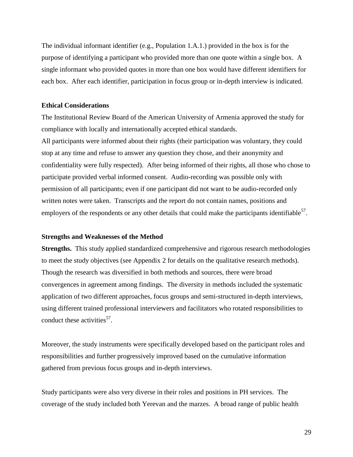The individual informant identifier (e.g., Population 1.A.1.) provided in the box is for the purpose of identifying a participant who provided more than one quote within a single box. A single informant who provided quotes in more than one box would have different identifiers for each box. After each identifier, participation in focus group or in-depth interview is indicated.

#### **Ethical Considerations**

The Institutional Review Board of the American University of Armenia approved the study for compliance with locally and internationally accepted ethical standards. All participants were informed about their rights (their participation was voluntary, they could stop at any time and refuse to answer any question they chose, and their anonymity and confidentiality were fully respected). After being informed of their rights, all those who chose to participate provided verbal informed consent. Audio-recording was possible only with permission of all participants; even if one participant did not want to be audio-recorded only written notes were taken. Transcripts and the report do not contain names, positions and employers of the respondents or any other details that could make the participants identifiable<sup>57</sup>.

#### **Strengths and Weaknesses of the Method**

**Strengths.** This study applied standardized comprehensive and rigorous research methodologies to meet the study objectives (see Appendix 2 for details on the qualitative research methods). Though the research was diversified in both methods and sources, there were broad convergences in agreement among findings. The diversity in methods included the systematic application of two different approaches, focus groups and semi-structured in-depth interviews, using different trained professional interviewers and facilitators who rotated responsibilities to conduct these activities<sup>57</sup>.

Moreover, the study instruments were specifically developed based on the participant roles and responsibilities and further progressively improved based on the cumulative information gathered from previous focus groups and in-depth interviews.

Study participants were also very diverse in their roles and positions in PH services. The coverage of the study included both Yerevan and the marzes. A broad range of public health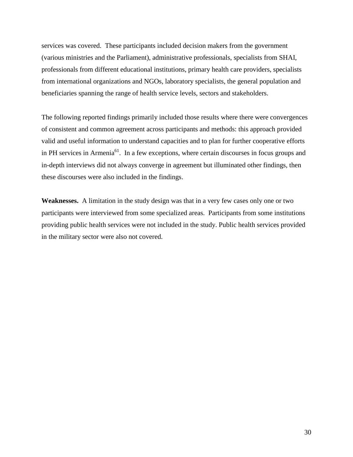services was covered. These participants included decision makers from the government (various ministries and the Parliament), administrative professionals, specialists from SHAI, professionals from different educational institutions, primary health care providers, specialists from international organizations and NGOs, laboratory specialists, the general population and beneficiaries spanning the range of health service levels, sectors and stakeholders.

The following reported findings primarily included those results where there were convergences of consistent and common agreement across participants and methods: this approach provided valid and useful information to understand capacities and to plan for further cooperative efforts in PH services in Armenia<sup>61</sup>. In a few exceptions, where certain discourses in focus groups and in-depth interviews did not always converge in agreement but illuminated other findings, then these discourses were also included in the findings.

**Weaknesses.** A limitation in the study design was that in a very few cases only one or two participants were interviewed from some specialized areas. Participants from some institutions providing public health services were not included in the study. Public health services provided in the military sector were also not covered.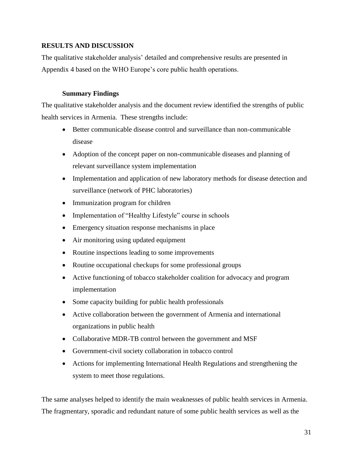# **RESULTS AND DISCUSSION**

The qualitative stakeholder analysis' detailed and comprehensive results are presented in Appendix 4 based on the WHO Europe's core public health operations.

## **Summary Findings**

The qualitative stakeholder analysis and the document review identified the strengths of public health services in Armenia. These strengths include:

- Better communicable disease control and surveillance than non-communicable disease
- Adoption of the concept paper on non-communicable diseases and planning of relevant surveillance system implementation
- Implementation and application of new laboratory methods for disease detection and surveillance (network of PHC laboratories)
- Immunization program for children
- Implementation of "Healthy Lifestyle" course in schools
- Emergency situation response mechanisms in place
- Air monitoring using updated equipment
- Routine inspections leading to some improvements
- Routine occupational checkups for some professional groups
- Active functioning of tobacco stakeholder coalition for advocacy and program implementation
- Some capacity building for public health professionals
- Active collaboration between the government of Armenia and international organizations in public health
- Collaborative MDR-TB control between the government and MSF
- Government-civil society collaboration in tobacco control
- Actions for implementing International Health Regulations and strengthening the system to meet those regulations.

The same analyses helped to identify the main weaknesses of public health services in Armenia. The fragmentary, sporadic and redundant nature of some public health services as well as the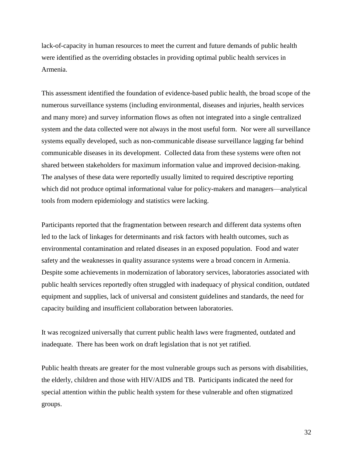lack-of-capacity in human resources to meet the current and future demands of public health were identified as the overriding obstacles in providing optimal public health services in Armenia.

This assessment identified the foundation of evidence-based public health, the broad scope of the numerous surveillance systems (including environmental, diseases and injuries, health services and many more) and survey information flows as often not integrated into a single centralized system and the data collected were not always in the most useful form. Nor were all surveillance systems equally developed, such as non-communicable disease surveillance lagging far behind communicable diseases in its development. Collected data from these systems were often not shared between stakeholders for maximum information value and improved decision-making. The analyses of these data were reportedly usually limited to required descriptive reporting which did not produce optimal informational value for policy-makers and managers—analytical tools from modern epidemiology and statistics were lacking.

Participants reported that the fragmentation between research and different data systems often led to the lack of linkages for determinants and risk factors with health outcomes, such as environmental contamination and related diseases in an exposed population. Food and water safety and the weaknesses in quality assurance systems were a broad concern in Armenia. Despite some achievements in modernization of laboratory services, laboratories associated with public health services reportedly often struggled with inadequacy of physical condition, outdated equipment and supplies, lack of universal and consistent guidelines and standards, the need for capacity building and insufficient collaboration between laboratories.

It was recognized universally that current public health laws were fragmented, outdated and inadequate. There has been work on draft legislation that is not yet ratified.

Public health threats are greater for the most vulnerable groups such as persons with disabilities, the elderly, children and those with HIV/AIDS and TB. Participants indicated the need for special attention within the public health system for these vulnerable and often stigmatized groups.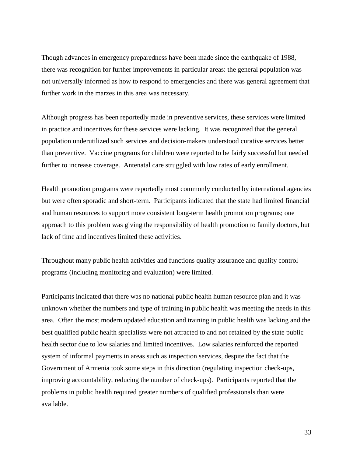Though advances in emergency preparedness have been made since the earthquake of 1988, there was recognition for further improvements in particular areas: the general population was not universally informed as how to respond to emergencies and there was general agreement that further work in the marzes in this area was necessary.

Although progress has been reportedly made in preventive services, these services were limited in practice and incentives for these services were lacking. It was recognized that the general population underutilized such services and decision-makers understood curative services better than preventive. Vaccine programs for children were reported to be fairly successful but needed further to increase coverage. Antenatal care struggled with low rates of early enrollment.

Health promotion programs were reportedly most commonly conducted by international agencies but were often sporadic and short-term. Participants indicated that the state had limited financial and human resources to support more consistent long-term health promotion programs; one approach to this problem was giving the responsibility of health promotion to family doctors, but lack of time and incentives limited these activities.

Throughout many public health activities and functions quality assurance and quality control programs (including monitoring and evaluation) were limited.

Participants indicated that there was no national public health human resource plan and it was unknown whether the numbers and type of training in public health was meeting the needs in this area. Often the most modern updated education and training in public health was lacking and the best qualified public health specialists were not attracted to and not retained by the state public health sector due to low salaries and limited incentives. Low salaries reinforced the reported system of informal payments in areas such as inspection services, despite the fact that the Government of Armenia took some steps in this direction (regulating inspection check-ups, improving accountability, reducing the number of check-ups). Participants reported that the problems in public health required greater numbers of qualified professionals than were available.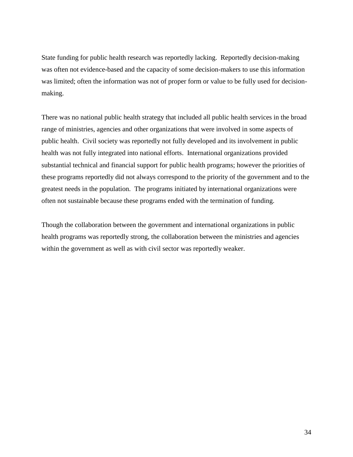State funding for public health research was reportedly lacking. Reportedly decision-making was often not evidence-based and the capacity of some decision-makers to use this information was limited; often the information was not of proper form or value to be fully used for decisionmaking.

There was no national public health strategy that included all public health services in the broad range of ministries, agencies and other organizations that were involved in some aspects of public health. Civil society was reportedly not fully developed and its involvement in public health was not fully integrated into national efforts. International organizations provided substantial technical and financial support for public health programs; however the priorities of these programs reportedly did not always correspond to the priority of the government and to the greatest needs in the population. The programs initiated by international organizations were often not sustainable because these programs ended with the termination of funding.

Though the collaboration between the government and international organizations in public health programs was reportedly strong, the collaboration between the ministries and agencies within the government as well as with civil sector was reportedly weaker.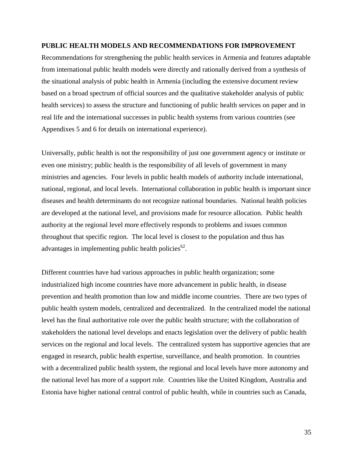#### **PUBLIC HEALTH MODELS AND RECOMMENDATIONS FOR IMPROVEMENT**

Recommendations for strengthening the public health services in Armenia and features adaptable from international public health models were directly and rationally derived from a synthesis of the situational analysis of pubic health in Armenia (including the extensive document review based on a broad spectrum of official sources and the qualitative stakeholder analysis of public health services) to assess the structure and functioning of public health services on paper and in real life and the international successes in public health systems from various countries (see Appendixes 5 and 6 for details on international experience).

Universally, public health is not the responsibility of just one government agency or institute or even one ministry; public health is the responsibility of all levels of government in many ministries and agencies. Four levels in public health models of authority include international, national, regional, and local levels. International collaboration in public health is important since diseases and health determinants do not recognize national boundaries. National health policies are developed at the national level, and provisions made for resource allocation. Public health authority at the regional level more effectively responds to problems and issues common throughout that specific region. The local level is closest to the population and thus has advantages in implementing public health policies<sup>62</sup>.

Different countries have had various approaches in public health organization; some industrialized high income countries have more advancement in public health, in disease prevention and health promotion than low and middle income countries. There are two types of public health system models, centralized and decentralized. In the centralized model the national level has the final authoritative role over the public health structure; with the collaboration of stakeholders the national level develops and enacts legislation over the delivery of public health services on the regional and local levels. The centralized system has supportive agencies that are engaged in research, public health expertise, surveillance, and health promotion. In countries with a decentralized public health system, the regional and local levels have more autonomy and the national level has more of a support role. Countries like the United Kingdom, Australia and Estonia have higher national central control of public health, while in countries such as Canada,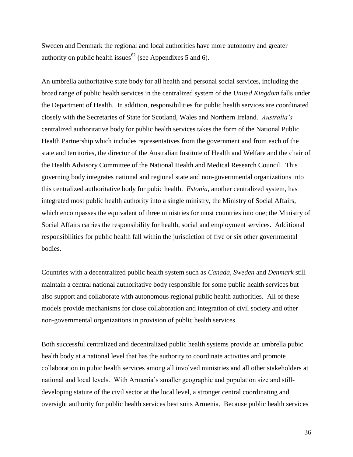Sweden and Denmark the regional and local authorities have more autonomy and greater authority on public health issues<sup>62</sup> (see Appendixes 5 and 6).

An umbrella authoritative state body for all health and personal social services, including the broad range of public health services in the centralized system of the *United Kingdom* falls under the Department of Health. In addition, responsibilities for public health services are coordinated closely with the Secretaries of State for Scotland, Wales and Northern Ireland. *Australia's* centralized authoritative body for public health services takes the form of the National Public Health Partnership which includes representatives from the government and from each of the state and territories, the director of the Australian Institute of Health and Welfare and the chair of the Health Advisory Committee of the National Health and Medical Research Council. This governing body integrates national and regional state and non-governmental organizations into this centralized authoritative body for pubic health. *Estonia*, another centralized system, has integrated most public health authority into a single ministry, the Ministry of Social Affairs, which encompasses the equivalent of three ministries for most countries into one; the Ministry of Social Affairs carries the responsibility for health, social and employment services. Additional responsibilities for public health fall within the jurisdiction of five or six other governmental bodies.

Countries with a decentralized public health system such as *Canada, Sweden* and *Denmark* still maintain a central national authoritative body responsible for some public health services but also support and collaborate with autonomous regional public health authorities. All of these models provide mechanisms for close collaboration and integration of civil society and other non-governmental organizations in provision of public health services.

Both successful centralized and decentralized public health systems provide an umbrella pubic health body at a national level that has the authority to coordinate activities and promote collaboration in pubic health services among all involved ministries and all other stakeholders at national and local levels. With Armenia's smaller geographic and population size and stilldeveloping stature of the civil sector at the local level, a stronger central coordinating and oversight authority for public health services best suits Armenia. Because public health services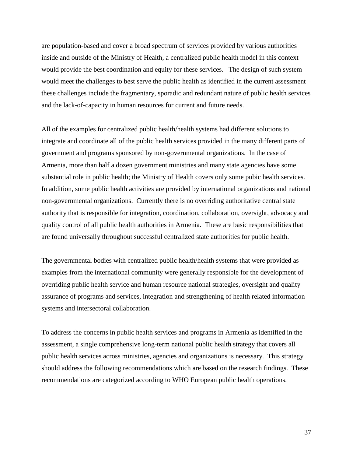are population-based and cover a broad spectrum of services provided by various authorities inside and outside of the Ministry of Health, a centralized public health model in this context would provide the best coordination and equity for these services. The design of such system would meet the challenges to best serve the public health as identified in the current assessment – these challenges include the fragmentary, sporadic and redundant nature of public health services and the lack-of-capacity in human resources for current and future needs.

All of the examples for centralized public health/health systems had different solutions to integrate and coordinate all of the public health services provided in the many different parts of government and programs sponsored by non-governmental organizations. In the case of Armenia, more than half a dozen government ministries and many state agencies have some substantial role in public health; the Ministry of Health covers only some pubic health services. In addition, some public health activities are provided by international organizations and national non-governmental organizations. Currently there is no overriding authoritative central state authority that is responsible for integration, coordination, collaboration, oversight, advocacy and quality control of all public health authorities in Armenia. These are basic responsibilities that are found universally throughout successful centralized state authorities for public health.

The governmental bodies with centralized public health/health systems that were provided as examples from the international community were generally responsible for the development of overriding public health service and human resource national strategies, oversight and quality assurance of programs and services, integration and strengthening of health related information systems and intersectoral collaboration.

To address the concerns in public health services and programs in Armenia as identified in the assessment, a single comprehensive long-term national public health strategy that covers all public health services across ministries, agencies and organizations is necessary. This strategy should address the following recommendations which are based on the research findings. These recommendations are categorized according to WHO European public health operations.

37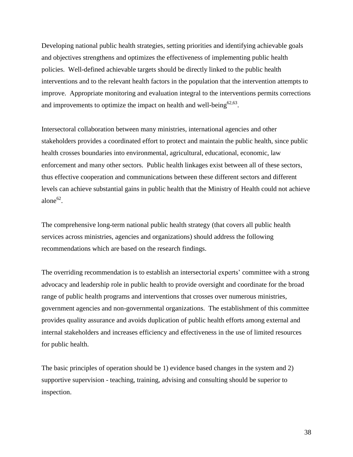Developing national public health strategies, setting priorities and identifying achievable goals and objectives strengthens and optimizes the effectiveness of implementing public health policies. Well-defined achievable targets should be directly linked to the public health interventions and to the relevant health factors in the population that the intervention attempts to improve. Appropriate monitoring and evaluation integral to the interventions permits corrections and improvements to optimize the impact on health and well-being<sup>62,63</sup>.

Intersectoral collaboration between many ministries, international agencies and other stakeholders provides a coordinated effort to protect and maintain the public health, since public health crosses boundaries into environmental, agricultural, educational, economic, law enforcement and many other sectors. Public health linkages exist between all of these sectors, thus effective cooperation and communications between these different sectors and different levels can achieve substantial gains in public health that the Ministry of Health could not achieve alone $^{62}$ .

The comprehensive long-term national public health strategy (that covers all public health services across ministries, agencies and organizations) should address the following recommendations which are based on the research findings.

The overriding recommendation is to establish an intersectorial experts' committee with a strong advocacy and leadership role in public health to provide oversight and coordinate for the broad range of public health programs and interventions that crosses over numerous ministries, government agencies and non-governmental organizations. The establishment of this committee provides quality assurance and avoids duplication of public health efforts among external and internal stakeholders and increases efficiency and effectiveness in the use of limited resources for public health.

The basic principles of operation should be 1) evidence based changes in the system and 2) supportive supervision - teaching, training, advising and consulting should be superior to inspection.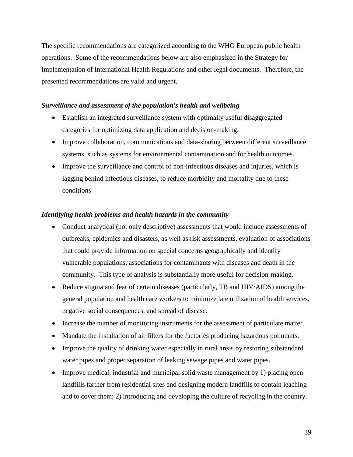The specific recommendations are categorized according to the WHO European public health operations. Some of the recommendations below are also emphasized in the Strategy for Implementation of International Health Regulations and other legal documents. Therefore, the presented recommendations are valid and urgent.

#### *Surveillance and assessment of the population's health and wellbeing*

- Establish an integrated surveillance system with optimally useful disaggregated categories for optimizing data application and decision-making.
- Improve collaboration, communications and data-sharing between different surveillance systems, such as systems for environmental contamination and for health outcomes.
- Improve the surveillance and control of non-infectious diseases and injuries, which is lagging behind infectious diseases, to reduce morbidity and mortality due to these conditions.

### *Identifying health problems and health hazards in the community*

- Conduct analytical (not only descriptive) assessments that would include assessments of outbreaks, epidemics and disasters, as well as risk assessments, evaluation of associations that could provide information on special concerns geographically and identify vulnerable populations, associations for contaminants with diseases and death in the community. This type of analysis is substantially more useful for decision-making.
- Reduce stigma and fear of certain diseases (particularly, TB and HIV/AIDS) among the general population and health care workers to minimize late utilization of health services, negative social consequences, and spread of disease.
- Increase the number of monitoring instruments for the assessment of particulate matter.
- Mandate the installation of air filters for the factories producing hazardous pollutants.
- Improve the quality of drinking water especially in rural areas by restoring substandard water pipes and proper separation of leaking sewage pipes and water pipes.
- Improve medical, industrial and municipal solid waste management by 1) placing open landfills farther from residential sites and designing modern landfills to contain leaching and to cover them; 2) introducing and developing the culture of recycling in the country.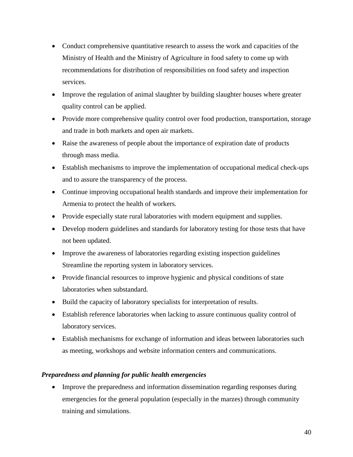- Conduct comprehensive quantitative research to assess the work and capacities of the Ministry of Health and the Ministry of Agriculture in food safety to come up with recommendations for distribution of responsibilities on food safety and inspection services.
- Improve the regulation of animal slaughter by building slaughter houses where greater quality control can be applied.
- Provide more comprehensive quality control over food production, transportation, storage and trade in both markets and open air markets.
- Raise the awareness of people about the importance of expiration date of products through mass media.
- Establish mechanisms to improve the implementation of occupational medical check-ups and to assure the transparency of the process.
- Continue improving occupational health standards and improve their implementation for Armenia to protect the health of workers.
- Provide especially state rural laboratories with modern equipment and supplies.
- Develop modern guidelines and standards for laboratory testing for those tests that have not been updated.
- Improve the awareness of laboratories regarding existing inspection guidelines Streamline the reporting system in laboratory services.
- Provide financial resources to improve hygienic and physical conditions of state laboratories when substandard.
- Build the capacity of laboratory specialists for interpretation of results.
- Establish reference laboratories when lacking to assure continuous quality control of laboratory services.
- Establish mechanisms for exchange of information and ideas between laboratories such as meeting, workshops and website information centers and communications.

# *Preparedness and planning for public health emergencies*

• Improve the preparedness and information dissemination regarding responses during emergencies for the general population (especially in the marzes) through community training and simulations.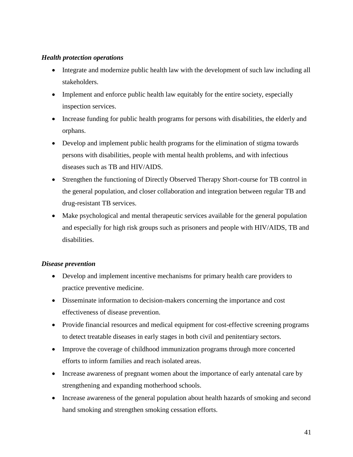# *Health protection operations*

- Integrate and modernize public health law with the development of such law including all stakeholders.
- Implement and enforce public health law equitably for the entire society, especially inspection services.
- Increase funding for public health programs for persons with disabilities, the elderly and orphans.
- Develop and implement public health programs for the elimination of stigma towards persons with disabilities, people with mental health problems, and with infectious diseases such as TB and HIV/AIDS.
- Strengthen the functioning of Directly Observed Therapy Short-course for TB control in the general population, and closer collaboration and integration between regular TB and drug-resistant TB services.
- Make psychological and mental therapeutic services available for the general population and especially for high risk groups such as prisoners and people with HIV/AIDS, TB and disabilities.

# *Disease prevention*

- Develop and implement incentive mechanisms for primary health care providers to practice preventive medicine.
- Disseminate information to decision-makers concerning the importance and cost effectiveness of disease prevention.
- Provide financial resources and medical equipment for cost-effective screening programs to detect treatable diseases in early stages in both civil and penitentiary sectors.
- Improve the coverage of childhood immunization programs through more concerted efforts to inform families and reach isolated areas.
- Increase awareness of pregnant women about the importance of early antenatal care by strengthening and expanding motherhood schools.
- Increase awareness of the general population about health hazards of smoking and second hand smoking and strengthen smoking cessation efforts.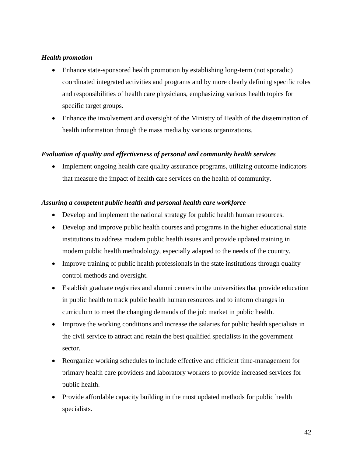# *Health promotion*

- Enhance state-sponsored health promotion by establishing long-term (not sporadic) coordinated integrated activities and programs and by more clearly defining specific roles and responsibilities of health care physicians, emphasizing various health topics for specific target groups.
- Enhance the involvement and oversight of the Ministry of Health of the dissemination of health information through the mass media by various organizations.

# *Evaluation of quality and effectiveness of personal and community health services*

• Implement ongoing health care quality assurance programs, utilizing outcome indicators that measure the impact of health care services on the health of community.

## *Assuring a competent public health and personal health care workforce*

- Develop and implement the national strategy for public health human resources.
- Develop and improve public health courses and programs in the higher educational state institutions to address modern public health issues and provide updated training in modern public health methodology, especially adapted to the needs of the country.
- Improve training of public health professionals in the state institutions through quality control methods and oversight.
- Establish graduate registries and alumni centers in the universities that provide education in public health to track public health human resources and to inform changes in curriculum to meet the changing demands of the job market in public health.
- Improve the working conditions and increase the salaries for public health specialists in the civil service to attract and retain the best qualified specialists in the government sector.
- Reorganize working schedules to include effective and efficient time-management for primary health care providers and laboratory workers to provide increased services for public health.
- Provide affordable capacity building in the most updated methods for public health specialists.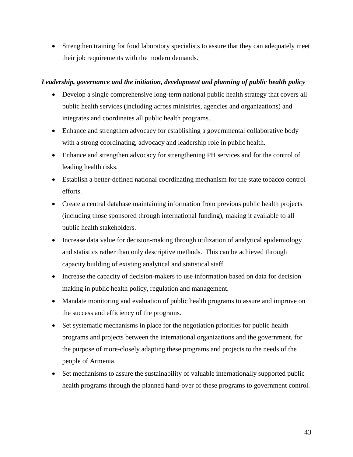Strengthen training for food laboratory specialists to assure that they can adequately meet their job requirements with the modern demands.

# *Leadership, governance and the initiation, development and planning of public health policy*

- Develop a single comprehensive long-term national public health strategy that covers all public health services (including across ministries, agencies and organizations) and integrates and coordinates all public health programs.
- Enhance and strengthen advocacy for establishing a governmental collaborative body with a strong coordinating, advocacy and leadership role in public health.
- Enhance and strengthen advocacy for strengthening PH services and for the control of leading health risks.
- Establish a better-defined national coordinating mechanism for the state tobacco control efforts.
- Create a central database maintaining information from previous public health projects (including those sponsored through international funding), making it available to all public health stakeholders.
- Increase data value for decision-making through utilization of analytical epidemiology and statistics rather than only descriptive methods. This can be achieved through capacity building of existing analytical and statistical staff.
- Increase the capacity of decision-makers to use information based on data for decision making in public health policy, regulation and management.
- Mandate monitoring and evaluation of public health programs to assure and improve on the success and efficiency of the programs.
- Set systematic mechanisms in place for the negotiation priorities for public health programs and projects between the international organizations and the government, for the purpose of more-closely adapting these programs and projects to the needs of the people of Armenia.
- Set mechanisms to assure the sustainability of valuable internationally supported public health programs through the planned hand-over of these programs to government control.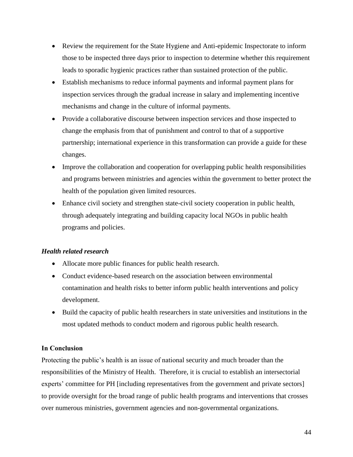- Review the requirement for the State Hygiene and Anti-epidemic Inspectorate to inform those to be inspected three days prior to inspection to determine whether this requirement leads to sporadic hygienic practices rather than sustained protection of the public.
- Establish mechanisms to reduce informal payments and informal payment plans for inspection services through the gradual increase in salary and implementing incentive mechanisms and change in the culture of informal payments.
- Provide a collaborative discourse between inspection services and those inspected to change the emphasis from that of punishment and control to that of a supportive partnership; international experience in this transformation can provide a guide for these changes.
- Improve the collaboration and cooperation for overlapping public health responsibilities and programs between ministries and agencies within the government to better protect the health of the population given limited resources.
- Enhance civil society and strengthen state-civil society cooperation in public health, through adequately integrating and building capacity local NGOs in public health programs and policies.

# *Health related research*

- Allocate more public finances for public health research.
- Conduct evidence-based research on the association between environmental contamination and health risks to better inform public health interventions and policy development.
- Build the capacity of public health researchers in state universities and institutions in the most updated methods to conduct modern and rigorous public health research.

# **In Conclusion**

Protecting the public's health is an issue of national security and much broader than the responsibilities of the Ministry of Health. Therefore, it is crucial to establish an intersectorial experts' committee for PH [including representatives from the government and private sectors] to provide oversight for the broad range of public health programs and interventions that crosses over numerous ministries, government agencies and non-governmental organizations.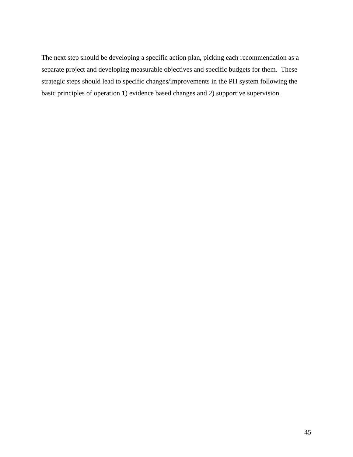The next step should be developing a specific action plan, picking each recommendation as a separate project and developing measurable objectives and specific budgets for them. These strategic steps should lead to specific changes/improvements in the PH system following the basic principles of operation 1) evidence based changes and 2) supportive supervision.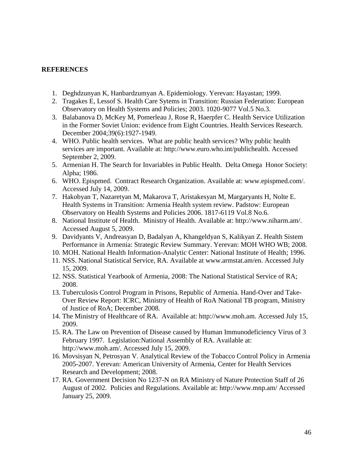### **REFERENCES**

- 1. Deghdzunyan K, Hanbardzumyan A. Epidemiology. Yerevan: Hayastan; 1999.
- 2. Tragakes E, Lessof S. Health Care Sytems in Transition: Russian Federation: European Observatory on Health Systems and Policies; 2003. 1020-9077 Vol.5 No.3.
- 3. Balabanova D, McKey M, Pomerleau J, Rose R, Haerpfer C. Health Service Utilization in the Former Soviet Union: evidence from Eight Countries. Health Services Research. December 2004;39(6):1927-1949.
- 4. WHO. Public health services. What are public health services? Why public health services are important. Available at: http://www.euro.who.int/publichealth. Accessed September 2, 2009.
- 5. Armenian H. The Search for Invariables in Public Health. Delta Omega Honor Society: Alpha; 1986.
- 6. WHO. Epispmed. Contract Research Organization. Available at: www.epispmed.com/. Accessed July 14, 2009.
- 7. Hakobyan T, Nazaretyan M, Makarova T, Aristakesyan M, Margaryants H, Nolte E. Health Systems in Transition: Armenia Health system review. Padstow: European Observatory on Health Systems and Policies 2006. 1817-6119 Vol.8 No.6.
- 8. National Institute of Health. Ministry of Health. Available at: http://www.niharm.am/. Accessed August 5, 2009.
- 9. Davidyants V, Andreasyan D, Badalyan A, Khangeldyan S, Kalikyan Z. Health Sistem Performance in Armenia: Strategic Review Summary. Yerevan: MOH WHO WB; 2008.
- 10. MOH. National Health Information-Analytic Center: National Institute of Health; 1996.
- 11. NSS. National Statistical Service, RA. Available at [www.armstat.am/en. Accessed July](http://www.armstat.am/en.%20Accessed%20July%2015)  [15,](http://www.armstat.am/en.%20Accessed%20July%2015) 2009.
- 12. NSS. Statistical Yearbook of Armenia, 2008: The National Statistical Service of RA; 2008.
- 13. Tuberculosis Control Program in Prisons, Republic of Armenia. Hand-Over and Take-Over Review Report: ICRC, Ministry of Health of RoA National TB program, Ministry of Justice of RoA; December 2008.
- 14. The Ministry of Healthcare of RA. Available at: http://www.moh.am. Accessed July 15, 2009.
- 15. RA. The Law on Prevention of Disease caused by Human Immunodeficiency Virus of 3 February 1997. Legislation:National Assembly of RA. Available at: http://www.moh.am/. Accessed July 15, 2009.
- 16. Movsisyan N, Petrosyan V. Analytical Review of the Tobacco Control Policy in Armenia 2005-2007. Yerevan: American University of Armenia, Center for Health Services Research and Development; 2008.
- 17. RA. Government Decision No 1237-N on RA Ministry of Nature Protection Staff of 26 August of 2002. Policies and Regulations. Available at: http://www.mnp.am/ Accessed January 25, 2009.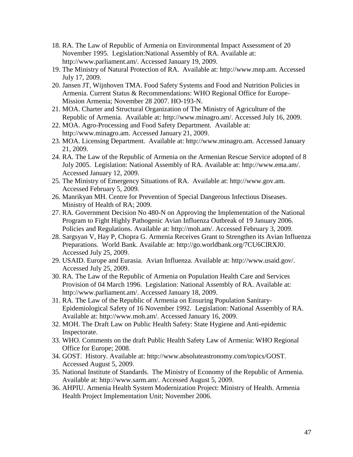- 18. RA. The Law of Republic of Armenia on Environmental Impact Assessment of 20 November 1995. Legislation:National Assembly of RA. Available at: http://www.parliament.am/. Accessed January 19, 2009.
- 19. The Ministry of Natural Protection of RA. Available at: http://www.mnp.am. Accessed July 17, 2009.
- 20. Jansen JT, Wijnhoven TMA. Food Safety Systems and Food and Nutrition Policies in Armenia. Current Status & Recommendations: WHO Regional Office for Europe-Mission Armenia; November 28 2007. HO-193-N.
- 21. MOA. Charter and Structural Organization of The Ministry of Agriculture of the Republic of Armenia. Available at: http://www.minagro.am/. Accessed July 16, 2009.
- 22. MOA. Agro-Processing and Food Safety Department. Available at: http://www.minagro.am. Accessed January 21, 2009.
- 23. MOA. Licensing Department. Available at: http://www.minagro.am. Accessed January 21, 2009.
- 24. RA. The Law of the Republic of Armenia on the Armenian Rescue Service adopted of 8 July 2005. Legislation: National Assembly of RA. Available at: http://www.ema.am/. Accessed January 12, 2009.
- 25. The Ministry of Emergency Situations of RA. Available at: http://www.gov.am. Accessed February 5, 2009.
- 26. Manrikyan MH. Centre for Prevention of Special Dangerous Infectious Diseases. Ministry of Health of RA; 2009.
- 27. RA. Government Decision No 480-N on Approving the Implementation of the National Program to Fight Highly Pathogenic Avian Influenza Outbreak of 19 January 2006. Policies and Regulations. Available at: http://moh.am/. Accessed February 3, 2009.
- 28. Sargsyan V, Hay P, Chopra G. Armenia Receives Grant to Strengthen its Avian Influenza Preparations. World Bank. Available at: http://go.worldbank.org/7CU6CIRXJ0. Accessed July 25, 2009.
- 29. USAID. Europe and Eurasia. Avian Influenza. Available at: http://www.usaid.gov/. Accessed July 25, 2009.
- 30. RA. The Law of the Republic of Armenia on Population Health Care and Services Provision of 04 March 1996. Legislation: National Assembly of RA. Available at: http://www.parliament.am/. Accessed January 18, 2009.
- 31. RA. The Law of the Republic of Armenia on Ensuring Population Sanitary-Epidemiological Safety of 16 November 1992. Legislation: National Assembly of RA. Available at: http://www.moh.am/. Accessed January 16, 2009.
- 32. MOH. The Draft Law on Public Health Safety: State Hygiene and Anti-epidemic Inspectorate.
- 33. WHO. Comments on the draft Public Health Safety Law of Armenia: WHO Regional Office for Europe; 2008.
- 34. GOST. History. Available at: http://www.absoluteastronomy.com/topics/GOST. Accessed August 5, 2009.
- 35. National Institute of Standards. The Ministry of Economy of the Republic of Armenia. Available at: http://www.sarm.am/. Accessed August 5, 2009.
- 36. AHPIU. Armenia Health System Modernization Project: Ministry of Health. Armenia Health Project Implementation Unit; November 2006.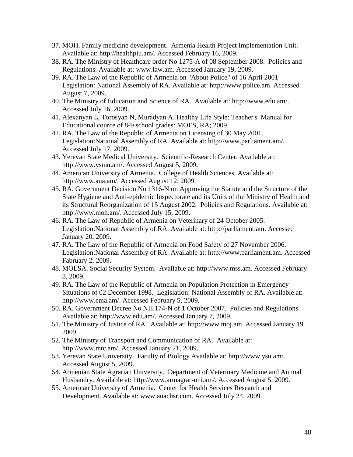- 37. MOH. Family medicine development. Armenia Health Project Implementation Unit. Available at: http://healthpiu.am/. Accessed February 16, 2009.
- 38. RA. The Ministry of Healthcare order No 1275-A of 08 September 2008. Policies and Regulations. Available at: www.law.am. Accessed January 19, 2009.
- 39. RA. The Law of the Republic of Armenia on "About Police" of 16 April 2001 Legislation: National Assembly of RA. Available at: http://www.police.am. Accessed August 7, 2009.
- 40. The Ministry of Education and Science of RA. Available at: http://www.edu.am/. Accessed July 16, 2009.
- 41. Alexanyan L, Torosyan N, Muradyan A. Healthy Life Style: Teacher's Manual for Educational cource of 8-9 school grades: MOES, RA; 2009.
- 42. RA. The Law of the Republic of Armenia on Licensing of 30 May 2001. Legislation:National Assembly of RA. Available at: http://www.parliament.am/. Accessed July 17, 2009.
- 43. Yerevan State Medical University. Scientific-Research Center. Available at: http://www.ysmu.am/. Accessed August 5, 2009.
- 44. American University of Armenia. College of Health Sciences. Available at: http://www.aua.am/. Accessed August 12, 2009.
- 45. RA. Government Decision No 1316-N on Approving the Statute and the Structure of the State Hygiene and Anti-epidemic Inspectorate and its Units of the Ministry of Health and its Structural Reorganization of 15 August 2002. Policies and Regulations. Available at: http://www.moh.am/. Accessed July 15, 2009.
- 46. RA. The Law of Republic of Armenia on Veterinary of 24 October 2005. Legislation:National Assembly of RA. Available at: http://parliament.am. Accessed January 20, 2009.
- 47. RA. The Law of the Republic of Armenia on Food Safety of 27 November 2006. Legislation:National Assembly of RA. Available at: http://www.parliament.am. Accessed Fabruary 2, 2009.
- 48. MOLSA. Social Security System. Available at: http://www.mss.am. Accessed February 8, 2009.
- 49. RA. The Law of the Republic of Armenia on Population Protection in Emergency Situations of 02 December 1998. Legislation: National Assembly of RA. Available at: http://www.ema.am/. Accessed February 5, 2009.
- 50. RA. Government Decree No NH 174-N of 1 October 2007. Policies and Regulations. Available at: http://www.edu.am/. Accessed January 7, 2009.
- 51. The Ministry of Justice of RA. Available at: http://www.moj.am. Accessed January 19 2009.
- 52. The Ministry of Transport and Communication of RA. Available at: http://www.mtc.am/. Accessed January 21, 2009.
- 53. Yerevan State University. Faculty of Biology Available at: http://www.ysu.am/. Accessed August 5, 2009.
- 54. Armenian State Agrarian University. Department of Veterinary Medicine and Animal Husbandry. Available at: http://www.armagrar-uni.am/. Accessed August 5, 2009.
- 55. American University of Armenia. Center for Health Services Research and Development. Available at: www.auachsr.com. Accessed July 24, 2009.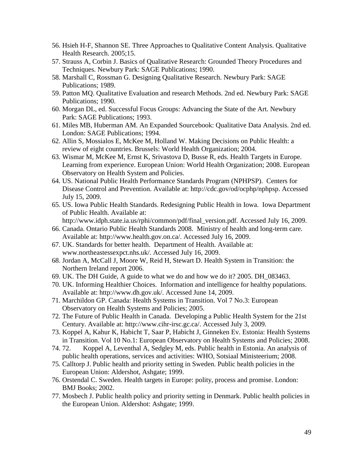- 56. Hsieh H-F, Shannon SE. Three Approaches to Qualitative Content Analysis. Qualitative Health Research. 2005;15.
- 57. Strauss A, Corbin J. Basics of Qualitative Research: Grounded Theory Procedures and Techniques. Newbury Park: SAGE Publications; 1990.
- 58. Marshall C, Rossman G. Designing Qualitative Research. Newbury Park: SAGE Publications; 1989.
- 59. Patton MQ. Qualitative Evaluation and research Methods. 2nd ed. Newbury Park: SAGE Publications; 1990.
- 60. Morgan DL, ed. Successful Focus Groups: Advancing the State of the Art. Newbury Park: SAGE Publications; 1993.
- 61. Miles MB, Huberman AM. An Expanded Sourcebook: Qualitative Data Analysis. 2nd ed. London: SAGE Publications; 1994.
- 62. Allin S, Mossialos E, McKee M, Holland W. Making Decisions on Public Health: a review of eight countries. Brussels: World Health Organization; 2004.
- 63. Wismar M, McKee M, Ernst K, Srivastova D, Busse R, eds. Health Targets in Europe. Learning from experience. European Union: World Health Organization; 2008. European Observatory on Health System and Policies.
- 64. US. National Public Health Performance Standards Program (NPHPSP). Centers for Disease Control and Prevention. Available at: http://cdc.gov/od/ocphp/nphpsp. Accessed July 15, 2009.
- 65. US. Iowa Public Health Standards. Redesigning Public Health in Iowa. Iowa Department of Public Health. Available at:

http://www.idph.state.ia.us/rphi/common/pdf/final\_version.pdf. Accessed July 16, 2009.

- 66. Canada. Ontario Public Health Standards 2008. Ministry of health and long-term care. Available at: http://www.health.gov.on.ca/. Accessed July 16, 2009.
- 67. UK. Standards for better health. Department of Health. Available at: www.northeastessexpct.nhs.uk/. Accessed July 16, 2009.
- 68. Jordan A, McCall J, Moore W, Reid H, Stewart D. Health System in Transition: the Northern Ireland report 2006.
- 69. UK. The DH Guide, A guide to what we do and how we do it? 2005. DH\_083463.
- 70. UK. Informing Healthier Choices. Information and intelligence for healthy populations. Available at: http://www.dh.gov.uk/. Accessed June 14, 2009.
- 71. Marchildon GP. Canada: Health Systems in Transition. Vol 7 No.3: European Observatory on Health Systems and Policies; 2005.
- 72. The Future of Public Health in Canada. Developing a Public Health System for the 21st Century. Available at: http://www.cihr-irsc.gc.ca/. Accessed July 3, 2009.
- 73. Koppel A, Kahur K, Habicht T, Saar P, Habicht J, Ginneken Ev. Estonia: Health Systems in Transition. Vol 10 No.1: European Observatory on Health Systems and Policies; 2008.
- 74. 72. Koppel A, Leventhal A, Sedgley M, eds. Public health in Estonia. An analysis of public health operations, services and activities: WHO, Sotsiaal Ministeerium; 2008.
- 75. Calltorp J. Public health and priority setting in Sweden. Public health policies in the European Union: Aldershot, Ashgate; 1999.
- 76. Orstendal C. Sweden. Health targets in Europe: polity, process and promise. London: BMJ Books; 2002.
- 77. Mosbech J. Public health policy and priority setting in Denmark. Public health policies in the European Union. Aldershot: Ashgate; 1999.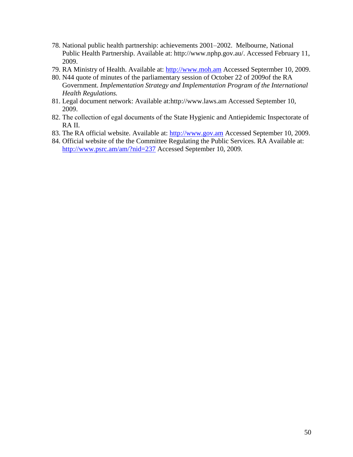- 78. National public health partnership: achievements 2001–2002. Melbourne, National Public Health Partnership. Available at: http://www.nphp.gov.au/. Accessed February 11, 2009.
- 79. RA Ministry of Health. Available at: [http://www.moh.am](http://www.moh.am/) Accessed Septermber 10, 2009.
- 80. N44 quote of minutes of the parliamentary session of October 22 of 2009of the RA Government. *Implementation Strategy and Implementation Program of the International Health Regulations.*
- 81. Legal document network: Available at:http://www.laws.am Accessed September 10, 2009.
- 82. Тhe collection of egal documents of the State Hygienic and Antiepidemic Inspectorate of RA II.
- 83. The RA official website. Available at: [http://www.gov.am](http://www.gov.am/) Accessed September 10, 2009.
- 84. Official website of the the Committee Regulating the Public Services. RA Available at: <http://www.psrc.am/am/?nid=237> Accessed September 10, 2009.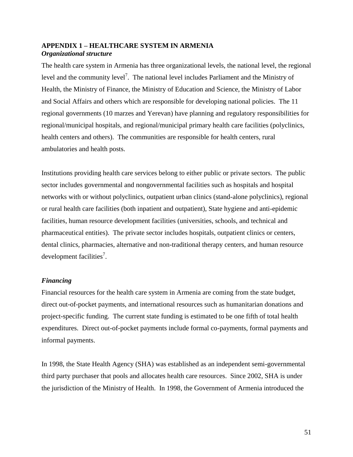## **APPENDIX 1 – HEALTHCARE SYSTEM IN ARMENIA** *Organizational structure*

The health care system in Armenia has three organizational levels, the national level, the regional level and the community level<sup>7</sup>. The national level includes Parliament and the Ministry of Health, the Ministry of Finance, the Ministry of Education and Science, the Ministry of Labor and Social Affairs and others which are responsible for developing national policies. The 11 regional governments (10 marzes and Yerevan) have planning and regulatory responsibilities for regional/municipal hospitals, and regional/municipal primary health care facilities (polyclinics, health centers and others). The communities are responsible for health centers, rural ambulatories and health posts.

Institutions providing health care services belong to either public or private sectors. The public sector includes governmental and nongovernmental facilities such as hospitals and hospital networks with or without polyclinics, outpatient urban clinics (stand-alone polyclinics), regional or rural health care facilities (both inpatient and outpatient), State hygiene and anti-epidemic facilities, human resource development facilities (universities, schools, and technical and pharmaceutical entities). The private sector includes hospitals, outpatient clinics or centers, dental clinics, pharmacies, alternative and non-traditional therapy centers, and human resource development facilities<sup>7</sup>.

### *Financing*

Financial resources for the health care system in Armenia are coming from the state budget, direct out-of-pocket payments, and international resources such as humanitarian donations and project-specific funding. The current state funding is estimated to be one fifth of total health expenditures. Direct out-of-pocket payments include formal co-payments, formal payments and informal payments.

In 1998, the State Health Agency (SHA) was established as an independent semi-governmental third party purchaser that pools and allocates health care resources. Since 2002, SHA is under the jurisdiction of the Ministry of Health. In 1998, the Government of Armenia introduced the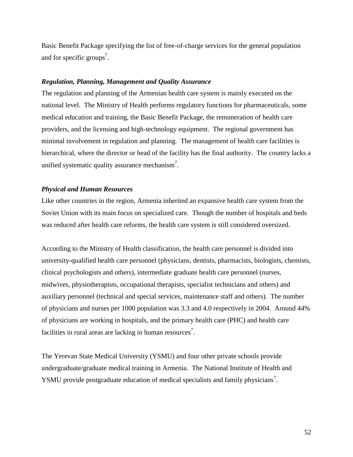Basic Benefit Package specifying the list of free-of-charge services for the general population and for specific groups<sup>7</sup>.

#### *Regulation, Planning, Management and Quality Assurance*

The regulation and planning of the Armenian health care system is mainly executed on the national level. The Ministry of Health performs regulatory functions for pharmaceuticals, some medical education and training, the Basic Benefit Package, the remuneration of health care providers, and the licensing and high-technology equipment. The regional government has minimal involvement in regulation and planning. The management of health care facilities is hierarchical, where the director or head of the facility has the final authority. The country lacks a unified systematic quality assurance mechanism<sup>7</sup>.

### *Physical and Human Resources*

Like other countries in the region, Armenia inherited an expansive health care system from the Soviet Union with its main focus on specialized care. Though the number of hospitals and beds was reduced after health care reforms, the health care system is still considered oversized.

According to the Ministry of Health classification, the health care personnel is divided into university-qualified health care personnel (physicians, dentists, pharmacists, biologists, chemists, clinical psychologists and others), intermediate graduate health care personnel (nurses, midwives, physiotherapists, occupational therapists, specialist technicians and others) and auxiliary personnel (technical and special services, maintenance staff and others). The number of physicians and nurses per 1000 population was 3.3 and 4.0 respectively in 2004. Around 44% of physicians are working in hospitals, and the primary health care (PHC) and health care facilities in rural areas are lacking in human resources<sup>7</sup>.

The Yerevan State Medical University (YSMU) and four other private schools provide undergraduate/graduate medical training in Armenia. The National Institute of Health and YSMU provide postgraduate education of medical specialists and family physicians<sup>7</sup>.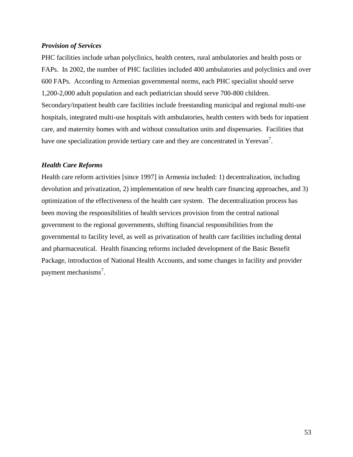### *Provision of Services*

PHC facilities include urban polyclinics, health centers, rural ambulatories and health posts or FAPs. In 2002, the number of PHC facilities included 400 ambulatories and polyclinics and over 600 FAPs. According to Armenian governmental norms, each PHC specialist should serve 1,200-2,000 adult population and each pediatrician should serve 700-800 children. Secondary/inpatient health care facilities include freestanding municipal and regional multi-use hospitals, integrated multi-use hospitals with ambulatories, health centers with beds for inpatient care, and maternity homes with and without consultation units and dispensaries. Facilities that have one specialization provide tertiary care and they are concentrated in Yerevan<sup>7</sup>.

## *Health Care Reforms*

Health care reform activities [since 1997] in Armenia included: 1) decentralization, including devolution and privatization, 2) implementation of new health care financing approaches, and 3) optimization of the effectiveness of the health care system. The decentralization process has been moving the responsibilities of health services provision from the central national government to the regional governments, shifting financial responsibilities from the governmental to facility level, as well as privatization of health care facilities including dental and pharmaceutical. Health financing reforms included development of the Basic Benefit Package, introduction of National Health Accounts, and some changes in facility and provider payment mechanisms<sup>7</sup>.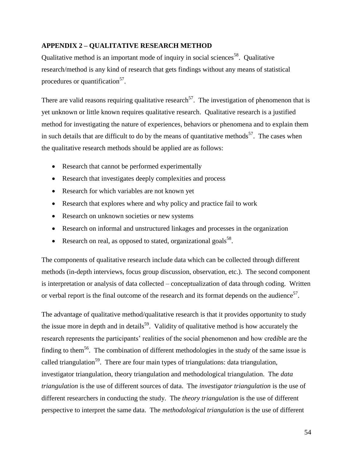# **APPENDIX 2 – QUALITATIVE RESEARCH METHOD**

Qualitative method is an important mode of inquiry in social sciences<sup>58</sup>. Qualitative research/method is any kind of research that gets findings without any means of statistical procedures or quantification<sup>57</sup>.

There are valid reasons requiring qualitative research<sup>57</sup>. The investigation of phenomenon that is yet unknown or little known requires qualitative research. Qualitative research is a justified method for investigating the nature of experiences, behaviors or phenomena and to explain them in such details that are difficult to do by the means of quantitative methods<sup>57</sup>. The cases when the qualitative research methods should be applied are as follows:

- Research that cannot be performed experimentally
- Research that investigates deeply complexities and process
- Research for which variables are not known yet
- Research that explores where and why policy and practice fail to work
- Research on unknown societies or new systems
- Research on informal and unstructured linkages and processes in the organization
- Research on real, as opposed to stated, organizational goals<sup>58</sup>.

The components of qualitative research include data which can be collected through different methods (in-depth interviews, focus group discussion, observation, etc.). The second component is interpretation or analysis of data collected – conceptualization of data through coding. Written or verbal report is the final outcome of the research and its format depends on the audience<sup>57</sup>.

The advantage of qualitative method/qualitative research is that it provides opportunity to study the issue more in depth and in details<sup>59</sup>. Validity of qualitative method is how accurately the research represents the participants' realities of the social phenomenon and how credible are the finding to them<sup>56</sup>. The combination of different methodologies in the study of the same issue is called triangulation<sup>59</sup>. There are four main types of triangulations: data triangulation, investigator triangulation, theory triangulation and methodological triangulation. The *data triangulation* is the use of different sources of data. The *investigator triangulation* is the use of different researchers in conducting the study. The *theory triangulation* is the use of different perspective to interpret the same data. The *methodological triangulation* is the use of different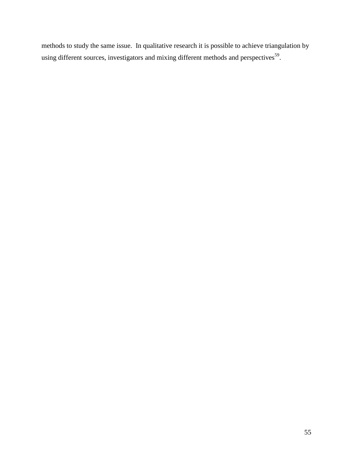methods to study the same issue. In qualitative research it is possible to achieve triangulation by using different sources, investigators and mixing different methods and perspectives<sup>59</sup>.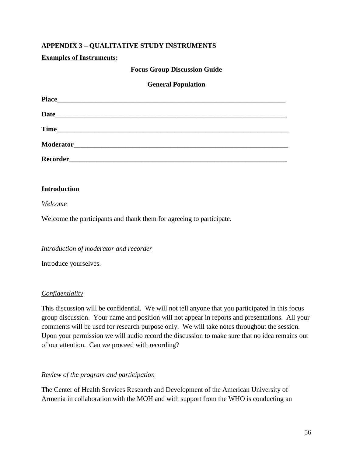# **APPENDIX 3 – QUALITATIVE STUDY INSTRUMENTS**

## **Examples of Instruments:**

### **Focus Group Discussion Guide**

## **General Population**

| <b>Place</b><br><u> 1989 - Jan Barnett, fransk politik (d. 1989)</u>                                                                  |
|---------------------------------------------------------------------------------------------------------------------------------------|
|                                                                                                                                       |
| <b>Time</b><br><u> 2000 - Paris Paris Paris Paris Paris Paris Paris Paris Paris Paris Paris Paris Paris Paris Paris Paris Paris P</u> |
|                                                                                                                                       |
|                                                                                                                                       |

### **Introduction**

#### *Welcome*

Welcome the participants and thank them for agreeing to participate.

### *Introduction of moderator and recorder*

Introduce yourselves.

### *Confidentiality*

This discussion will be confidential. We will not tell anyone that you participated in this focus group discussion. Your name and position will not appear in reports and presentations. All your comments will be used for research purpose only. We will take notes throughout the session. Upon your permission we will audio record the discussion to make sure that no idea remains out of our attention. Can we proceed with recording?

### *Review of the program and participation*

The Center of Health Services Research and Development of the American University of Armenia in collaboration with the MOH and with support from the WHO is conducting an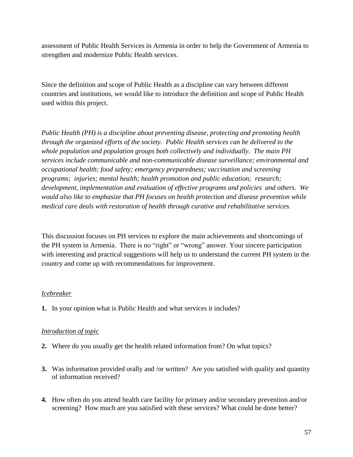assessment of Public Health Services in Armenia in order to help the Government of Armenia to strengthen and modernize Public Health services.

Since the definition and scope of Public Health as a discipline can vary between different countries and institutions, we would like to introduce the definition and scope of Public Health used within this project.

*Public Health (PH) is a discipline about preventing disease, protecting and promoting health through the organized efforts of the society. Public Health services can be delivered to the whole population and population groups both collectively and individually. The main PH services include communicable and non-communicable disease surveillance; environmental and occupational health; food safety; emergency preparedness; vaccination and screening programs; injuries; mental health; health promotion and public education; research; development, implementation and evaluation of effective programs and policies and others. We would also like to emphasize that PH focuses on health protection and disease prevention while medical care deals with restoration of health through curative and rehabilitative services.*

This discussion focuses on PH services to explore the main achievements and shortcomings of the PH system in Armenia. There is no "right" or "wrong" answer. Your sincere participation with interesting and practical suggestions will help us to understand the current PH system in the country and come up with recommendations for improvement.

# *Icebreaker*

**1.** In your opinion what is Public Health and what services it includes?

# *Introduction of topic*

- **2.** Where do you usually get the health related information from? On what topics?
- **3.** Was information provided orally and /or written? Are you satisfied with quality and quantity of information received?
- **4.** How often do you attend health care facility for primary and/or secondary prevention and/or screening? How much are you satisfied with these services? What could be done better?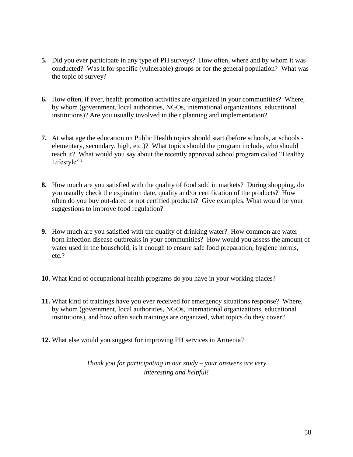- **5.** Did you ever participate in any type of PH surveys? How often, where and by whom it was conducted? Was it for specific (vulnerable) groups or for the general population? What was the topic of survey?
- **6.** How often, if ever, health promotion activities are organized in your communities? Where, by whom (government, local authorities, NGOs, international organizations, educational institutions)? Are you usually involved in their planning and implementation?
- **7.** At what age the education on Public Health topics should start (before schools, at schools elementary, secondary, high, etc.)? What topics should the program include, who should teach it? What would you say about the recently approved school program called "Healthy" Lifestyle"?
- **8.** How much are you satisfied with the quality of food sold in markets? During shopping, do you usually check the expiration date, quality and/or certification of the products? How often do you buy out-dated or not certified products? Give examples. What would be your suggestions to improve food regulation?
- **9.** How much are you satisfied with the quality of drinking water? How common are water born infection disease outbreaks in your communities? How would you assess the amount of water used in the household, is it enough to ensure safe food preparation, hygiene norms, etc.?
- **10.** What kind of occupational health programs do you have in your working places?
- **11.** What kind of trainings have you ever received for emergency situations response? Where, by whom (government, local authorities, NGOs, international organizations, educational institutions), and how often such trainings are organized, what topics do they cover?
- **12.** What else would you suggest for improving PH services in Armenia?

*Thank you for participating in our study – your answers are very interesting and helpful!*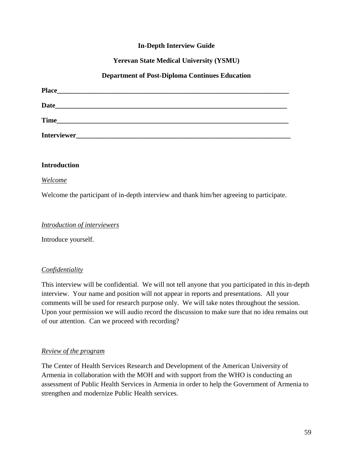# **In-Depth Interview Guide**

# **Yerevan State Medical University (YSMU)**

## **Department of Post-Diploma Continues Education**

| <b>Place</b>                                                                                                                   |  |  |
|--------------------------------------------------------------------------------------------------------------------------------|--|--|
| <b>Date</b><br>the contract of the contract of the contract of the contract of the contract of the contract of the contract of |  |  |
| <b>Time</b>                                                                                                                    |  |  |
| Interviewer_                                                                                                                   |  |  |

### **Introduction**

### *Welcome*

Welcome the participant of in-depth interview and thank him/her agreeing to participate.

### *Introduction of interviewers*

Introduce yourself.

# *Confidentiality*

This interview will be confidential. We will not tell anyone that you participated in this in-depth interview. Your name and position will not appear in reports and presentations. All your comments will be used for research purpose only. We will take notes throughout the session. Upon your permission we will audio record the discussion to make sure that no idea remains out of our attention. Can we proceed with recording?

### *Review of the program*

The Center of Health Services Research and Development of the American University of Armenia in collaboration with the MOH and with support from the WHO is conducting an assessment of Public Health Services in Armenia in order to help the Government of Armenia to strengthen and modernize Public Health services.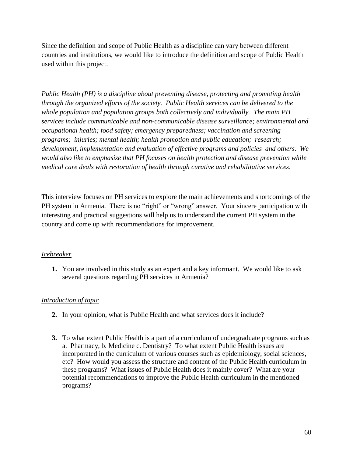Since the definition and scope of Public Health as a discipline can vary between different countries and institutions, we would like to introduce the definition and scope of Public Health used within this project.

*Public Health (PH) is a discipline about preventing disease, protecting and promoting health through the organized efforts of the society. Public Health services can be delivered to the whole population and population groups both collectively and individually. The main PH services include communicable and non-communicable disease surveillance; environmental and occupational health; food safety; emergency preparedness; vaccination and screening programs; injuries; mental health; health promotion and public education; research; development, implementation and evaluation of effective programs and policies and others. We would also like to emphasize that PH focuses on health protection and disease prevention while medical care deals with restoration of health through curative and rehabilitative services.*

This interview focuses on PH services to explore the main achievements and shortcomings of the PH system in Armenia. There is no "right" or "wrong" answer. Your sincere participation with interesting and practical suggestions will help us to understand the current PH system in the country and come up with recommendations for improvement.

# *Icebreaker*

**1.** You are involved in this study as an expert and a key informant. We would like to ask several questions regarding PH services in Armenia?

# *Introduction of topic*

- **2.** In your opinion, what is Public Health and what services does it include?
- **3.** To what extent Public Health is a part of a curriculum of undergraduate programs such as a. Pharmacy, b. Medicine c. Dentistry? To what extent Public Health issues are incorporated in the curriculum of various courses such as epidemiology, social sciences, etc? How would you assess the structure and content of the Public Health curriculum in these programs? What issues of Public Health does it mainly cover? What are your potential recommendations to improve the Public Health curriculum in the mentioned programs?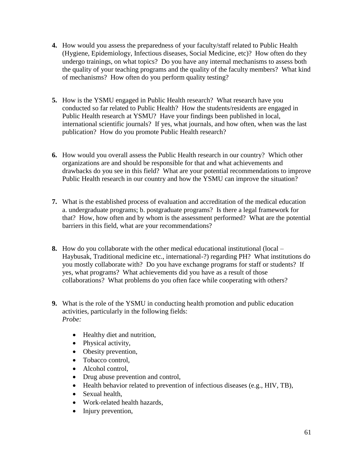- **4.** How would you assess the preparedness of your faculty/staff related to Public Health (Hygiene, Epidemiology, Infectious diseases, Social Medicine, etc)? How often do they undergo trainings, on what topics? Do you have any internal mechanisms to assess both the quality of your teaching programs and the quality of the faculty members? What kind of mechanisms? How often do you perform quality testing?
- **5.** How is the YSMU engaged in Public Health research? What research have you conducted so far related to Public Health? How the students/residents are engaged in Public Health research at YSMU? Have your findings been published in local, international scientific journals? If yes, what journals, and how often, when was the last publication? How do you promote Public Health research?
- **6.** How would you overall assess the Public Health research in our country? Which other organizations are and should be responsible for that and what achievements and drawbacks do you see in this field? What are your potential recommendations to improve Public Health research in our country and how the YSMU can improve the situation?
- **7.** What is the established process of evaluation and accreditation of the medical education a. undergraduate programs; b. postgraduate programs? Is there a legal framework for that? How, how often and by whom is the assessment performed? What are the potential barriers in this field, what are your recommendations?
- **8.** How do you collaborate with the other medical educational institutional (local Haybusak, Traditional medicine etc., international-?) regarding PH? What institutions do you mostly collaborate with? Do you have exchange programs for staff or students? If yes, what programs? What achievements did you have as a result of those collaborations? What problems do you often face while cooperating with others?
- **9.** What is the role of the YSMU in conducting health promotion and public education activities, particularly in the following fields: *Probe:* 
	- Healthy diet and nutrition,
	- Physical activity,
	- Obesity prevention,
	- Tobacco control,
	- Alcohol control,
	- Drug abuse prevention and control,
	- Health behavior related to prevention of infectious diseases (e.g., HIV, TB),
	- Sexual health,
	- Work-related health hazards,
	- Injury prevention,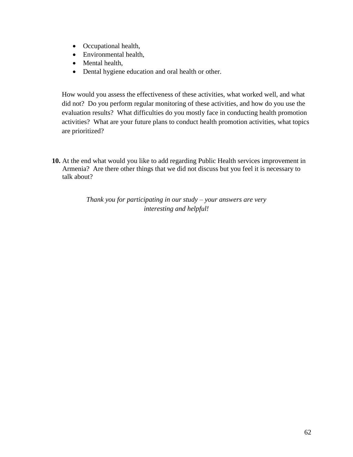- Occupational health,
- Environmental health,
- Mental health,
- Dental hygiene education and oral health or other.

How would you assess the effectiveness of these activities, what worked well, and what did not? Do you perform regular monitoring of these activities, and how do you use the evaluation results? What difficulties do you mostly face in conducting health promotion activities? What are your future plans to conduct health promotion activities, what topics are prioritized?

**10.** At the end what would you like to add regarding Public Health services improvement in Armenia? Are there other things that we did not discuss but you feel it is necessary to talk about?

> *Thank you for participating in our study – your answers are very interesting and helpful!*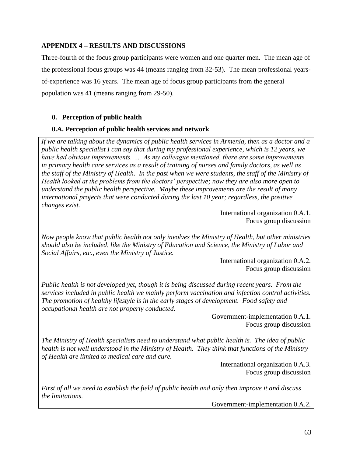# **APPENDIX 4 – RESULTS AND DISCUSSIONS**

Three-fourth of the focus group participants were women and one quarter men. The mean age of the professional focus groups was 44 (means ranging from 32-53). The mean professional yearsof-experience was 16 years. The mean age of focus group participants from the general population was 41 (means ranging from 29-50).

# **0. Perception of public health**

# **0.A. Perception of public health services and network**

*If we are talking about the dynamics of public health services in Armenia, then as a doctor and a public health specialist I can say that during my professional experience, which is 12 years, we have had obvious improvements. … As my colleague mentioned, there are some improvements in primary health care services as a result of training of nurses and family doctors, as well as the staff of the Ministry of Health. In the past when we were students, the staff of the Ministry of Health looked at the problems from the doctors' perspective; now they are also more open to understand the public health perspective. Maybe these improvements are the result of many international projects that were conducted during the last 10 year; regardless, the positive changes exist.* 

> International organization 0.A.1. Focus group discussion

*Now people know that public health not only involves the Ministry of Health, but other ministries should also be included, like the Ministry of Education and Science, the Ministry of Labor and Social Affairs, etc., even the Ministry of Justice.* 

> International organization 0.A.2. Focus group discussion

*Public health is not developed yet, though it is being discussed during recent years. From the services included in public health we mainly perform vaccination and infection control activities. The promotion of healthy lifestyle is in the early stages of development. Food safety and occupational health are not properly conducted.* 

> Government-implementation 0.A.1. Focus group discussion

*The Ministry of Health specialists need to understand what public health is. The idea of public health is not well understood in the Ministry of Health. They think that functions of the Ministry of Health are limited to medical care and cure.*

> International organization 0.A.3. Focus group discussion

*First of all we need to establish the field of public health and only then improve it and discuss the limitations.* 

Government-implementation 0.A.2.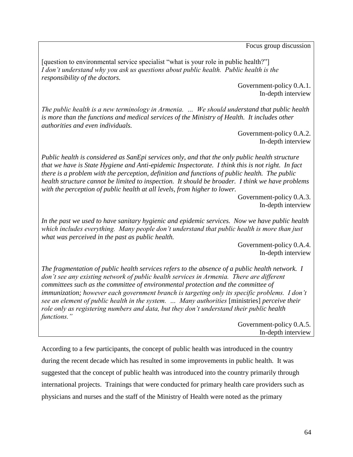Focus group discussion

[question to environmental service specialist "what is your role in public health?"] *I don't understand why you ask us questions about public health. Public health is the responsibility of the doctors.* 

> Government-policy 0.A.1. In-depth interview

*The public health is a new terminology in Armenia. … We should understand that public health is more than the functions and medical services of the Ministry of Health. It includes other authorities and even individuals.* 

Government-policy 0.A.2. In-depth interview

*Public health is considered as SanEpi services only, and that the only public health structure that we have is State Hygiene and Anti-epidemic Inspectorate. I think this is not right. In fact there is a problem with the perception, definition and functions of public health. The public health structure cannot be limited to inspection. It should be broader. I think we have problems with the perception of public health at all levels, from higher to lower.* 

> Government-policy 0.A.3. In-depth interview

*In the past we used to have sanitary hygienic and epidemic services. Now we have public health which includes everything. Many people don't understand that public health is more than just what was perceived in the past as public health.* 

> Government-policy 0.A.4. In-depth interview

*The fragmentation of public health services refers to the absence of a public health network. I don't see any existing network of public health services in Armenia. There are different committees such as the committee of environmental protection and the committee of immunization; however each government branch is targeting only its specific problems. I don't see an element of public health in the system. … Many authorities* [ministries] *perceive their role only as registering numbers and data, but they don't understand their public health functions."*

Government-policy 0.A.5. In-depth interview

According to a few participants, the concept of public health was introduced in the country during the recent decade which has resulted in some improvements in public health. It was suggested that the concept of public health was introduced into the country primarily through international projects. Trainings that were conducted for primary health care providers such as physicians and nurses and the staff of the Ministry of Health were noted as the primary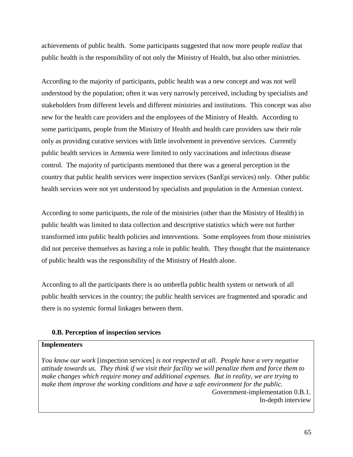achievements of public health. Some participants suggested that now more people realize that public health is the responsibility of not only the Ministry of Health, but also other ministries.

According to the majority of participants, public health was a new concept and was not well understood by the population; often it was very narrowly perceived, including by specialists and stakeholders from different levels and different ministries and institutions. This concept was also new for the health care providers and the employees of the Ministry of Health. According to some participants, people from the Ministry of Health and health care providers saw their role only as providing curative services with little involvement in preventive services. Currently public health services in Armenia were limited to only vaccinations and infectious disease control. The majority of participants mentioned that there was a general perception in the country that public health services were inspection services (SanEpi services) only. Other public health services were not yet understood by specialists and population in the Armenian context.

According to some participants, the role of the ministries (other than the Ministry of Health) in public health was limited to data collection and descriptive statistics which were not further transformed into public health policies and interventions. Some employees from those ministries did not perceive themselves as having a role in public health. They thought that the maintenance of public health was the responsibility of the Ministry of Health alone.

According to all the participants there is no umbrella public health system or network of all public health services in the country; the public health services are fragmented and sporadic and there is no systemic formal linkages between them.

## **0.B. Perception of inspection services**

#### **Implementers**

*You know our work* [inspection services] *is not respected at all. People have a very negative attitude towards us. They think if we visit their facility we will penalize them and force them to make changes which require money and additional expenses. But in reality, we are trying to make them improve the working conditions and have a safe environment for the public.*  Government-implementation 0.B.1. In-depth interview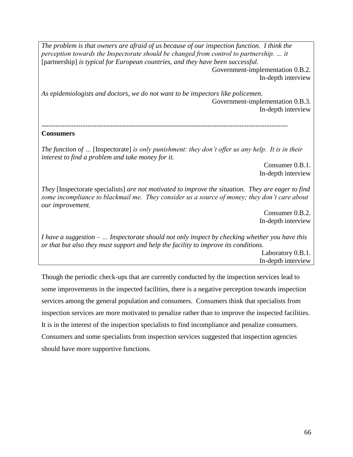*The problem is that owners are afraid of us because of our inspection function. I think the perception towards the Inspectorate should be changed from control to partnership. ... it* [partnership] *is typical for European countries, and they have been successful.*  Government-implementation 0.B.2. In-depth interview

*As epidemiologists and doctors, we do not want to be inspectors like policemen.*  Government-implementation 0.B.3. In-depth interview

*-----------------------------------------------------------------------------------------------------------*

#### **Consumers**

*The function of …* [Inspectorate] *is only punishment: they don't offer us any help. It is in their interest to find a problem and take money for it.*

> Consumer 0.B.1. In-depth interview

*They* [Inspectorate specialists] *are not motivated to improve the situation. They are eager to find some incompliance to blackmail me. They consider us a source of money; they don't care about our improvement.* 

> Consumer 0.B.2. In-depth interview

*I have a suggestion – … Inspectorate should not only inspect by checking whether you have this or that but also they must support and help the facility to improve its conditions.*  Laboratory 0.B.1.

In-depth interview

Though the periodic check-ups that are currently conducted by the inspection services lead to some improvements in the inspected facilities, there is a negative perception towards inspection services among the general population and consumers. Consumers think that specialists from inspection services are more motivated to penalize rather than to improve the inspected facilities. It is in the interest of the inspection specialists to find incompliance and penalize consumers. Consumers and some specialists from inspection services suggested that inspection agencies should have more supportive functions.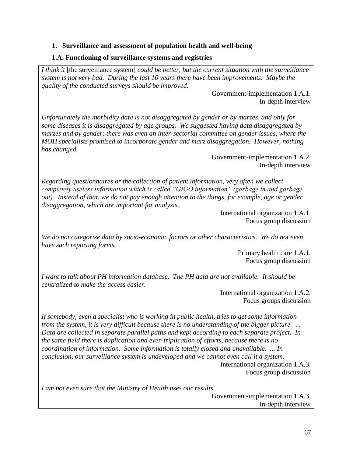### **1. Surveillance and assessment of population health and well-being**

#### **1.A. Functioning of surveillance systems and registries**

*I think it* [the surveillance system] *could be better, but the current situation with the surveillance system is not very bad. During the last 10 years there have been improvements. Maybe the quality of the conducted surveys should be improved.*

> Government-implementation 1.A.1. In-depth interview

*Unfortunately the morbidity data is not disaggregated by gender or by marzes, and only for some diseases it is disaggregated by age groups. We suggested having data disaggregated by marzes and by gender; there was even an inter-sectorial committee on gender issues, where the MOH specialists promised to incorporate gender and marz disaggregation. However, nothing has changed.*

> Government-implementation 1.A.2. In-depth interview

*Regarding questionnaires or the collection of patient information, very often we collect completely useless information which is called "GIGO information" (garbage in and garbage out). Instead of that, we do not pay enough attention to the things, for example, age or gender disaggregation, which are important for analysis.*

> International organization 1.A.1. Focus group discussion

*We do not categorize data by socio-economic factors or other characteristics. We do not even have such reporting forms.* 

> Primary health care 1.A.1. Focus group discussion

*I want to talk about PH information database. The PH data are not available. It should be centralized to make the access easier.* 

> International organization 1.A.2. Focus groups discussion

*If somebody, even a specialist who is working in public health, tries to get some information from the system, it is very difficult because there is no understanding of the bigger picture. ... Data are collected in separate parallel paths and kept according to each separate project. In the same field there is duplication and even triplication of efforts, because there is no coordination of information. Some information is totally closed and unavailable. ... In conclusion, our surveillance system is undeveloped and we cannot even call it a system.*  International organization 1.A.3. Focus group discussion

*I am not even sure that the Ministry of Health uses our results.* 

Government-implementation 1.A.3. In-depth interview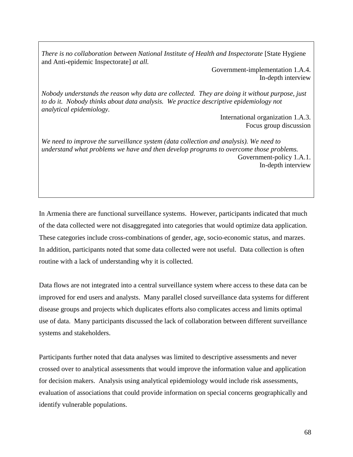*There is no collaboration between National Institute of Health and Inspectorate* [State Hygiene] and Anti-epidemic Inspectorate] *at all.* 

> Government-implementation 1.A.4. In-depth interview

*Nobody understands the reason why data are collected. They are doing it without purpose, just to do it. Nobody thinks about data analysis. We practice descriptive epidemiology not analytical epidemiology.*

> International organization 1.A.3. Focus group discussion

*We need to improve the surveillance system (data collection and analysis). We need to understand what problems we have and then develop programs to overcome those problems.*  Government-policy 1.A.1. In-depth interview

In Armenia there are functional surveillance systems. However, participants indicated that much of the data collected were not disaggregated into categories that would optimize data application. These categories include cross-combinations of gender, age, socio-economic status, and marzes. In addition, participants noted that some data collected were not useful. Data collection is often routine with a lack of understanding why it is collected.

Data flows are not integrated into a central surveillance system where access to these data can be improved for end users and analysts. Many parallel closed surveillance data systems for different disease groups and projects which duplicates efforts also complicates access and limits optimal use of data. Many participants discussed the lack of collaboration between different surveillance systems and stakeholders.

Participants further noted that data analyses was limited to descriptive assessments and never crossed over to analytical assessments that would improve the information value and application for decision makers. Analysis using analytical epidemiology would include risk assessments, evaluation of associations that could provide information on special concerns geographically and identify vulnerable populations.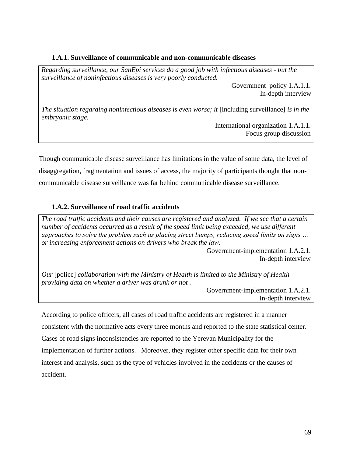### **1.A.1. Surveillance of communicable and non-communicable diseases**

*Regarding surveillance, our SanEpi services do a good job with infectious diseases - but the surveillance of noninfectious diseases is very poorly conducted.*

Government–policy 1.A.1.1. In-depth interview

*The situation regarding noninfectious diseases is even worse; it [including surveillance] is in the embryonic stage.*

International organization 1.A.1.1. Focus group discussion

Though communicable disease surveillance has limitations in the value of some data, the level of disaggregation, fragmentation and issues of access, the majority of participants thought that noncommunicable disease surveillance was far behind communicable disease surveillance.

## **1.A.2. Surveillance of road traffic accidents**

*The road traffic accidents and their causes are registered and analyzed. If we see that a certain number of accidents occurred as a result of the speed limit being exceeded, we use different approaches to solve the problem such as placing street bumps, reducing speed limits on signs … or increasing enforcement actions on drivers who break the law.* 

> Government-implementation 1.A.2.1. In-depth interview

*Our* [police] *collaboration with the Ministry of Health is limited to the Ministry of Health providing data on whether a driver was drunk or not .*

> Government-implementation 1.A.2.1. In-depth interview

According to police officers, all cases of road traffic accidents are registered in a manner consistent with the normative acts every three months and reported to the state statistical center. Cases of road signs inconsistencies are reported to the Yerevan Municipality for the implementation of further actions. Moreover, they register other specific data for their own interest and analysis, such as the type of vehicles involved in the accidents or the causes of accident.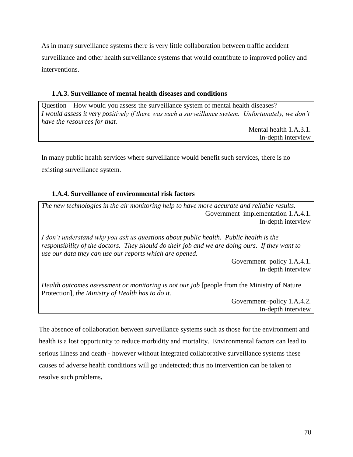As in many surveillance systems there is very little collaboration between traffic accident surveillance and other health surveillance systems that would contribute to improved policy and interventions.

## **1.A.3. Surveillance of mental health diseases and conditions**

Question – How would you assess the surveillance system of mental health diseases? *I* would assess it very positively if there was such a surveillance system. Unfortunately, we don't *have the resources for that.* 

Mental health 1.A.3.1. In-depth interview

In many public health services where surveillance would benefit such services, there is no existing surveillance system.

# **1.A.4. Surveillance of environmental risk factors**

*The new technologies in the air monitoring help to have more accurate and reliable results.*  Government–implementation 1.A.4.1. In-depth interview

*I don't understand why you ask us questions about public health. Public health is the responsibility of the doctors. They should do their job and we are doing ours. If they want to use our data they can use our reports which are opened.*

> Government–policy 1.A.4.1. In-depth interview

*Health outcomes assessment or monitoring is not our job* [people from the Ministry of Nature Protection]*, the Ministry of Health has to do it.* 

> Government–policy 1.A.4.2. In-depth interview

The absence of collaboration between surveillance systems such as those for the environment and health is a lost opportunity to reduce morbidity and mortality. Environmental factors can lead to serious illness and death - however without integrated collaborative surveillance systems these causes of adverse health conditions will go undetected; thus no intervention can be taken to resolve such problems**.**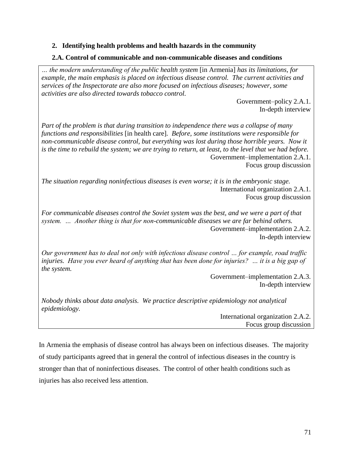## **2. Identifying health problems and health hazards in the community**

#### **2.A. Control of communicable and non-communicable diseases and conditions**

*… the modern understanding of the public health system* [in Armenia] *has its limitations, for example, the main emphasis is placed on infectious disease control. The current activities and services of the Inspectorate are also more focused on infectious diseases; however, some activities are also directed towards tobacco control.*

> Government–policy 2.A.1. In-depth interview

*Part of the problem is that during transition to independence there was a collapse of many functions and responsibilities* [in health care]*. Before, some institutions were responsible for non-communicable disease control, but everything was lost during those horrible years. Now it is the time to rebuild the system; we are trying to return, at least, to the level that we had before.*  Government–implementation 2.A.1. Focus group discussion

*The situation regarding noninfectious diseases is even worse; it is in the embryonic stage.* International organization 2.A.1. Focus group discussion

*For communicable diseases control the Soviet system was the best, and we were a part of that system. … Another thing is that for non-communicable diseases we are far behind others.*  Government–implementation 2.A.2. In-depth interview

*Our government has to deal not only with infectious disease control … for example, road traffic injuries. Have you ever heard of anything that has been done for injuries? … it is a big gap of the system.*

> Government–implementation 2.A.3. In-depth interview

*Nobody thinks about data analysis. We practice descriptive epidemiology not analytical epidemiology.*

> International organization 2.A.2. Focus group discussion

In Armenia the emphasis of disease control has always been on infectious diseases. The majority of study participants agreed that in general the control of infectious diseases in the country is stronger than that of noninfectious diseases. The control of other health conditions such as injuries has also received less attention.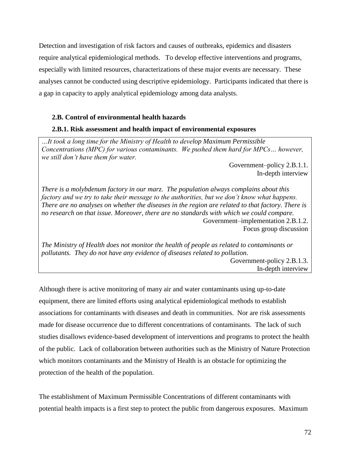Detection and investigation of risk factors and causes of outbreaks, epidemics and disasters require analytical epidemiological methods. To develop effective interventions and programs, especially with limited resources, characterizations of these major events are necessary. These analyses cannot be conducted using descriptive epidemiology. Participants indicated that there is a gap in capacity to apply analytical epidemiology among data analysts.

### **2.B. Control of environmental health hazards**

#### **2.B.1. Risk assessment and health impact of environmental exposures**

*…It took a long time for the Ministry of Health to develop Maximum Permissible Concentrations (MPC) for various contaminants. We pushed them hard for MPCs… however, we still don't have them for water.* 

> Government–policy 2.B.1.1. In-depth interview

*There is a molybdenum factory in our marz. The population always complains about this factory and we try to take their message to the authorities, but we don't know what happens. There are no analyses on whether the diseases in the region are related to that factory. There is no research on that issue. Moreover, there are no standards with which we could compare.*  Government–implementation 2.B.1.2. Focus group discussion

*The Ministry of Health does not monitor the health of people as related to contaminants or pollutants. They do not have any evidence of diseases related to pollution.* 

Government-policy 2.B.1.3. In-depth interview

Although there is active monitoring of many air and water contaminants using up-to-date equipment, there are limited efforts using analytical epidemiological methods to establish associations for contaminants with diseases and death in communities. Nor are risk assessments made for disease occurrence due to different concentrations of contaminants. The lack of such studies disallows evidence-based development of interventions and programs to protect the health of the public. Lack of collaboration between authorities such as the Ministry of Nature Protection which monitors contaminants and the Ministry of Health is an obstacle for optimizing the protection of the health of the population.

The establishment of Maximum Permissible Concentrations of different contaminants with potential health impacts is a first step to protect the public from dangerous exposures. Maximum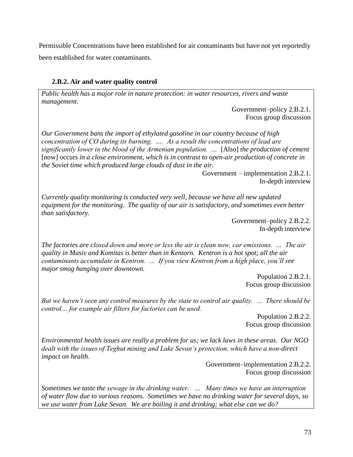Permissible Concentrations have been established for air contaminants but have not yet reportedly been established for water contaminants.

## **2.B.2. Air and water quality control**

*Public health has a major role in nature protection: in water resources, rivers and waste management.*

> Government–policy 2.B.2.1. Focus group discussion

*Our Government bans the import of ethylated gasoline in our country because of high concentration of CO during its burning. …. As a result the concentrations of lead are significantly lower in the blood of the Armenian population. …* [Also] *the production of cement* [now] occurs *in a close environment, which is in contrast to open-air production of concrete in the Soviet time which produced large clouds of dust in the air.* 

> Government – implementation 2.B.2.1. In-depth interview

*Currently quality monitoring is conducted very well, because we have all new updated equipment for the monitoring. The quality of our air is satisfactory, and sometimes even better than satisfactory.*

> Government–policy 2.B.2.2. In-depth interview

*The factories are closed down and more or less the air is clean now, car emissions. … The air quality in Masiv and Komitas is better than in Kentorn. Kentron is a hot spot; all the air contaminants accumulate in Kentron. … If you view Kentron from a high place, you'll see major smog hanging over downtown.* 

> Population 2.B.2.1. Focus group discussion

*But we haven't seen any control measures by the state to control air quality. … There should be control… for example air filters for factories can be used.*

> Population 2.B.2.2. Focus group discussion

*Environmental health issues are really a problem for us; we lack laws in these areas. Our NGO dealt with the issues of Teghut mining and Lake Sevan's protection, which have a non-direct impact on health.* 

> Government–implementation 2.B.2.2. Focus group discussion

*Sometimes we taste the sewage in the drinking water. … Many times we have an interruption of water flow due to various reasons. Sometimes we have no drinking water for several days, so we use water from Lake Sevan. We are boiling it and drinking; what else can we do?*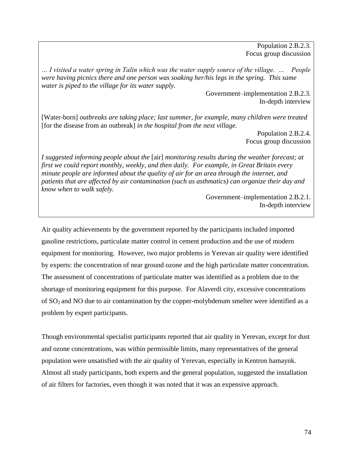Population 2.B.2.3. Focus group discussion

*… I visited a water spring in Talin which was the water supply source of the village. … People were having picnics there and one person was soaking her/his legs in the spring. This same water is piped to the village for its water supply.* 

> Government–implementation 2.B.2.3. In-depth interview

[Water-born] *outbreaks are taking place; last summer, for example, many children were treated*  [for the disease from an outbreak] *in the hospital from the next village.* 

> Population 2.B.2.4. Focus group discussion

*I suggested informing people about the* [air] *monitoring results during the weather forecast; at first we could report monthly, weekly, and then daily. For example, in Great Britain every minute people are informed about the quality of air for an area through the internet, and patients that are affected by air contamination (such as asthmatics) can organize their day and know when to walk safely.* 

> Government–implementation 2.B.2.1. In-depth interview

Air quality achievements by the government reported by the participants included imported gasoline restrictions, particulate matter control in cement production and the use of modern equipment for monitoring. However, two major problems in Yerevan air quality were identified by experts: the concentration of near ground ozone and the high particulate matter concentration. The assessment of concentrations of particulate matter was identified as a problem due to the shortage of monitoring equipment for this purpose. For Alaverdi city, excessive concentrations of  $SO<sub>2</sub>$  and NO due to air contamination by the copper-molybdenum smelter were identified as a problem by expert participants.

Though environmental specialist participants reported that air quality in Yerevan, except for dust and ozone concentrations, was within permissible limits, many representatives of the general population were unsatisfied with the air quality of Yerevan, especially in Kentron hamaynk. Almost all study participants, both experts and the general population, suggested the installation of air filters for factories, even though it was noted that it was an expensive approach.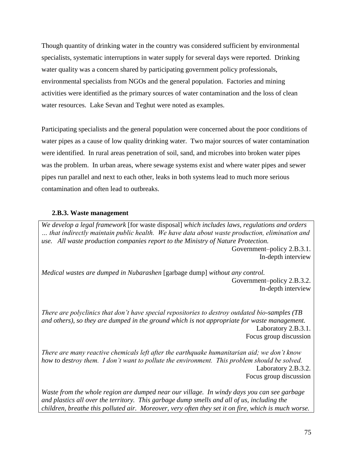Though quantity of drinking water in the country was considered sufficient by environmental specialists, systematic interruptions in water supply for several days were reported. Drinking water quality was a concern shared by participating government policy professionals, environmental specialists from NGOs and the general population. Factories and mining activities were identified as the primary sources of water contamination and the loss of clean water resources. Lake Sevan and Teghut were noted as examples.

Participating specialists and the general population were concerned about the poor conditions of water pipes as a cause of low quality drinking water. Two major sources of water contamination were identified. In rural areas penetration of soil, sand, and microbes into broken water pipes was the problem. In urban areas, where sewage systems exist and where water pipes and sewer pipes run parallel and next to each other, leaks in both systems lead to much more serious contamination and often lead to outbreaks.

### **2.B.3. Waste management**

*We develop a legal framework* [for waste disposal] *which includes laws, regulations and orders … that indirectly maintain public health. We have data about waste production, elimination and use. All waste production companies report to the Ministry of Nature Protection.* 

Government–policy 2.B.3.1. In-depth interview

*Medical wastes are dumped in Nubarashen* [garbage dump] *without any control.* Government–policy 2.B.3.2. In-depth interview

*There are polyclinics that don't have special repositories to destroy outdated bio-samples (TB and others), so they are dumped in the ground which is not appropriate for waste management.*  Laboratory 2.B.3.1. Focus group discussion

*There are many reactive chemicals left after the earthquake humanitarian aid; we don't know how to destroy them. I don't want to pollute the environment. This problem should be solved.*  Laboratory 2.B.3.2. Focus group discussion

*Waste from the whole region are dumped near our village. In windy days you can see garbage and plastics all over the territory. This garbage dump smells and all of us, including the children, breathe this polluted air. Moreover, very often they set it on fire, which is much worse.*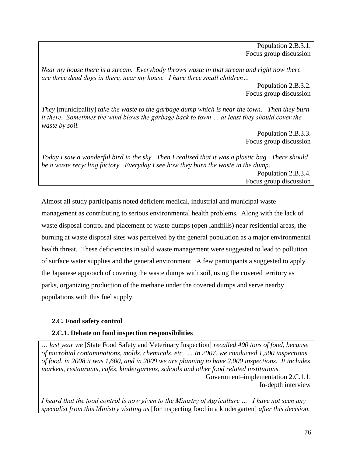Population 2.B.3.1. Focus group discussion

*Near my house there is a stream. Everybody throws waste in that stream and right now there are three dead dogs in there, near my house. I have three small children…*

> Population 2.B.3.2. Focus group discussion

*They* [municipality] *take the waste to the garbage dump which is near the town. Then they burn it there. Sometimes the wind blows the garbage back to town … at least they should cover the waste by soil.* 

> Population 2.B.3.3. Focus group discussion

*Today I saw a wonderful bird in the sky. Then I realized that it was a plastic bag. There should be a waste recycling factory. Everyday I see how they burn the waste in the dump.*  Population 2.B.3.4. Focus group discussion

Almost all study participants noted deficient medical, industrial and municipal waste management as contributing to serious environmental health problems. Along with the lack of waste disposal control and placement of waste dumps (open landfills) near residential areas, the burning at waste disposal sites was perceived by the general population as a major environmental health threat. These deficiencies in solid waste management were suggested to lead to pollution of surface water supplies and the general environment. A few participants a suggested to apply the Japanese approach of covering the waste dumps with soil, using the covered territory as parks, organizing production of the methane under the covered dumps and serve nearby populations with this fuel supply.

## **2.C. Food safety control**

## **2.C.1. Debate on food inspection responsibilities**

*… last year we* [State Food Safety and Veterinary Inspection] *recalled 400 tons of food, because of microbial contaminations, molds, chemicals, etc. ... In 2007, we conducted 1,500 inspections of food, in 2008 it was 1,600, and in 2009 we are planning to have 2,000 inspections. It includes markets, restaurants, cafés, kindergartens, schools and other food related institutions.* Government–implementation 2.C.1.1.

In-depth interview

*I heard that the food control is now given to the Ministry of Agriculture … I have not seen any specialist from this Ministry visiting us* [for inspecting food in a kindergarten] *after this decision.*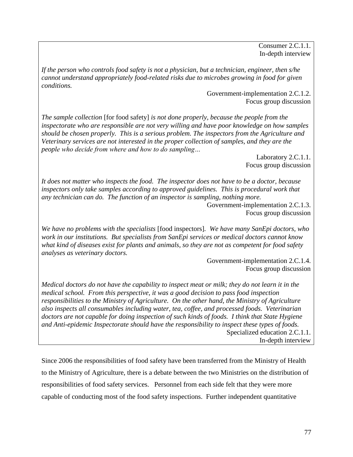Consumer 2.C.1.1. In-depth interview

*If the person who controls food safety is not a physician, but a technician, engineer, then s/he cannot understand appropriately food-related risks due to microbes growing in food for given conditions.* 

> Government-implementation 2.C.1.2. Focus group discussion

*The sample collection* [for food safety] *is not done properly, because the people from the inspectorate who are responsible are not very willing and have poor knowledge on how samples should be chosen properly. This is a serious problem. The inspectors from the Agriculture and Veterinary services are not interested in the proper collection of samples, and they are the people who decide from where and how to do sampling…* 

> Laboratory 2.C.1.1. Focus group discussion

*It does not matter who inspects the food. The inspector does not have to be a doctor, because inspectors only take samples according to approved guidelines. This is procedural work that any technician can do. The function of an inspector is sampling, nothing more.* 

Government-implementation 2.C.1.3. Focus group discussion

*We have no problems with the specialists* [food inspectors]*. We have many SanEpi doctors, who work in our institutions. But specialists from SanEpi services or medical doctors cannot know what kind of diseases exist for plants and animals, so they are not as competent for food safety analyses as veterinary doctors.*

> Government-implementation 2.C.1.4. Focus group discussion

*Medical doctors do not have the capability to inspect meat or milk; they do not learn it in the medical school. From this perspective, it was a good decision to pass food inspection responsibilities to the Ministry of Agriculture. On the other hand, the Ministry of Agriculture also inspects all consumables including water, tea, coffee, and processed foods. Veterinarian doctors are not capable for doing inspection of such kinds of foods. I think that State Hygiene and Anti-epidemic Inspectorate should have the responsibility to inspect these types of foods.* Specialized education 2.C.1.1. In-depth interview

Since 2006 the responsibilities of food safety have been transferred from the Ministry of Health to the Ministry of Agriculture, there is a debate between the two Ministries on the distribution of responsibilities of food safety services. Personnel from each side felt that they were more capable of conducting most of the food safety inspections. Further independent quantitative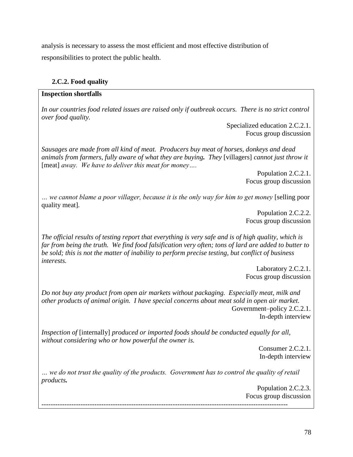analysis is necessary to assess the most efficient and most effective distribution of responsibilities to protect the public health.

## **2.C.2. Food quality**

## **Inspection shortfalls**

*In our countries food related issues are raised only if outbreak occurs. There is no strict control over food quality.* 

Specialized education 2.C.2.1. Focus group discussion

*Sausages are made from all kind of meat. Producers buy meat of horses, donkeys and dead animals from farmers, fully aware of what they are buying. They* [villagers] *cannot just throw it* [meat] *away. We have to deliver this meat for money….* 

> Population 2.C.2.1. Focus group discussion

*… we cannot blame a poor villager, because it is the only way for him to get money* [selling poor quality meat]*.* 

> Population 2.C.2.2. Focus group discussion

*The official results of testing report that everything is very safe and is of high quality, which is far from being the truth. We find food falsification very often; tons of lard are added to butter to be sold; this is not the matter of inability to perform precise testing, but conflict of business interests.* 

> Laboratory 2.C.2.1. Focus group discussion

*Do not buy any product from open air markets without packaging. Especially meat, milk and other products of animal origin. I have special concerns about meat sold in open air market.*  Government–policy 2.C.2.1. In-depth interview

*Inspection of* [internally] *produced or imported foods should be conducted equally for all, without considering who or how powerful the owner is.*

Consumer 2.C.2.1. In-depth interview

*… we do not trust the quality of the products. Government has to control the quality of retail products.* 

Population 2.C.2.3. Focus group discussion *-----------------------------------------------------------------------------------------------------------*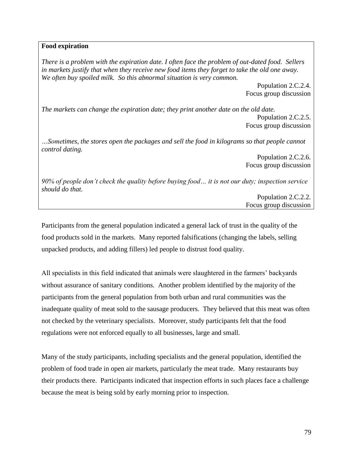#### **Food expiration**

*There is a problem with the expiration date. I often face the problem of out-dated food. Sellers in markets justify that when they receive new food items they forget to take the old one away. We often buy spoiled milk. So this abnormal situation is very common.*

> Population 2.C.2.4. Focus group discussion

*The markets can change the expiration date; they print another date on the old date.* Population 2.C.2.5. Focus group discussion

*…Sometimes, the stores open the packages and sell the food in kilograms so that people cannot control dating.* 

> Population 2.C.2.6. Focus group discussion

*90% of people don't check the quality before buying food… it is not our duty; inspection service should do that.* 

> Population 2.C.2.2. Focus group discussion

Participants from the general population indicated a general lack of trust in the quality of the food products sold in the markets. Many reported falsifications (changing the labels, selling unpacked products, and adding fillers) led people to distrust food quality.

All specialists in this field indicated that animals were slaughtered in the farmers' backyards without assurance of sanitary conditions. Another problem identified by the majority of the participants from the general population from both urban and rural communities was the inadequate quality of meat sold to the sausage producers. They believed that this meat was often not checked by the veterinary specialists. Moreover, study participants felt that the food regulations were not enforced equally to all businesses, large and small.

Many of the study participants, including specialists and the general population, identified the problem of food trade in open air markets, particularly the meat trade. Many restaurants buy their products there. Participants indicated that inspection efforts in such places face a challenge because the meat is being sold by early morning prior to inspection.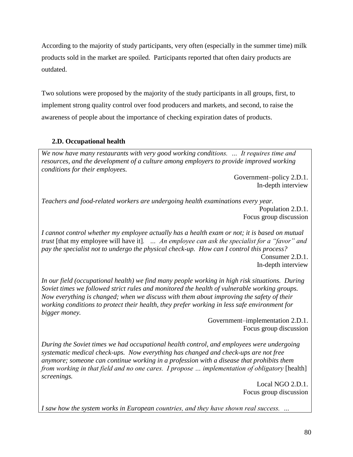According to the majority of study participants, very often (especially in the summer time) milk products sold in the market are spoiled. Participants reported that often dairy products are outdated.

Two solutions were proposed by the majority of the study participants in all groups, first, to implement strong quality control over food producers and markets, and second, to raise the awareness of people about the importance of checking expiration dates of products.

# **2.D. Occupational health**

*We now have many restaurants with very good working conditions. … It requires time and resources, and the development of a culture among employers to provide improved working conditions for their employees.* 

> Government–policy 2.D.1. In-depth interview

*Teachers and food-related workers are undergoing health examinations every year.* Population 2.D.1. Focus group discussion

*I cannot control whether my employee actually has a health exam or not; it is based on mutual trust* [that my employee will have it]*. … An employee can ask the specialist for a "favor" and pay the specialist not to undergo the physical check-up. How can I control this process?* 

Consumer 2.D.1. In-depth interview

*In our field (occupational health) we find many people working in high risk situations. During Soviet times we followed strict rules and monitored the health of vulnerable working groups. Now everything is changed; when we discuss with them about improving the safety of their working conditions to protect their health, they prefer working in less safe environment for bigger money.* 

Government–implementation 2.D.1. Focus group discussion

*During the Soviet times we had occupational health control, and employees were undergoing systematic medical check-ups. Now everything has changed and check-ups are not free anymore; someone can continue working in a profession with a disease that prohibits them from working in that field and no one cares. I propose ... implementation of obligatory* [health] *screenings.*

Local NGO 2.D.1. Focus group discussion

*I saw how the system works in European countries, and they have shown real success. …*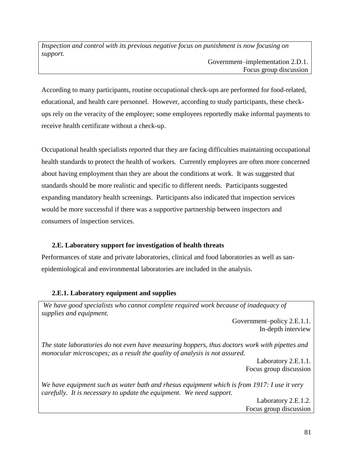*Inspection and control with its previous negative focus on punishment is now focusing on support.* 

Government–implementation 2.D.1. Focus group discussion

According to many participants, routine occupational check-ups are performed for food-related, educational, and health care personnel. However, according to study participants, these checkups rely on the veracity of the employee; some employees reportedly make informal payments to receive health certificate without a check-up.

Occupational health specialists reported that they are facing difficulties maintaining occupational health standards to protect the health of workers. Currently employees are often more concerned about having employment than they are about the conditions at work. It was suggested that standards should be more realistic and specific to different needs. Participants suggested expanding mandatory health screenings. Participants also indicated that inspection services would be more successful if there was a supportive partnership between inspectors and consumers of inspection services.

## **2.E. Laboratory support for investigation of health threats**

Performances of state and private laboratories, clinical and food laboratories as well as sanepidemiological and environmental laboratories are included in the analysis.

## **2.E.1. Laboratory equipment and supplies**

We have good specialists who cannot complete required work because of inadequacy of *supplies and equipment.* 

> Government–policy 2.E.1.1. In-depth interview

*The state laboratories do not even have measuring hoppers, thus doctors work with pipettes and monocular microscopes; as a result the quality of analysis is not assured.* 

> Laboratory 2.E.1.1. Focus group discussion

*We have equipment such as water bath and rhesus equipment which is from 1917: I use it very carefully. It is necessary to update the equipment. We need support.* 

> Laboratory 2.E.1.2. Focus group discussion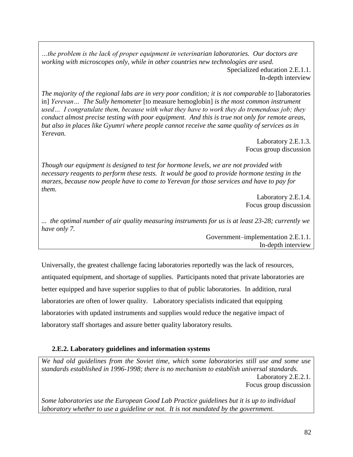*…the problem is the lack of proper equipment in veterinarian laboratories. Our doctors are working with microscopes only, while in other countries new technologies are used.*  Specialized education 2.E.1.1. In-depth interview

*The majority of the regional labs are in very poor condition; it is not comparable to* [laboratories] in] *Yerevan… The Sully hemometer* [to measure hemoglobin] *is the most common instrument used… I congratulate them, because with what they have to work they do tremendous job; they conduct almost precise testing with poor equipment. And this is true not only for remote areas, but also in places like Gyumri where people cannot receive the same quality of services as in Yerevan.* 

> Laboratory 2.E.1.3. Focus group discussion

*Though our equipment is designed to test for hormone levels, we are not provided with necessary reagents to perform these tests. It would be good to provide hormone testing in the marzes, because now people have to come to Yerevan for those services and have to pay for them.* 

> Laboratory 2.E.1.4. Focus group discussion

*... the optimal number of air quality measuring instruments for us is at least 23-28; currently we have only 7.*

> Government–implementation 2.E.1.1. In-depth interview

Universally, the greatest challenge facing laboratories reportedly was the lack of resources, antiquated equipment, and shortage of supplies. Participants noted that private laboratories are better equipped and have superior supplies to that of public laboratories. In addition, rural laboratories are often of lower quality. Laboratory specialists indicated that equipping laboratories with updated instruments and supplies would reduce the negative impact of laboratory staff shortages and assure better quality laboratory results.

## **2.E.2. Laboratory guidelines and information systems**

*We had old guidelines from the Soviet time, which some laboratories still use and some use standards established in 1996-1998; there is no mechanism to establish universal standards.*  Laboratory 2.E.2.1. Focus group discussion

*Some laboratories use the European Good Lab Practice guidelines but it is up to individual laboratory whether to use a guideline or not. It is not mandated by the government.*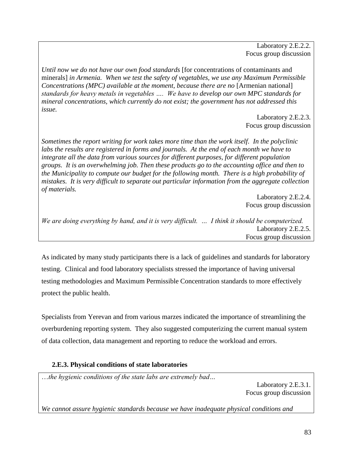Laboratory 2.E.2.2. Focus group discussion

*Until now we do not have our own food standards* [for concentrations of contaminants and minerals] *in Armenia. When we test the safety of vegetables, we use any Maximum Permissible Concentrations (MPC) available at the moment, because there are no* [Armenian national] *standards for heavy metals in vegetables …. We have to develop our own MPC standards for mineral concentrations, which currently do not exist; the government has not addressed this issue.* 

> Laboratory 2.E.2.3. Focus group discussion

*Sometimes the report writing for work takes more time than the work itself. In the polyclinic labs the results are registered in forms and journals. At the end of each month we have to integrate all the data from various sources for different purposes, for different population groups. It is an overwhelming job. Then these products go to the accounting office and then to the Municipality to compute our budget for the following month. There is a high probability of mistakes. It is very difficult to separate out particular information from the aggregate collection of materials.*

> Laboratory 2.E.2.4. Focus group discussion

*We are doing everything by hand, and it is very difficult. … I think it should be computerized.* Laboratory 2.E.2.5. Focus group discussion

As indicated by many study participants there is a lack of guidelines and standards for laboratory testing. Clinical and food laboratory specialists stressed the importance of having universal testing methodologies and Maximum Permissible Concentration standards to more effectively protect the public health.

Specialists from Yerevan and from various marzes indicated the importance of streamlining the overburdening reporting system. They also suggested computerizing the current manual system of data collection, data management and reporting to reduce the workload and errors.

## **2.E.3. Physical conditions of state laboratories**

…*the hygienic conditions of the state labs are extremely bad…*

Laboratory 2.E.3.1. Focus group discussion

*We cannot assure hygienic standards because we have inadequate physical conditions and*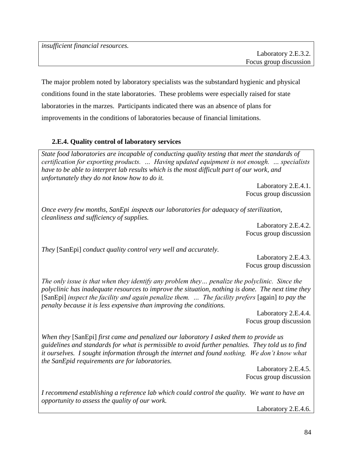*insufficient financial resources.* 

The major problem noted by laboratory specialists was the substandard hygienic and physical conditions found in the state laboratories. These problems were especially raised for state laboratories in the marzes. Participants indicated there was an absence of plans for improvements in the conditions of laboratories because of financial limitations.

# **2.E.4. Quality control of laboratory services**

*State food laboratories are incapable of conducting quality testing that meet the standards of certification for exporting products. … Having updated equipment is not enough. … specialists have to be able to interpret lab results which is the most difficult part of our work, and unfortunately they do not know how to do it.*

> Laboratory 2.E.4.1. Focus group discussion

*Once every few months, SanEpi* inspect*s our laboratories for adequacy of sterilization, cleanliness and sufficiency of supplies.* 

Laboratory 2.E.4.2. Focus group discussion

*They* [SanEpi] *conduct quality control very well and accurately.* 

Laboratory 2.E.4.3. Focus group discussion

*The only issue is that when they identify any problem they… penalize the polyclinic. Since the polyclinic has inadequate resources to improve the situation, nothing is done. The next time they*  [SanEpi] *inspect the facility and again penalize them. … The facility prefers* [again] *to pay the penalty because it is less expensive than improving the conditions.* 

> Laboratory 2.E.4.4. Focus group discussion

*When they* [SanEpi] *first came and penalized our laboratory I asked them to provide us guidelines and standards for what is permissible to avoid further penalties. They told us to find it ourselves. I sought information through the internet and found nothing. We don't know what the SanEpid requirements are for laboratories.* 

Laboratory 2.E.4.5. Focus group discussion

*I recommend establishing a reference lab which could control the quality. We want to have an opportunity to assess the quality of our work.* 

Laboratory 2.E.4.6.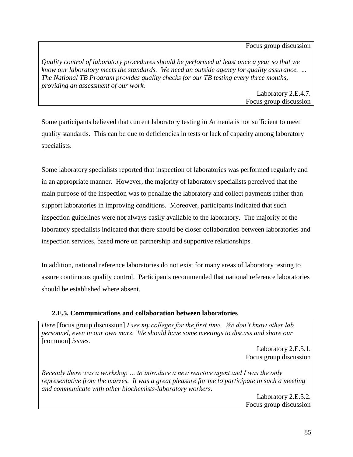Focus group discussion

*Quality control of laboratory procedures should be performed at least once a year so that we know our laboratory meets the standards. We need an outside agency for quality assurance. ... The National TB Program provides quality checks for our TB testing every three months, providing an assessment of our work.* 

Laboratory 2.E.4.7. Focus group discussion

Some participants believed that current laboratory testing in Armenia is not sufficient to meet quality standards. This can be due to deficiencies in tests or lack of capacity among laboratory specialists.

Some laboratory specialists reported that inspection of laboratories was performed regularly and in an appropriate manner. However, the majority of laboratory specialists perceived that the main purpose of the inspection was to penalize the laboratory and collect payments rather than support laboratories in improving conditions. Moreover, participants indicated that such inspection guidelines were not always easily available to the laboratory. The majority of the laboratory specialists indicated that there should be closer collaboration between laboratories and inspection services, based more on partnership and supportive relationships.

In addition, national reference laboratories do not exist for many areas of laboratory testing to assure continuous quality control. Participants recommended that national reference laboratories should be established where absent.

## **2.E.5. Communications and collaboration between laboratories**

*Here* [focus group discussion] *I see my colleges for the first time. We don't know other lab personnel, even in our own marz. We should have some meetings to discuss and share our*  [common] *issues.*

> Laboratory 2.E.5.1. Focus group discussion

*Recently there was a workshop … to introduce a new reactive agent and I was the only representative from the marzes. It was a great pleasure for me to participate in such a meeting and communicate with other biochemists-laboratory workers.* 

Laboratory 2.E.5.2. Focus group discussion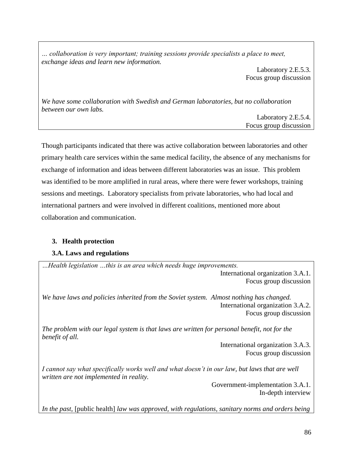*… collaboration is very important; training sessions provide specialists a place to meet, exchange ideas and learn new information.* 

> Laboratory 2.E.5.3. Focus group discussion

*We have some collaboration with Swedish and German laboratories, but no collaboration between our own labs.*

> Laboratory 2.E.5.4. Focus group discussion

Though participants indicated that there was active collaboration between laboratories and other primary health care services within the same medical facility, the absence of any mechanisms for exchange of information and ideas between different laboratories was an issue. This problem was identified to be more amplified in rural areas, where there were fewer workshops, training sessions and meetings. Laboratory specialists from private laboratories, who had local and international partners and were involved in different coalitions, mentioned more about collaboration and communication.

## **3. Health protection**

## **3.A. Laws and regulations**

*…Health legislation …this is an area which needs huge improvements.*  International organization 3.A.1.

Focus group discussion

*We have laws and policies inherited from the Soviet system. Almost nothing has changed.*  International organization 3.A.2. Focus group discussion

*The problem with our legal system is that laws are written for personal benefit, not for the benefit of all.* 

> International organization 3.A.3. Focus group discussion

*I cannot say what specifically works well and what doesn't in our law, but laws that are well written are not implemented in reality.* 

> Government-implementation 3.A.1. In-depth interview

*In the past,* [public health] *law was approved, with regulations, sanitary norms and orders being*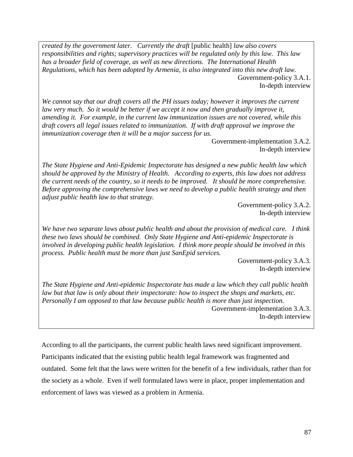*created by the government later. Currently the draft* [public health] *law also covers responsibilities and rights; supervisory practices will be regulated only by this law. This law has a broader field of coverage, as well as new directions. The International Health Regulations, which has been adopted by Armenia, is also integrated into this new draft law.*  Government-policy 3.A.1. In-depth interview

*We cannot say that our draft covers all the PH issues today; however it improves the current law very much. So it would be better if we accept it now and then gradually improve it, amending it. For example, in the current law immunization issues are not covered, while this draft covers all legal issues related to immunization. If with draft approval we improve the immunization coverage then it will be a major success for us.* 

> Government-implementation 3.A.2. In-depth interview

*The State Hygiene and Anti-Epidemic Inspectorate has designed a new public health law which should be approved by the Ministry of Health. According to experts, this law does not address the current needs of the country, so it needs to be improved. It should be more comprehensive. Before approving the comprehensive laws we need to develop a public health strategy and then adjust public health law to that strategy.*

> Government-policy 3.A.2. In-depth interview

*We have two separate laws about public health and about the provision of medical care. I think these two laws should be combined. Only State Hygiene and Anti-epidemic Inspectorate is involved in developing public health legislation. I think more people should be involved in this process. Public health must be more than just SanEpid services.*

> Government-policy 3.A.3. In-depth interview

*The State Hygiene and Anti-epidemic Inspectorate has made a law which they call public health law but that law is only about their inspectorate: how to inspect the shops and markets, etc. Personally I am opposed to that law because public health is more than just inspection.*  Government-implementation 3.A.3. In-depth interview

According to all the participants, the current public health laws need significant improvement.

Participants indicated that the existing public health legal framework was fragmented and outdated. Some felt that the laws were written for the benefit of a few individuals, rather than for the society as a whole. Even if well formulated laws were in place, proper implementation and enforcement of laws was viewed as a problem in Armenia.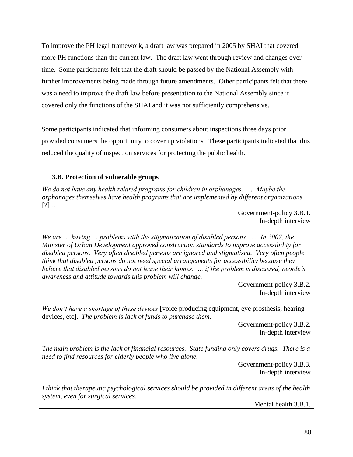To improve the PH legal framework, a draft law was prepared in 2005 by SHAI that covered more PH functions than the current law. The draft law went through review and changes over time. Some participants felt that the draft should be passed by the National Assembly with further improvements being made through future amendments. Other participants felt that there was a need to improve the draft law before presentation to the National Assembly since it covered only the functions of the SHAI and it was not sufficiently comprehensive.

Some participants indicated that informing consumers about inspections three days prior provided consumers the opportunity to cover up violations. These participants indicated that this reduced the quality of inspection services for protecting the public health.

## **3.B. Protection of vulnerable groups**

*We do not have any health related programs for children in orphanages. … Maybe the orphanages themselves have health programs that are implemented by different organizations*  [?]*…*

> Government-policy 3.B.1. In-depth interview

*We are … having … problems with the stigmatization of disabled persons. … In 2007, the Minister of Urban Development approved construction standards to improve accessibility for disabled persons. Very often disabled persons are ignored and stigmatized. Very often people think that disabled persons do not need special arrangements for accessibility because they believe that disabled persons do not leave their homes. … if the problem is discussed, people's awareness and attitude towards this problem will change.* 

> Government-policy 3.B.2. In-depth interview

*We don't have a shortage of these devices* [voice producing equipment, eye prosthesis, hearing devices, etc]. *The problem is lack of funds to purchase them.* 

> Government-policy 3.B.2. In-depth interview

*The main problem is the lack of financial resources. State funding only covers drugs. There is a need to find resources for elderly people who live alone.* 

> Government-policy 3.B.3. In-depth interview

*I think that therapeutic psychological services should be provided in different areas of the health system, even for surgical services.* 

Mental health 3.B.1.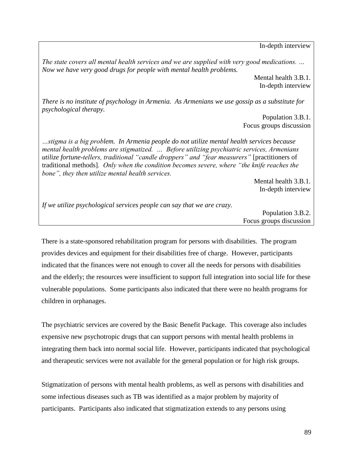In-depth interview

*The state covers all mental health services and we are supplied with very good medications. … Now we have very good drugs for people with mental health problems.* 

> Mental health 3.B.1. In-depth interview

*There is no institute of psychology in Armenia. As Armenians we use gossip as a substitute for psychological therapy.* 

> Population 3.B.1. Focus groups discussion

*…stigma is a big problem. In Armenia people do not utilize mental health services because mental health problems are stigmatized. … Before utilizing psychiatric services, Armenians utilize fortune-tellers, traditional "candle droppers" and "fear measurers"* [practitioners of traditional methods]*. Only when the condition becomes severe, where "the knife reaches the bone", they then utilize mental health services.* 

> Mental health 3.B.1. In-depth interview

*If we utilize psychological services people can say that we are crazy.*

Population 3.B.2. Focus groups discussion

There is a state-sponsored rehabilitation program for persons with disabilities. The program provides devices and equipment for their disabilities free of charge. However, participants indicated that the finances were not enough to cover all the needs for persons with disabilities and the elderly; the resources were insufficient to support full integration into social life for these vulnerable populations. Some participants also indicated that there were no health programs for children in orphanages.

The psychiatric services are covered by the Basic Benefit Package. This coverage also includes expensive new psychotropic drugs that can support persons with mental health problems in integrating them back into normal social life. However, participants indicated that psychological and therapeutic services were not available for the general population or for high risk groups.

Stigmatization of persons with mental health problems, as well as persons with disabilities and some infectious diseases such as TB was identified as a major problem by majority of participants. Participants also indicated that stigmatization extends to any persons using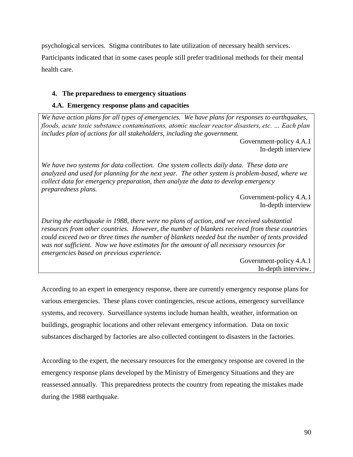psychological services. Stigma contributes to late utilization of necessary health services. Participants indicated that in some cases people still prefer traditional methods for their mental health care.

## **4. The preparedness to emergency situations**

## **4.A. Emergency response plans and capacities**

*We have action plans for all types of emergencies. We have plans for responses to earthquakes, floods, acute toxic substance contaminations, atomic nuclear reactor disasters, etc. … Each plan includes plan of actions for all stakeholders, including the government.* 

> Government-policy 4.A.1 In-depth interview

*We have two systems for data collection. One system collects daily data. These data are analyzed and used for planning for the next year. The other system is problem-based, where we collect data for emergency preparation, then analyze the data to develop emergency preparedness plans.* 

Government-policy 4.A.1 In-depth interview

*During the earthquake in 1988, there were no plans of action, and we received substantial resources from other countries. However, the number of blankets received from these countries could exceed two or three times the number of blankets needed but the number of tents provided was not sufficient. Now we have estimates for the amount of all necessary resources for emergencies based on previous experience.* 

> Government-policy 4.A.1 In-depth interview.

According to an expert in emergency response, there are currently emergency response plans for various emergencies. These plans cover contingencies, rescue actions, emergency surveillance systems, and recovery. Surveillance systems include human health, weather, information on buildings, geographic locations and other relevant emergency information. Data on toxic substances discharged by factories are also collected contingent to disasters in the factories.

According to the expert, the necessary resources for the emergency response are covered in the emergency response plans developed by the Ministry of Emergency Situations and they are reassessed annually. This preparedness protects the country from repeating the mistakes made during the 1988 earthquake.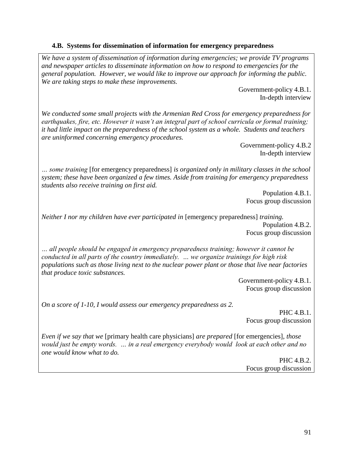### **4.B. Systems for dissemination of information for emergency preparedness**

*We have a system of dissemination of information during emergencies; we provide TV programs and newspaper articles to disseminate information on how to respond to emergencies for the general population. However, we would like to improve our approach for informing the public. We are taking steps to make these improvements.* 

> Government-policy 4.B.1. In-depth interview

*We conducted some small projects with the Armenian Red Cross for emergency preparedness for earthquakes, fire, etc. However it wasn't an integral part of school curricula or formal training; it had little impact on the preparedness of the school system as a whole. Students and teachers are uninformed concerning emergency procedures.*

> Government-policy 4.B.2 In-depth interview

*… some training* [for emergency preparedness] *is organized only in military classes in the school system; these have been organized a few times. Aside from training for emergency preparedness students also receive training on first aid.* 

Population 4.B.1. Focus group discussion

*Neither I nor my children have ever participated in [emergency preparedness] training.* Population 4.B.2. Focus group discussion

*… all people should be engaged in emergency preparedness training; however it cannot be conducted in all parts of the country immediately. … we organize trainings for high risk populations such as those living next to the nuclear power plant or those that live near factories that produce toxic substances.* 

> Government-policy 4.B.1. Focus group discussion

*On a score of 1-10, I would assess our emergency preparedness as 2.* 

PHC 4.B.1. Focus group discussion

*Even if we say that we* [primary health care physicians] *are prepared* [for emergencies]*, those would just be empty words. … in a real emergency everybody would look at each other and no one would know what to do.* 

> PHC 4.B.2. Focus group discussion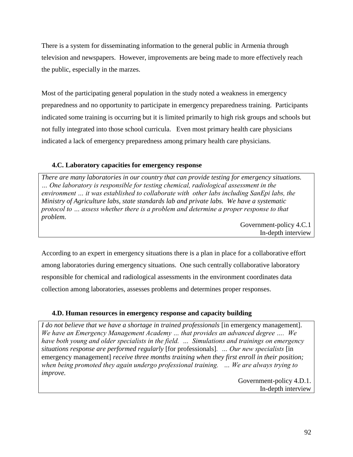There is a system for disseminating information to the general public in Armenia through television and newspapers. However, improvements are being made to more effectively reach the public, especially in the marzes.

Most of the participating general population in the study noted a weakness in emergency preparedness and no opportunity to participate in emergency preparedness training. Participants indicated some training is occurring but it is limited primarily to high risk groups and schools but not fully integrated into those school curricula. Even most primary health care physicians indicated a lack of emergency preparedness among primary health care physicians.

## **4.C. Laboratory capacities for emergency response**

*There are many laboratories in our country that can provide testing for emergency situations. … One laboratory is responsible for testing chemical, radiological assessment in the environment … it was established to collaborate with other labs including SanEpi labs, the Ministry of Agriculture labs, state standards lab and private labs. We have a systematic protocol to … assess whether there is a problem and determine a proper response to that problem.* 

Government-policy 4.C.1 In-depth interview

According to an expert in emergency situations there is a plan in place for a collaborative effort among laboratories during emergency situations. One such centrally collaborative laboratory responsible for chemical and radiological assessments in the environment coordinates data collection among laboratories, assesses problems and determines proper responses.

## **4.D. Human resources in emergency response and capacity building**

*I do not believe that we have a shortage in trained professionals* [in emergency management]. *We have an Emergency Management Academy … that provides an advanced degree …. We have both young and older specialists in the field. … Simulations and trainings on emergency situations response are performed regularly* [for professionals]*. … Our new specialists* [in emergency management] *receive three months training when they first enroll in their position; when being promoted they again undergo professional training. … We are always trying to improve.* 

> Government-policy 4.D.1. In-depth interview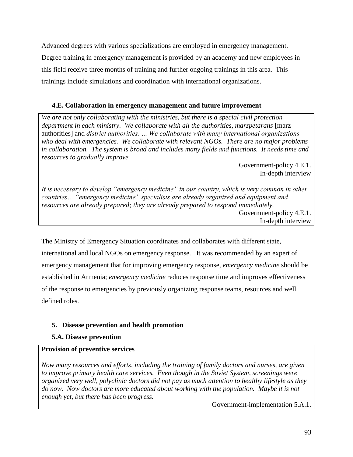Advanced degrees with various specializations are employed in emergency management. Degree training in emergency management is provided by an academy and new employees in this field receive three months of training and further ongoing trainings in this area. This trainings include simulations and coordination with international organizations.

## **4.E. Collaboration in emergency management and future improvement**

*We are not only collaborating with the ministries, but there is a special civil protection department in each ministry. We collaborate with all the authorities, marzpetarans* [marz authorities] and *district authorities. … We collaborate with many international organizations who deal with emergencies. We collaborate with relevant NGOs. There are no major problems in collaboration. The system is broad and includes many fields and functions. It needs time and resources to gradually improve.* 

> Government-policy 4.E.1. In-depth interview

*It is necessary to develop "emergency medicine" in our country, which is very common in other countries… "emergency medicine" specialists are already organized and equipment and resources are already prepared; they are already prepared to respond immediately.*  Government-policy 4.E.1. In-depth interview

The Ministry of Emergency Situation coordinates and collaborates with different state, international and local NGOs on emergency response. It was recommended by an expert of emergency management that for improving emergency response, *emergency medicine* should be established in Armenia; *emergency medicine* reduces response time and improves effectiveness of the response to emergencies by previously organizing response teams, resources and well defined roles.

## **5. Disease prevention and health promotion**

## **5.A. Disease prevention**

## **Provision of preventive services**

*Now many resources and efforts, including the training of family doctors and nurses, are given to improve primary health care services. Even though in the Soviet System, screenings were organized very well, polyclinic doctors did not pay as much attention to healthy lifestyle as they do now. Now doctors are more educated about working with the population. Maybe it is not enough yet, but there has been progress.*

Government-implementation 5.A.1.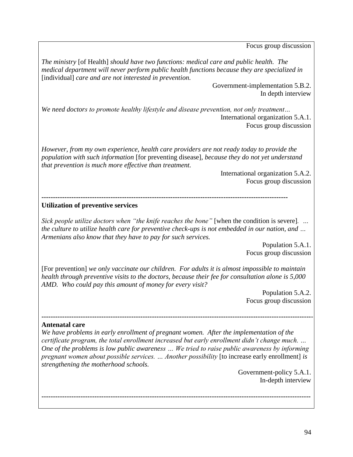Focus group discussion

*The ministry* [of Health] *should have two functions: medical care and public health. The medical department will never perform public health functions because they are specialized in*  [individual] *care and are not interested in prevention.*

> Government-implementation 5.B.2. In depth interview

*We need doctors to promote healthy lifestyle and disease prevention, not only treatment…* International organization 5.A.1. Focus group discussion

*However, from my own experience, health care providers are not ready today to provide the population with such information* [for preventing disease]*, because they do not yet understand that prevention is much more effective than treatment.* 

> International organization 5.A.2. Focus group discussion

**-----------------------------------------------------------------------------------------------------------**

### **Utilization of preventive services**

*Sick people utilize doctors when "the knife reaches the bone"* [when the condition is severe]*. … the culture to utilize health care for preventive check-ups is not embedded in our nation, and … Armenians also know that they have to pay for such services.*

> Population 5.A.1. Focus group discussion

[For prevention] *we only vaccinate our children. For adults it is almost impossible to maintain health through preventive visits to the doctors, because their fee for consultation alone is 5,000 AMD. Who could pay this amount of money for every visit?* 

> Population 5.A.2. Focus group discussion

#### **Antenatal care**

*We have problems in early enrollment of pregnant women. After the implementation of the certificate program, the total enrollment increased but early enrollment didn't change much. … One of the problems is low public awareness … We tried to raise public awareness by informing pregnant women about possible services. … Another possibility* [to increase early enrollment] *is strengthening the motherhood schools.* 

**---------------------------------------------------------------------------------------------------------------------**

**---------------------------------------------------------------------------------------------------------------------**-

Government-policy 5.A.1. In-depth interview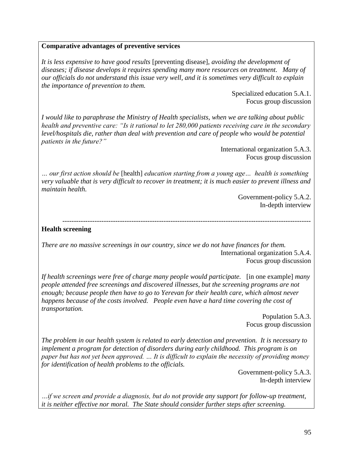#### **Comparative advantages of preventive services**

*It is less expensive to have good results* [preventing disease], *avoiding the development of diseases; if disease develops it requires spending many more resources on treatment. Many of our officials do not understand this issue very well, and it is sometimes very difficult to explain the importance of prevention to them.* 

> Specialized education 5.A.1. Focus group discussion

*I would like to paraphrase the Ministry of Health specialists, when we are talking about public health and preventive care: "Is it rational to let 280,000 patients receiving care in the secondary level/hospitals die, rather than deal with prevention and care of people who would be potential patients in the future?"*

> International organization 5.A.3. Focus group discussion

*… our first action should be* [health] *education starting from a young age… health is something very valuable that is very difficult to recover in treatment; it is much easier to prevent illness and maintain health.* 

> Government-policy 5.A.2. In-depth interview

#### ------------------------------------------------------------------------------------------------------------ **Health screening**

*There are no massive screenings in our country, since we do not have finances for them.* International organization 5.A.4. Focus group discussion

*If health screenings were free of charge many people would participate.* [in one example] *many people attended free screenings and discovered illnesses, but the screening programs are not enough; because people then have to go to Yerevan for their health care, which almost never happens because of the costs involved. People even have a hard time covering the cost of transportation.* 

> Population 5.A.3. Focus group discussion

*The problem in our health system is related to early detection and prevention. It is necessary to implement a program for detection of disorders during early childhood. This program is on paper but has not yet been approved. … It is difficult to explain the necessity of providing money for identification of health problems to the officials.*

> Government-policy 5.A.3. In-depth interview

*…if we screen and provide a diagnosis, but do not provide any support for follow-up treatment, it is neither effective nor moral. The State should consider further steps after screening.*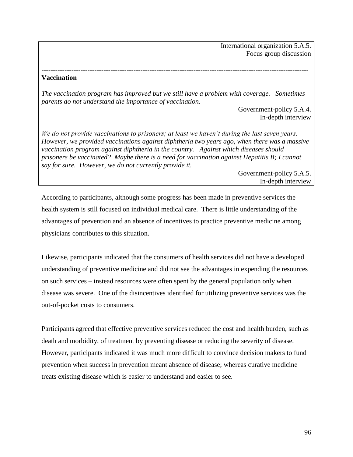International organization 5.A.5. Focus group discussion

#### **Vaccination**

*The vaccination program has improved but we still have a problem with coverage. Sometimes parents do not understand the importance of vaccination.* 

*--------------------------------------------------------------------------------------------------------------------*

Government-policy 5.A.4. In-depth interview

*We do not provide vaccinations to prisoners; at least we haven't during the last seven years. However, we provided vaccinations against diphtheria two years ago, when there was a massive vaccination program against diphtheria in the country. Against which diseases should prisoners be vaccinated? Maybe there is a need for vaccination against Hepatitis B; I cannot say for sure. However, we do not currently provide it.* 

> Government-policy 5.A.5. In-depth interview

According to participants, although some progress has been made in preventive services the health system is still focused on individual medical care. There is little understanding of the advantages of prevention and an absence of incentives to practice preventive medicine among physicians contributes to this situation.

Likewise, participants indicated that the consumers of health services did not have a developed understanding of preventive medicine and did not see the advantages in expending the resources on such services – instead resources were often spent by the general population only when disease was severe. One of the disincentives identified for utilizing preventive services was the out-of-pocket costs to consumers.

Participants agreed that effective preventive services reduced the cost and health burden, such as death and morbidity, of treatment by preventing disease or reducing the severity of disease. However, participants indicated it was much more difficult to convince decision makers to fund prevention when success in prevention meant absence of disease; whereas curative medicine treats existing disease which is easier to understand and easier to see.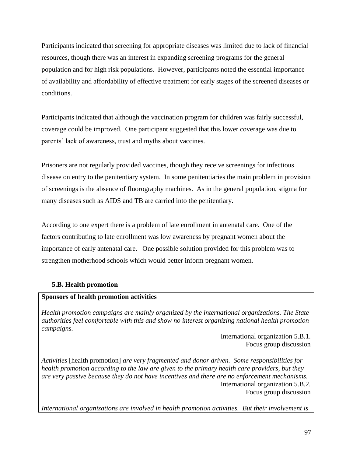Participants indicated that screening for appropriate diseases was limited due to lack of financial resources, though there was an interest in expanding screening programs for the general population and for high risk populations. However, participants noted the essential importance of availability and affordability of effective treatment for early stages of the screened diseases or conditions.

Participants indicated that although the vaccination program for children was fairly successful, coverage could be improved. One participant suggested that this lower coverage was due to parents' lack of awareness, trust and myths about vaccines.

Prisoners are not regularly provided vaccines, though they receive screenings for infectious disease on entry to the penitentiary system. In some penitentiaries the main problem in provision of screenings is the absence of fluorography machines. As in the general population, stigma for many diseases such as AIDS and TB are carried into the penitentiary.

According to one expert there is a problem of late enrollment in antenatal care. One of the factors contributing to late enrollment was low awareness by pregnant women about the importance of early antenatal care. One possible solution provided for this problem was to strengthen motherhood schools which would better inform pregnant women.

## **5.B. Health promotion**

## **Sponsors of health promotion activities**

*Health promotion campaigns are mainly organized by the international organizations. The State authorities feel comfortable with this and show no interest organizing national health promotion campaigns.*

> International organization 5.B.1. Focus group discussion

*Activities* [health promotion] *are very fragmented and donor driven. Some responsibilities for health promotion according to the law are given to the primary health care providers, but they are very passive because they do not have incentives and there are no enforcement mechanisms.* International organization 5.B.2. Focus group discussion

*International organizations are involved in health promotion activities. But their involvement is*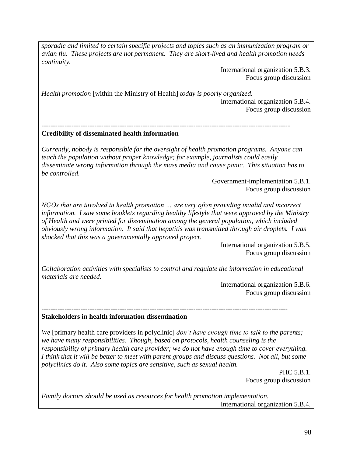*sporadic and limited to certain specific projects and topics such as an immunization program or avian flu. These projects are not permanent. They are short-lived and health promotion needs continuity.* 

> International organization 5.B.3. Focus group discussion

*Health promotion* [within the Ministry of Health] *today is poorly organized.* International organization 5.B.4. Focus group discussion

#### *------------------------------------------------------------------------------------------------------------* **Credibility of disseminated health information**

*Currently, nobody is responsible for the oversight of health promotion programs. Anyone can teach the population without proper knowledge; for example, journalists could easily disseminate wrong information through the mass media and cause panic. This situation has to be controlled.* 

> Government-implementation 5.B.1. Focus group discussion

*NGOs that are involved in health promotion … are very often providing invalid and incorrect information. I saw some booklets regarding healthy lifestyle that were approved by the Ministry of Health and were printed for dissemination among the general population, which included obviously wrong information. It said that hepatitis was transmitted through air droplets. I was shocked that this was a governmentally approved project.*

> International organization 5.B.5. Focus group discussion

*Collaboration activities with specialists to control and regulate the information in educational materials are needed.*

> International organization 5.B.6. Focus group discussion

#### *-----------------------------------------------------------------------------------------------------------* **Stakeholders in health information dissemination**

*We* [primary health care providers in polyclinic] *don't have enough time to talk to the parents; we have many responsibilities. Though, based on protocols, health counseling is the responsibility of primary health care provider; we do not have enough time to cover everything. I think that it will be better to meet with parent groups and discuss questions. Not all, but some polyclinics do it. Also some topics are sensitive, such as sexual health.*

> PHC 5.B.1. Focus group discussion

*Family doctors should be used as resources for health promotion implementation.*  International organization 5.B.4.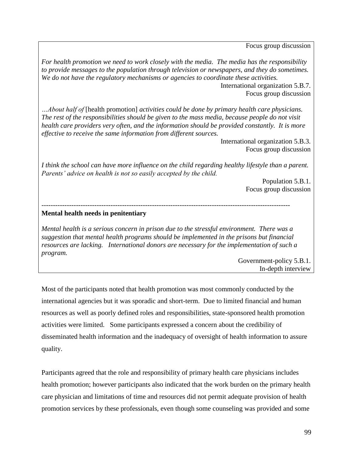Focus group discussion

*For health promotion we need to work closely with the media. The media has the responsibility to provide messages to the population through television or newspapers, and they do sometimes. We do not have the regulatory mechanisms or agencies to coordinate these activities.* 

International organization 5.B.7. Focus group discussion

*…About half of* [health promotion] *activities could be done by primary health care physicians. The rest of the responsibilities should be given to the mass media, because people do not visit health care providers very often, and the information should be provided constantly. It is more effective to receive the same information from different sources.* 

> International organization 5.B.3. Focus group discussion

*I think the school can have more influence on the child regarding healthy lifestyle than a parent. Parents' advice on health is not so easily accepted by the child.* 

> Population 5.B.1. Focus group discussion

### *------------------------------------------------------------------------------------------------------------*

#### **Mental health needs in penitentiary**

*Mental health is a serious concern in prison due to the stressful environment. There was a suggestion that mental health programs should be implemented in the prisons but financial resources are lacking. International donors are necessary for the implementation of such a program.* 

> Government-policy 5.B.1. In-depth interview

Most of the participants noted that health promotion was most commonly conducted by the international agencies but it was sporadic and short-term. Due to limited financial and human resources as well as poorly defined roles and responsibilities, state-sponsored health promotion activities were limited. Some participants expressed a concern about the credibility of disseminated health information and the inadequacy of oversight of health information to assure quality.

Participants agreed that the role and responsibility of primary health care physicians includes health promotion; however participants also indicated that the work burden on the primary health care physician and limitations of time and resources did not permit adequate provision of health promotion services by these professionals, even though some counseling was provided and some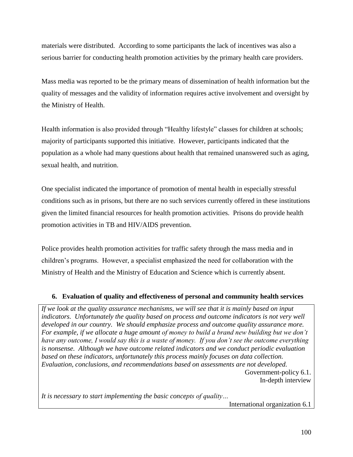materials were distributed. According to some participants the lack of incentives was also a serious barrier for conducting health promotion activities by the primary health care providers.

Mass media was reported to be the primary means of dissemination of health information but the quality of messages and the validity of information requires active involvement and oversight by the Ministry of Health.

Health information is also provided through "Healthy lifestyle" classes for children at schools; majority of participants supported this initiative. However, participants indicated that the population as a whole had many questions about health that remained unanswered such as aging, sexual health, and nutrition.

One specialist indicated the importance of promotion of mental health in especially stressful conditions such as in prisons, but there are no such services currently offered in these institutions given the limited financial resources for health promotion activities. Prisons do provide health promotion activities in TB and HIV/AIDS prevention.

Police provides health promotion activities for traffic safety through the mass media and in children's programs. However, a specialist emphasized the need for collaboration with the Ministry of Health and the Ministry of Education and Science which is currently absent.

## **6. Evaluation of quality and effectiveness of personal and community health services**

If we look at the quality assurance mechanisms, we will see that it is mainly based on input *indicators. Unfortunately the quality based on process and outcome indicators is not very well developed in our country. We should emphasize process and outcome quality assurance more. For example, if we allocate a huge amount of money to build a brand new building but we don't have any outcome, I would say this is a waste of money. If you don't see the outcome everything is nonsense. Although we have outcome related indicators and we conduct periodic evaluation based on these indicators, unfortunately this process mainly focuses on data collection. Evaluation, conclusions, and recommendations based on assessments are not developed.* Government-policy 6.1. In-depth interview

*It is necessary to start implementing the basic concepts of quality…*

International organization 6.1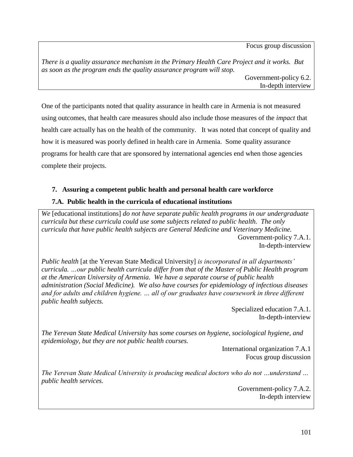Focus group discussion

*There is a quality assurance mechanism in the Primary Health Care Project and it works. But as soon as the program ends the quality assurance program will stop.* Government-policy 6.2.

In-depth interview

One of the participants noted that quality assurance in health care in Armenia is not measured using outcomes, that health care measures should also include those measures of the *impact* that health care actually has on the health of the community. It was noted that concept of quality and how it is measured was poorly defined in health care in Armenia. Some quality assurance programs for health care that are sponsored by international agencies end when those agencies complete their projects.

## **7. Assuring a competent public health and personal health care workforce**

## **7.A. Public health in the curricula of educational institutions**

*We* [educational institutions] *do not have separate public health programs in our undergraduate curricula but these curricula could use some subjects related to public health. The only curricula that have public health subjects are General Medicine and Veterinary Medicine.*  Government-policy 7.A.1. In-depth-interview

*Public health* [at the Yerevan State Medical University] *is incorporated in all departments' curricula. …our public health curricula differ from that of the Master of Public Health program at the American University of Armenia. We have a separate course of public health administration (Social Medicine). We also have courses for epidemiology of infectious diseases and for adults and children hygiene. … all of our graduates have coursework in three different public health subjects.* 

> Specialized education 7.A.1. In-depth-interview

*The Yerevan State Medical University has some courses on hygiene, sociological hygiene, and epidemiology, but they are not public health courses.* 

> International organization 7.A.1 Focus group discussion

*The Yerevan State Medical University is producing medical doctors who do not …understand … public health services.* 

> Government-policy 7.A.2. In-depth interview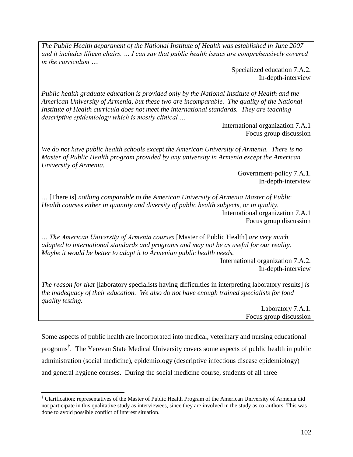*The Public Health department of the National Institute of Health was established in June 2007 and it includes fifteen chairs. … I can say that public health issues are comprehensively covered in the curriculum ….*

> Specialized education 7.A.2. In-depth-interview

*Public health graduate education is provided only by the National Institute of Health and the American University of Armenia, but these two are incomparable. The quality of the National Institute of Health curricula does not meet the international standards. They are teaching descriptive epidemiology which is mostly clinical….* 

> International organization 7.A.1 Focus group discussion

*We do not have public health schools except the American University of Armenia. There is no Master of Public Health program provided by any university in Armenia except the American University of Armenia.*

> Government-policy 7.A.1. In-depth-interview

*…* [There is] *nothing comparable to the American University of Armenia Master of Public Health courses either in quantity and diversity of public health subjects, or in quality.*  International organization 7.A.1 Focus group discussion

*… The American University of Armenia courses* [Master of Public Health] *are very much adapted to international standards and programs and may not be as useful for our reality. Maybe it would be better to adapt it to Armenian public health needs.* 

International organization 7.A.2. In-depth-interview

*The reason for that* [laboratory specialists having difficulties in interpreting laboratory results] *is the inadequacy of their education. We also do not have enough trained specialists for food quality testing.* 

Laboratory 7.A.1. Focus group discussion

Some aspects of public health are incorporated into medical, veterinary and nursing educational programs† . The Yerevan State Medical University covers some aspects of public health in public administration (social medicine), epidemiology (descriptive infectious disease epidemiology) and general hygiene courses. During the social medicine course, students of all three

 $\overline{\phantom{a}}$ † Clarification: representatives of the Master of Public Health Program of the American University of Armenia did not participate in this qualitative study as interviewees, since they are involved in the study as co-authors. This was done to avoid possible conflict of interest situation.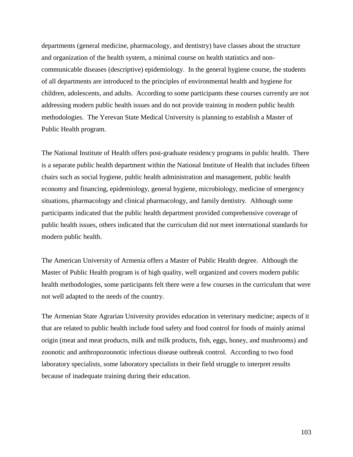departments (general medicine, pharmacology, and dentistry) have classes about the structure and organization of the health system, a minimal course on health statistics and noncommunicable diseases (descriptive) epidemiology. In the general hygiene course, the students of all departments are introduced to the principles of environmental health and hygiene for children, adolescents, and adults. According to some participants these courses currently are not addressing modern public health issues and do not provide training in modern public health methodologies. The Yerevan State Medical University is planning to establish a Master of Public Health program.

The National Institute of Health offers post-graduate residency programs in public health. There is a separate public health department within the National Institute of Health that includes fifteen chairs such as social hygiene, public health administration and management, public health economy and financing, epidemiology, general hygiene, microbiology, medicine of emergency situations, pharmacology and clinical pharmacology, and family dentistry. Although some participants indicated that the public health department provided comprehensive coverage of public health issues, others indicated that the curriculum did not meet international standards for modern public health.

The American University of Armenia offers a Master of Public Health degree. Although the Master of Public Health program is of high quality, well organized and covers modern public health methodologies, some participants felt there were a few courses in the curriculum that were not well adapted to the needs of the country.

The Armenian State Agrarian University provides education in veterinary medicine; aspects of it that are related to public health include food safety and food control for foods of mainly animal origin (meat and meat products, milk and milk products, fish, eggs, honey, and mushrooms) and zoonotic and anthropozoonotic infectious disease outbreak control. According to two food laboratory specialists, some laboratory specialists in their field struggle to interpret results because of inadequate training during their education.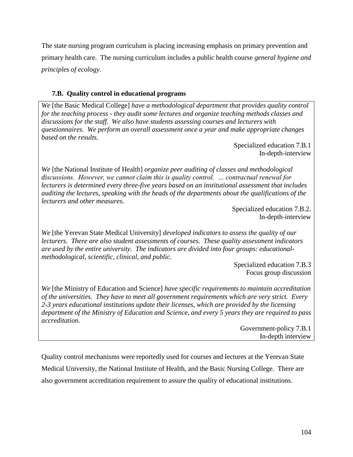The state nursing program curriculum is placing increasing emphasis on primary prevention and primary health care. The nursing curriculum includes a public health course *general hygiene and principles of ecology*.

## **7.B. Quality control in educational programs**

*We* [the Basic Medical College] *have a methodological department that provides quality control for the teaching process - they audit some lectures and organize teaching methods classes and discussions for the staff. We also have students assessing courses and lecturers with questionnaires. We perform an overall assessment once a year and make appropriate changes based on the results.*

Specialized education 7.B.1 In-depth-interview

*We* [the National Institute of Health] *organize peer auditing of classes and methodological discussions. However, we cannot claim this is quality control. … contractual renewal for lecturers is determined every three-five years based on an institutional assessment that includes auditing the lectures, speaking with the heads of the departments about the qualifications of the lecturers and other measures.* 

> Specialized education 7.B.2. In-depth-interview

*We* [the Yerevan State Medical University] *developed indicators to assess the quality of our lecturers. There are also student assessments of courses. These quality assessment indicators are used by the entire university. The indicators are divided into four groups: educationalmethodological, scientific, clinical, and public.*

Specialized education 7.B.3 Focus group discussion

*We* [the Ministry of Education and Science] *have specific requirements to maintain accreditation of the universities. They have to meet all government requirements which are very strict. Every 2-3 years educational institutions update their licenses, which are provided by the licensing department of the Ministry of Education and Science, and every 5 years they are required to pass accreditation.*

Government-policy 7.B.1 In-depth interview

Quality control mechanisms were reportedly used for courses and lectures at the Yerevan State Medical University, the National Institute of Health, and the Basic Nursing College. There are also government accreditation requirement to assure the quality of educational institutions.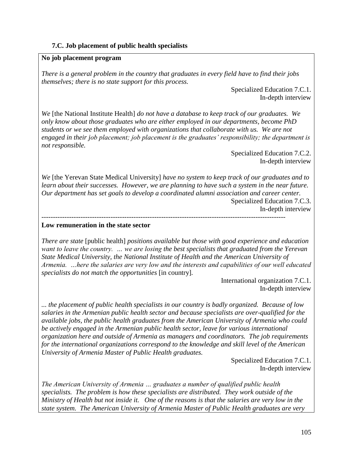## **7.C. Job placement of public health specialists**

## **No job placement program**

*There is a general problem in the country that graduates in every field have to find their jobs themselves; there is no state support for this process.*

> Specialized Education 7.C.1. In-depth interview

*We* [the National Institute Health] *do not have a database to keep track of our graduates. We only know about those graduates who are either employed in our departments, become PhD students or we see them employed with organizations that collaborate with us. We are not engaged in their job placement; job placement is the graduates' responsibility; the department is not responsible.* 

Specialized Education 7.C.2. In-depth interview

*We* [the Yerevan State Medical University] *have no system to keep track of our graduates and to learn about their successes. However, we are planning to have such a system in the near future. Our department has set goals to develop a coordinated alumni association and career center.* 

----------------------------------------------------------------------------------------------------------

Specialized Education 7.C.3. In-depth interview

## **Low remuneration in the state sector**

*There are state* [public health] *positions available but those with good experience and education want to leave the country. … we are losing the best specialists that graduated from the Yerevan State Medical University, the National Institute of Health and the American University of Armenia. …here the salaries are very low and the interests and capabilities of our well educated specialists do not match the opportunities* [in country]*.* 

> International organization 7.C.1. In-depth interview

*... the placement of public health specialists in our country is badly organized. Because of low salaries in the Armenian public health sector and because specialists are over-qualified for the available jobs, the public health graduates from the American University of Armenia who could be actively engaged in the Armenian public health sector, leave for various international organization here and outside of Armenia as managers and coordinators. The job requirements for the international organizations correspond to the knowledge and skill level of the American University of Armenia Master of Public Health graduates.* 

> Specialized Education 7.C.1. In-depth interview

*The American University of Armenia … graduates a number of qualified public health specialists. The problem is how these specialists are distributed. They work outside of the Ministry of Health but not inside it. One of the reasons is that the salaries are very low in the state system. The American University of Armenia Master of Public Health graduates are very*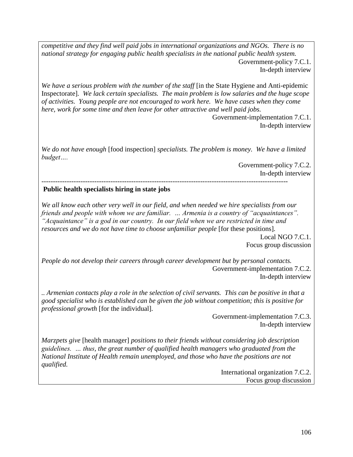*competitive and they find well paid jobs in international organizations and NGOs. There is no national strategy for engaging public health specialists in the national public health system.*  Government-policy 7.C.1. In-depth interview

*We have a serious problem with the number of the staff* [in the State Hygiene and Anti-epidemic Inspectorate]*. We lack certain specialists. The main problem is low salaries and the huge scope of activities. Young people are not encouraged to work here. We have cases when they come here, work for some time and then leave for other attractive and well paid jobs.* 

> Government-implementation 7.C.1. In-depth interview

*We do not have enough* [food inspection] *specialists. The problem is money. We have a limited budget….* 

> Government-policy 7.C.2. In-depth interview

----------------------------------------------------------------------------------------------------------- **Public health specialists hiring in state jobs**

*We all know each other very well in our field, and when needed we hire specialists from our friends and people with whom we are familiar. … Armenia is a country of "acquaintances". "Acquaintance" is a god in our country. In our field when we are restricted in time and resources and we do not have time to choose unfamiliar people* [for these positions].

Local NGO 7.C.1. Focus group discussion

*People do not develop their careers through career development but by personal contacts.* Government-implementation 7.C.2. In-depth interview

*.. Armenian contacts play a role in the selection of civil servants. This can be positive in that a good specialist who is established can be given the job without competition; this is positive for professional growth* [for the individual]*.* 

> Government-implementation 7.C.3. In-depth interview

*Marzpets give* [health manager] *positions to their friends without considering job description guidelines. … thus, the great number of qualified health managers who graduated from the National Institute of Health remain unemployed, and those who have the positions are not qualified.*

> International organization 7.C.2. Focus group discussion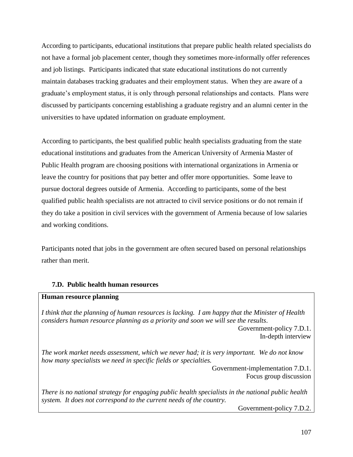According to participants, educational institutions that prepare public health related specialists do not have a formal job placement center, though they sometimes more-informally offer references and job listings. Participants indicated that state educational institutions do not currently maintain databases tracking graduates and their employment status. When they are aware of a graduate's employment status, it is only through personal relationships and contacts. Plans were discussed by participants concerning establishing a graduate registry and an alumni center in the universities to have updated information on graduate employment.

According to participants, the best qualified public health specialists graduating from the state educational institutions and graduates from the American University of Armenia Master of Public Health program are choosing positions with international organizations in Armenia or leave the country for positions that pay better and offer more opportunities. Some leave to pursue doctoral degrees outside of Armenia. According to participants, some of the best qualified public health specialists are not attracted to civil service positions or do not remain if they do take a position in civil services with the government of Armenia because of low salaries and working conditions.

Participants noted that jobs in the government are often secured based on personal relationships rather than merit.

## **7.D. Public health human resources**

## **Human resource planning**

*I think that the planning of human resources is lacking. I am happy that the Minister of Health considers human resource planning as a priority and soon we will see the results*.

Government-policy 7.D.1. In-depth interview

*The work market needs assessment, which we never had; it is very important. We do not know how many specialists we need in specific fields or specialties.* 

> Government-implementation 7.D.1. Focus group discussion

*There is no national strategy for engaging public health specialists in the national public health system. It does not correspond to the current needs of the country.* 

Government-policy 7.D.2.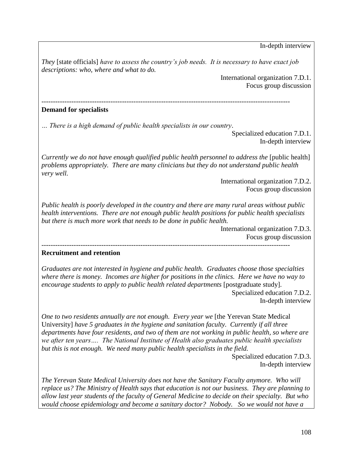In-depth interview

*They* [state officials] *have to assess the country's job needs. It is necessary to have exact job descriptions: who, where and what to do.* 

> International organization 7.D.1. Focus group discussion

------------------------------------------------------------------------------------------------------------

## **Demand for specialists**

*… There is a high demand of public health specialists in our country*.

Specialized education 7.D.1. In-depth interview

*Currently we do not have enough qualified public health personnel to address the* [public health] *problems appropriately. There are many clinicians but they do not understand public health very well.* 

> International organization 7.D.2. Focus group discussion

*Public health is poorly developed in the country and there are many rural areas without public health interventions. There are not enough public health positions for public health specialists but there is much more work that needs to be done in public health.* 

------------------------------------------------------------------------------------------------------------

International organization 7.D.3. Focus group discussion

## **Recruitment and retention**

*Graduates are not interested in hygiene and public health. Graduates choose those specialties where there is money. Incomes are higher for positions in the clinics. Here we have no way to encourage students to apply to public health related departments* [postgraduate study].

Specialized education 7.D.2. In-depth interview

*One to two residents annually are not enough. Every year we* [the Yerevan State Medical] University] *have 5 graduates in the hygiene and sanitation faculty. Currently if all three departments have four residents, and two of them are not working in public health, so where are we after ten years…. The National Institute of Health also graduates public health specialists but this is not enough. We need many public health specialists in the field.* 

> Specialized education 7.D.3. In-depth interview

*The Yerevan State Medical University does not have the Sanitary Faculty anymore. Who will replace us? The Ministry of Health says that education is not our business. They are planning to allow last year students of the faculty of General Medicine to decide on their specialty. But who would choose epidemiology and become a sanitary doctor? Nobody. So we would not have a*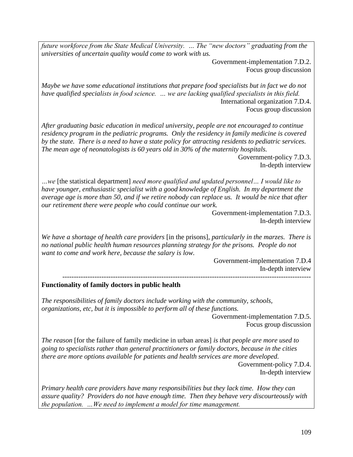*future workforce from the State Medical University. … The "new doctors" graduating from the universities of uncertain quality would come to work with us.*

> Government-implementation 7.D.2. Focus group discussion

*Maybe we have some educational institutions that prepare food specialists but in fact we do not have qualified specialists in food science. … we are lacking qualified specialists in this field.*  International organization 7.D.4. Focus group discussion

*After graduating basic education in medical university, people are not encouraged to continue residency program in the pediatric programs. Only the residency in family medicine is covered by the state. There is a need to have a state policy for attracting residents to pediatric services. The mean age of neonatologists is 60 years old in 30% of the maternity hospitals.* 

Government-policy 7.D.3. In-depth interview

*…we* [the statistical department] *need more qualified and updated personnel… I would like to have younger, enthusiastic specialist with a good knowledge of English. In my department the average age is more than 50, and if we retire nobody can replace us. It would be nice that after our retirement there were people who could continue our work.* 

> Government-implementation 7.D.3. In-depth interview

*We have a shortage of health care providers* [in the prisons]*, particularly in the marzes. There is no national public health human resources planning strategy for the prisons. People do not want to come and work here, because the salary is low.* 

Government-implementation 7.D.4 In-depth interview ------------------------------------------------------------------------------------------------------------

## **Functionality of family doctors in public health**

*The responsibilities of family doctors include working with the community, schools, organizations, etc, but it is impossible to perform all of these functions.* 

> Government-implementation 7.D.5. Focus group discussion

*The reason* [for the failure of family medicine in urban areas] *is that people are more used to going to specialists rather than general practitioners or family doctors, because in the cities there are more options available for patients and health services are more developed.*  Government-policy 7.D.4.

In-depth interview

*Primary health care providers have many responsibilities but they lack time. How they can assure quality? Providers do not have enough time. Then they behave very discourteously with the population. …We need to implement a model for time management.*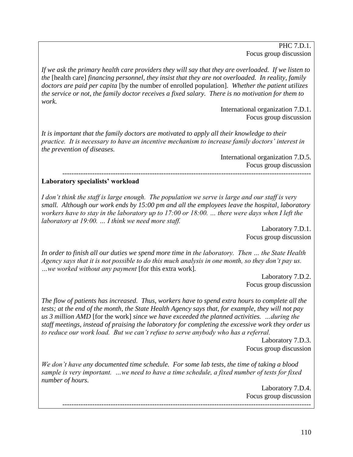PHC 7.D.1. Focus group discussion

*If we ask the primary health care providers they will say that they are overloaded. If we listen to the* [health care] *financing personnel, they insist that they are not overloaded. In reality, family doctors are paid per capita* [by the number of enrolled population]*. Whether the patient utilizes the service or not, the family doctor receives a fixed salary. There is no motivation for them to work.* 

> International organization 7.D.1. Focus group discussion

*It is important that the family doctors are motivated to apply all their knowledge to their practice. It is necessary to have an incentive mechanism to increase family doctors' interest in the prevention of diseases.* 

International organization 7.D.5. Focus group discussion *------------------------------------------------------------------------------------------------------------*

#### **Laboratory specialists' workload**

*I don't think the staff is large enough. The population we serve is large and our staff is very small. Although our work ends by 15:00 pm and all the employees leave the hospital, laboratory workers have to stay in the laboratory up to 17:00 or 18:00. … there were days when I left the laboratory at 19:00. … I think we need more staff.*

> Laboratory 7.D.1. Focus group discussion

*In order to finish all our duties we spend more time in the laboratory. Then … the State Health Agency says that it is not possible to do this much analysis in one month, so they don't pay us. …we worked without any payment* [for this extra work]*.* 

> Laboratory 7.D.2. Focus group discussion

*The flow of patients has increased. Thus, workers have to spend extra hours to complete all the tests; at the end of the month, the State Health Agency says that, for example, they will not pay us 3 million AMD* [for the work] *since we have exceeded the planned activities. …during the staff meetings, instead of praising the laboratory for completing the excessive work they order us to reduce our work load. But we can't refuse to serve anybody who has a referral.* 

Laboratory 7.D.3. Focus group discussion

*We don't have any documented time schedule. For some lab tests, the time of taking a blood sample is very important. …we need to have a time schedule, a fixed number of tests for fixed number of hours.* 

Laboratory 7.D.4. Focus group discussion ------------------------------------------------------------------------------------------------------------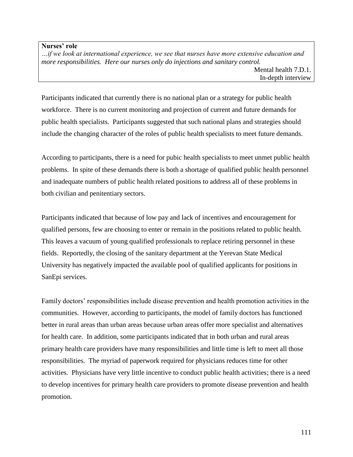#### **Nurses' role**

*…if we look at international experience, we see that nurses have more extensive education and more responsibilities. Here our nurses only do injections and sanitary control.*  Mental health 7.D.1.

Participants indicated that currently there is no national plan or a strategy for public health workforce. There is no current monitoring and projection of current and future demands for public health specialists. Participants suggested that such national plans and strategies should include the changing character of the roles of public health specialists to meet future demands.

According to participants, there is a need for pubic health specialists to meet unmet public health problems. In spite of these demands there is both a shortage of qualified public health personnel and inadequate numbers of public health related positions to address all of these problems in both civilian and penitentiary sectors.

Participants indicated that because of low pay and lack of incentives and encouragement for qualified persons, few are choosing to enter or remain in the positions related to public health. This leaves a vacuum of young qualified professionals to replace retiring personnel in these fields. Reportedly, the closing of the sanitary department at the Yerevan State Medical University has negatively impacted the available pool of qualified applicants for positions in SanEpi services.

Family doctors' responsibilities include disease prevention and health promotion activities in the communities. However, according to participants, the model of family doctors has functioned better in rural areas than urban areas because urban areas offer more specialist and alternatives for health care. In addition, some participants indicated that in both urban and rural areas primary health care providers have many responsibilities and little time is left to meet all those responsibilities. The myriad of paperwork required for physicians reduces time for other activities. Physicians have very little incentive to conduct public health activities; there is a need to develop incentives for primary health care providers to promote disease prevention and health promotion.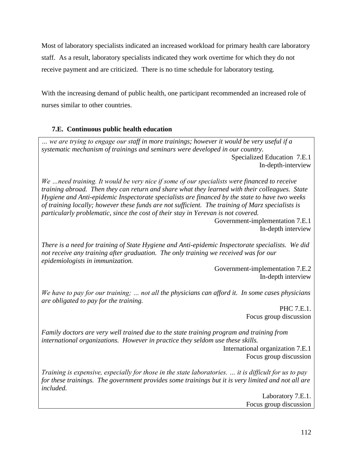Most of laboratory specialists indicated an increased workload for primary health care laboratory staff. As a result, laboratory specialists indicated they work overtime for which they do not receive payment and are criticized. There is no time schedule for laboratory testing.

With the increasing demand of public health, one participant recommended an increased role of nurses similar to other countries.

## **7.E. Continuous public health education**

*… we are trying to engage our staff in more trainings; however it would be very useful if a systematic mechanism of trainings and seminars were developed in our country.* Specialized Education 7.E.1 In-depth-interview

*We …need training. It would be very nice if some of our specialists were financed to receive training abroad. Then they can return and share what they learned with their colleagues. State Hygiene and Anti-epidemic Inspectorate specialists are financed by the state to have two weeks of training locally; however these funds are not sufficient. The training of Marz specialists is particularly problematic, since the cost of their stay in Yerevan is not covered.* 

Government-implementation 7.E.1 In-depth interview

*There is a need for training of State Hygiene and Anti-epidemic Inspectorate specialists. We did not receive any training after graduation. The only training we received was for our epidemiologists in immunization.* 

Government-implementation 7.E.2 In-depth interview

*We have to pay for our training; … not all the physicians can afford it. In some cases physicians are obligated to pay for the training.* 

PHC 7.E.1. Focus group discussion

*Family doctors are very well trained due to the state training program and training from international organizations. However in practice they seldom use these skills.* 

International organization 7.E.1 Focus group discussion

*Training is expensive, especially for those in the state laboratories. … it is difficult for us to pay for these trainings. The government provides some trainings but it is very limited and not all are included.* 

> Laboratory 7.E.1. Focus group discussion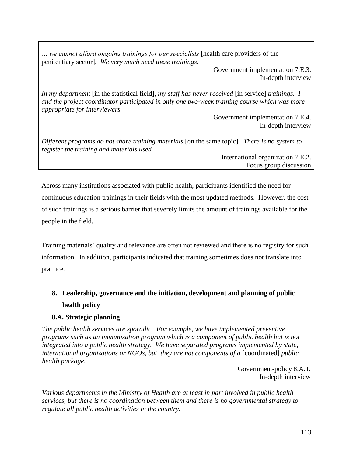*… we cannot afford ongoing trainings for our specialists* [health care providers of the penitentiary sector]*. We very much need these trainings.* 

> Government implementation 7.E.3. In-depth interview

*In my department* [in the statistical field]*, my staff has never received* [in service] *trainings. I and the project coordinator participated in only one two-week training course which was more appropriate for interviewers.* 

Government implementation 7.E.4. In-depth interview

*Different programs do not share training materials* [on the same topic]*. There is no system to register the training and materials used.* 

International organization 7.E.2. Focus group discussion

Across many institutions associated with public health, participants identified the need for continuous education trainings in their fields with the most updated methods. However, the cost of such trainings is a serious barrier that severely limits the amount of trainings available for the people in the field.

Training materials' quality and relevance are often not reviewed and there is no registry for such information. In addition, participants indicated that training sometimes does not translate into practice.

# **8. Leadership, governance and the initiation, development and planning of public health policy**

## **8.A. Strategic planning**

*The public health services are sporadic. For example, we have implemented preventive programs such as an immunization program which is a component of public health but is not integrated into a public health strategy. We have separated programs implemented by state, international organizations or NGOs, but they are not components of a [coordinated] public health package.* 

> Government-policy 8.A.1. In-depth interview

*Various departments in the Ministry of Health are at least in part involved in public health services, but there is no coordination between them and there is no governmental strategy to regulate all public health activities in the country.*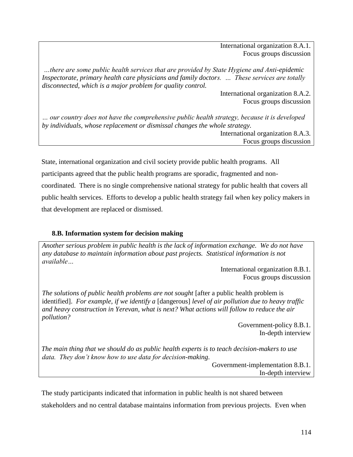International organization 8.A.1. Focus groups discussion

*…there are some public health services that are provided by State Hygiene and Anti-epidemic Inspectorate, primary health care physicians and family doctors. … These services are totally disconnected, which is a major problem for quality control.*

> International organization 8.A.2. Focus groups discussion

*… our country does not have the comprehensive public health strategy, because it is developed by individuals, whose replacement or dismissal changes the whole strategy.* 

International organization 8.A.3. Focus groups discussion

State, international organization and civil society provide public health programs. All participants agreed that the public health programs are sporadic, fragmented and noncoordinated. There is no single comprehensive national strategy for public health that covers all public health services. Efforts to develop a public health strategy fail when key policy makers in that development are replaced or dismissed.

## **8.B. Information system for decision making**

*Another serious problem in public health is the lack of information exchange. We do not have any database to maintain information about past projects. Statistical information is not available…*

> International organization 8.B.1. Focus groups discussion

*The solutions of public health problems are not sought* [after a public health problem is identified]. *For example, if we identify a* [dangerous] *level of air pollution due to heavy traffic and heavy construction in Yerevan, what is next? What actions will follow to reduce the air pollution?* 

Government-policy 8.B.1. In-depth interview

*The main thing that we should do as public health experts is to teach decision-makers to use data. They don't know how to use data for decision-making*.

> Government-implementation 8.B.1. In-depth interview

The study participants indicated that information in public health is not shared between stakeholders and no central database maintains information from previous projects. Even when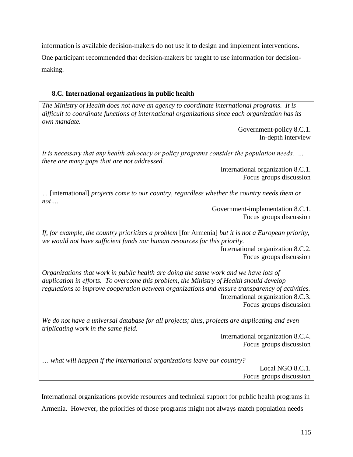information is available decision-makers do not use it to design and implement interventions. One participant recommended that decision-makers be taught to use information for decisionmaking.

## **8.C. International organizations in public health**

*The Ministry of Health does not have an agency to coordinate international programs. It is difficult to coordinate functions of international organizations since each organization has its own mandate.*  Government-policy 8.C.1. In-depth interview *It is necessary that any health advocacy or policy programs consider the population needs. … there are many gaps that are not addressed.*  International organization 8.C.1. Focus groups discussion *…* [international] *projects come to our country, regardless whether the country needs them or not….*  Government-implementation 8.C.1. Focus groups discussion

*If, for example, the country prioritizes a problem* [for Armenia] *but it is not a European priority, we would not have sufficient funds nor human resources for this priority.* 

International organization 8.C.2. Focus groups discussion

*Organizations that work in public health are doing the same work and we have lots of duplication in efforts. To overcome this problem, the Ministry of Health should develop regulations to improve cooperation between organizations and ensure transparency of activities.* International organization 8.C.3. Focus groups discussion

*We do not have a universal database for all projects; thus, projects are duplicating and even triplicating work in the same field.*

> International organization 8.C.4. Focus groups discussion

… *what will happen if the international organizations leave our country?* Local NGO 8.C.1. Focus groups discussion

International organizations provide resources and technical support for public health programs in Armenia. However, the priorities of those programs might not always match population needs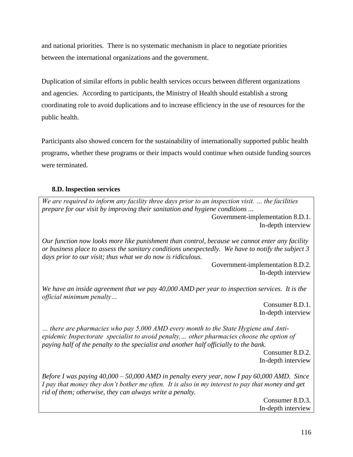and national priorities. There is no systematic mechanism in place to negotiate priorities between the international organizations and the government.

Duplication of similar efforts in public health services occurs between different organizations and agencies. According to participants, the Ministry of Health should establish a strong coordinating role to avoid duplications and to increase efficiency in the use of resources for the public health.

Participants also showed concern for the sustainability of internationally supported public health programs, whether these programs or their impacts would continue when outside funding sources were terminated.

## **8.D. Inspection services**

*We are required to inform any facility three days prior to an inspection visit. … the facilities prepare for our visit by improving their sanitation and hygiene conditions ...* 

Government-implementation 8.D.1. In-depth interview

*Our function now looks more like punishment than control, because we cannot enter any facility or business place to assess the sanitary conditions unexpectedly. We have to notify the subject 3 days prior to our visit; thus what we do now is ridiculous.* 

> Government-implementation 8.D.2. In-depth interview

*We have an inside agreement that we pay 40,000 AMD per year to inspection services. It is the official minimum penalty…* 

> Consumer 8.D.1. In-depth interview

*… there are pharmacies who pay 5,000 AMD every month to the State Hygiene and Antiepidemic Inspectorate specialist to avoid penalty,… other pharmacies choose the option of paying half of the penalty to the specialist and another half officially to the bank.* 

> Consumer 8.D.2. In-depth interview

*Before I was paying 40,000 – 50,000 AMD in penalty every year, now I pay 60,000 AMD. Since I pay that money they don't bother me often. It is also in my interest to pay that money and get rid of them; otherwise, they can always write a penalty.*

Consumer 8.D.3. In-depth interview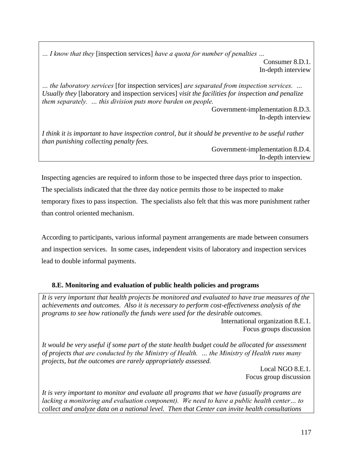*… I know that they* [inspection services] *have a quota for number of penalties …*

Consumer 8.D.1. In-depth interview

*… the laboratory services* [for inspection services] *are separated from inspection services. … Usually they* [laboratory and inspection services] *visit the facilities for inspection and penalize them separately. … this division puts more burden on people.* 

Government-implementation 8.D.3. In-depth interview

*I think it is important to have inspection control, but it should be preventive to be useful rather than punishing collecting penalty fees.* 

Government-implementation 8.D.4. In-depth interview

Inspecting agencies are required to inform those to be inspected three days prior to inspection. The specialists indicated that the three day notice permits those to be inspected to make temporary fixes to pass inspection. The specialists also felt that this was more punishment rather than control oriented mechanism.

According to participants, various informal payment arrangements are made between consumers and inspection services. In some cases, independent visits of laboratory and inspection services lead to double informal payments.

## **8.E. Monitoring and evaluation of public health policies and programs**

*It is very important that health projects be monitored and evaluated to have true measures of the achievements and outcomes. Also it is necessary to perform cost-effectiveness analysis of the programs to see how rationally the funds were used for the desirable outcomes.*  International organization 8.E.1.

Focus groups discussion

*It would be very useful if some part of the state health budget could be allocated for assessment of projects that are conducted by the Ministry of Health. … the Ministry of Health runs many projects, but the outcomes are rarely appropriately assessed.* 

> Local NGO 8.E.1. Focus group discussion

*It is very important to monitor and evaluate all programs that we have (usually programs are lacking a monitoring and evaluation component). We need to have a public health center… to collect and analyze data on a national level. Then that Center can invite health consultations*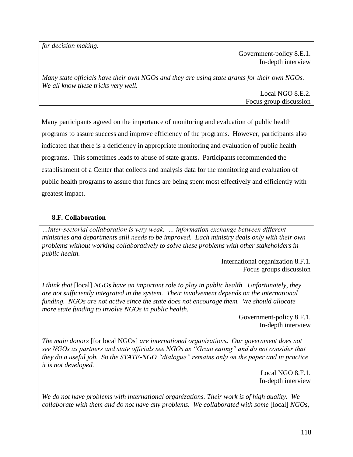*for decision making.*

Government-policy 8.E.1. In-depth interview

*Many state officials have their own NGOs and they are using state grants for their own NGOs. We all know these tricks very well.* 

> Local NGO 8.E.2. Focus group discussion

Many participants agreed on the importance of monitoring and evaluation of public health programs to assure success and improve efficiency of the programs. However, participants also indicated that there is a deficiency in appropriate monitoring and evaluation of public health programs. This sometimes leads to abuse of state grants. Participants recommended the establishment of a Center that collects and analysis data for the monitoring and evaluation of public health programs to assure that funds are being spent most effectively and efficiently with greatest impact.

## **8.F. Collaboration**

*…inter-sectorial collaboration is very weak. … information exchange between different ministries and departments still needs to be improved. Each ministry deals only with their own problems without working collaboratively to solve these problems with other stakeholders in public health.*

> International organization 8.F.1. Focus groups discussion

*I think that* [local] *NGOs have an important role to play in public health. Unfortunately, they are not sufficiently integrated in the system. Their involvement depends on the international funding. NGOs are not active since the state does not encourage them. We should allocate more state funding to involve NGOs in public health.* 

> Government-policy 8.F.1. In-depth interview

*The main donors* [for local NGOs] *are international organizations. Our government does not see NGOs as partners and state officials see NGOs as "Grant eating" and do not consider that they do a useful job. So the STATE-NGO "dialogue" remains only on the paper and in practice it is not developed.* 

> Local NGO 8.F.1. In-depth interview

*We do not have problems with international organizations. Their work is of high quality. We collaborate with them and do not have any problems. We collaborated with some* [local] *NGOs,*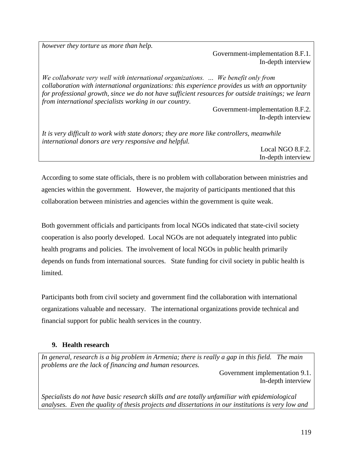*however they torture us more than help.* 

Government-implementation 8.F.1. In-depth interview

*We collaborate very well with international organizations. … We benefit only from collaboration with international organizations: this experience provides us with an opportunity for professional growth, since we do not have sufficient resources for outside trainings; we learn from international specialists working in our country.*

> Government-implementation 8.F.2. In-depth interview

*It is very difficult to work with state donors; they are more like controllers, meanwhile international donors are very responsive and helpful.* 

Local NGO 8.F.2. In-depth interview

According to some state officials, there is no problem with collaboration between ministries and agencies within the government. However, the majority of participants mentioned that this collaboration between ministries and agencies within the government is quite weak.

Both government officials and participants from local NGOs indicated that state-civil society cooperation is also poorly developed. Local NGOs are not adequately integrated into public health programs and policies. The involvement of local NGOs in public health primarily depends on funds from international sources. State funding for civil society in public health is limited.

Participants both from civil society and government find the collaboration with international organizations valuable and necessary. The international organizations provide technical and financial support for public health services in the country.

## **9. Health research**

*In general, research is a big problem in Armenia; there is really a gap in this field. The main problems are the lack of financing and human resources.*

Government implementation 9.1. In-depth interview

*Specialists do not have basic research skills and are totally unfamiliar with epidemiological analyses. Even the quality of thesis projects and dissertations in our institutions is very low and*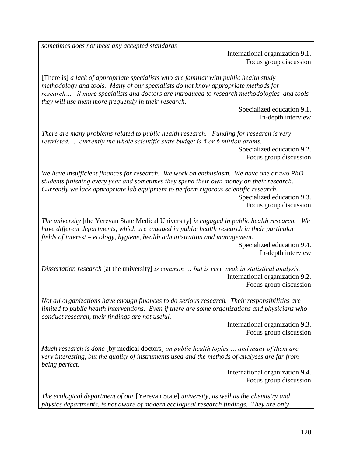*sometimes does not meet any accepted standards*

International organization 9.1. Focus group discussion

[There is] *a lack of appropriate specialists who are familiar with public health study methodology and tools. Many of our specialists do not know appropriate methods for research… if more specialists and doctors are introduced to research methodologies and tools they will use them more frequently in their research.* 

> Specialized education 9.1. In-depth interview

*There are many problems related to public health research. Funding for research is very restricted. …currently the whole scientific state budget is 5 or 6 million drams.*  Specialized education 9.2.

Focus group discussion

*We have insufficient finances for research. We work on enthusiasm. We have one or two PhD students finishing every year and sometimes they spend their own money on their research. Currently we lack appropriate lab equipment to perform rigorous scientific research.* 

Specialized education 9.3. Focus group discussion

*The university* [the Yerevan State Medical University] *is engaged in public health research. We have different departments, which are engaged in public health research in their particular fields of interest – ecology, hygiene, health administration and management.*

Specialized education 9.4. In-depth interview

*Dissertation research* [at the university] *is common … but is very weak in statistical analysis.*  International organization 9.2. Focus group discussion

*Not all organizations have enough finances to do serious research. Their responsibilities are limited to public health interventions. Even if there are some organizations and physicians who conduct research, their findings are not useful.* 

> International organization 9.3. Focus group discussion

*Much research is done* [by medical doctors] *on public health topics … and many of them are very interesting, but the quality of instruments used and the methods of analyses are far from being perfect.* 

> International organization 9.4. Focus group discussion

*The ecological department of our* [Yerevan State] *university, as well as the chemistry and physics departments, is not aware of modern ecological research findings. They are only*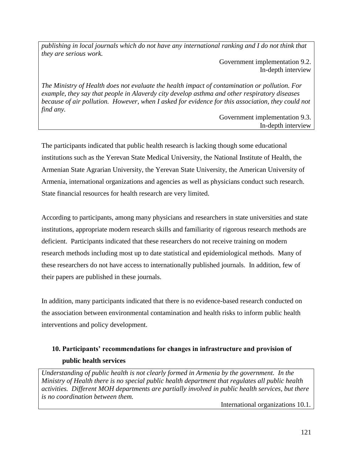*publishing in local journals which do not have any international ranking and I do not think that they are serious work.* 

> Government implementation 9.2. In-depth interview

*The Ministry of Health does not evaluate the health impact of contamination or pollution. For example, they say that people in Alaverdy city develop asthma and other respiratory diseases because of air pollution. However, when I asked for evidence for this association, they could not find any.*

Government implementation 9.3. In-depth interview

The participants indicated that public health research is lacking though some educational institutions such as the Yerevan State Medical University, the National Institute of Health, the Armenian State Agrarian University, the Yerevan State University, the American University of Armenia, international organizations and agencies as well as physicians conduct such research. State financial resources for health research are very limited.

According to participants, among many physicians and researchers in state universities and state institutions, appropriate modern research skills and familiarity of rigorous research methods are deficient. Participants indicated that these researchers do not receive training on modern research methods including most up to date statistical and epidemiological methods. Many of these researchers do not have access to internationally published journals. In addition, few of their papers are published in these journals.

In addition, many participants indicated that there is no evidence-based research conducted on the association between environmental contamination and health risks to inform public health interventions and policy development.

# **10. Participants' recommendations for changes in infrastructure and provision of public health services**

*Understanding of public health is not clearly formed in Armenia by the government. In the Ministry of Health there is no special public health department that regulates all public health activities. Different MOH departments are partially involved in public health services, but there is no coordination between them.*

International organizations 10.1.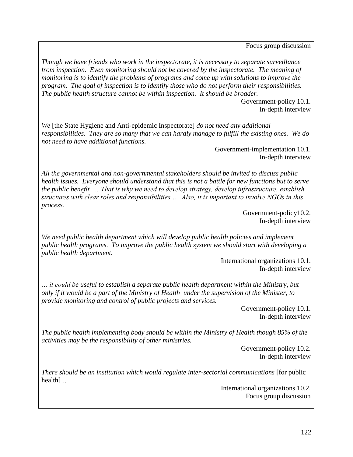Focus group discussion

*Though we have friends who work in the inspectorate, it is necessary to separate surveillance from inspection. Even monitoring should not be covered by the inspectorate. The meaning of monitoring is to identify the problems of programs and come up with solutions to improve the program. The goal of inspection is to identify those who do not perform their responsibilities. The public health structure cannot be within inspection. It should be broader.* 

> Government-policy 10.1. In-depth interview

*We* [the State Hygiene and Anti-epidemic Inspectorate] *do not need any additional responsibilities. They are so many that we can hardly manage to fulfill the existing ones. We do not need to have additional functions.* 

> Government-implementation 10.1. In-depth interview

*All the governmental and non-governmental stakeholders should be invited to discuss public health issues. Everyone should understand that this is not a battle for new functions but to serve the public benefit. … That is why we need to develop strategy, develop infrastructure, establish structures with clear roles and responsibilities … Also, it is important to involve NGOs in this process.* 

> Government-policy10.2. In-depth interview

*We need public health department which will develop public health policies and implement public health programs. To improve the public health system we should start with developing a public health department.* 

> International organizations 10.1. In-depth interview

*… it could be useful to establish a separate public health department within the Ministry, but only if it would be a part of the Ministry of Health under the supervision of the Minister, to provide monitoring and control of public projects and services.* 

> Government-policy 10.1. In-depth interview

*The public health implementing body should be within the Ministry of Health though 85% of the activities may be the responsibility of other ministries.*

> Government-policy 10.2. In-depth interview

*There should be an institution which would regulate inter-sectorial communications* [for public health]*…*

> International organizations 10.2. Focus group discussion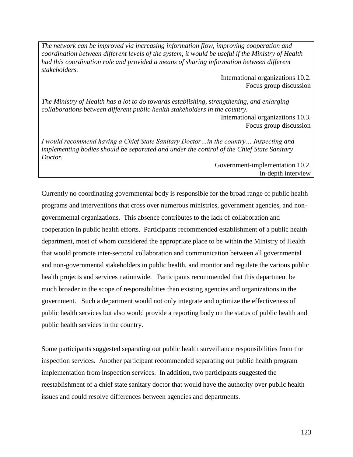*The network can be improved via increasing information flow, improving cooperation and coordination between different levels of the system, it would be useful if the Ministry of Health had this coordination role and provided a means of sharing information between different stakeholders.*

> International organizations 10.2. Focus group discussion

*The Ministry of Health has a lot to do towards establishing, strengthening, and enlarging collaborations between different public health stakeholders in the country.*

> International organizations 10.3. Focus group discussion

*I would recommend having a Chief State Sanitary Doctor…in the country… Inspecting and implementing bodies should be separated and under the control of the Chief State Sanitary Doctor.*

> Government-implementation 10.2. In-depth interview

Currently no coordinating governmental body is responsible for the broad range of public health programs and interventions that cross over numerous ministries, government agencies, and nongovernmental organizations. This absence contributes to the lack of collaboration and cooperation in public health efforts. Participants recommended establishment of a public health department, most of whom considered the appropriate place to be within the Ministry of Health that would promote inter-sectoral collaboration and communication between all governmental and non-governmental stakeholders in public health, and monitor and regulate the various public health projects and services nationwide. Participants recommended that this department be much broader in the scope of responsibilities than existing agencies and organizations in the government. Such a department would not only integrate and optimize the effectiveness of public health services but also would provide a reporting body on the status of public health and public health services in the country.

Some participants suggested separating out public health surveillance responsibilities from the inspection services. Another participant recommended separating out public health program implementation from inspection services. In addition, two participants suggested the reestablishment of a chief state sanitary doctor that would have the authority over public health issues and could resolve differences between agencies and departments.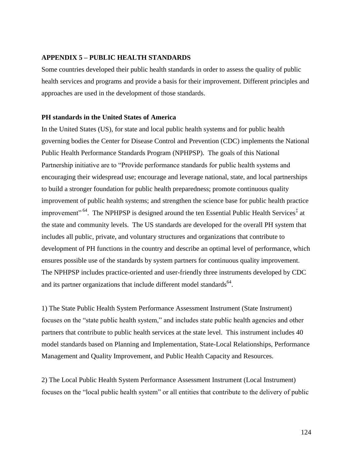## **APPENDIX 5 – PUBLIC HEALTH STANDARDS**

Some countries developed their public health standards in order to assess the quality of public health services and programs and provide a basis for their improvement. Different principles and approaches are used in the development of those standards.

#### **PH standards in the United States of America**

In the United States (US), for state and local public health systems and for public health governing bodies the Center for Disease Control and Prevention (CDC) implements the National Public Health Performance Standards Program (NPHPSP). The goals of this National Partnership initiative are to "Provide performance standards for public health systems and encouraging their widespread use; encourage and leverage national, state, and local partnerships to build a stronger foundation for public health preparedness; promote continuous quality improvement of public health systems; and strengthen the science base for public health practice improvement"<sup>64</sup>. The NPHPSP is designed around the ten Essential Public Health Services<sup>‡</sup> at the state and community levels. The US standards are developed for the overall PH system that includes all public, private, and voluntary structures and organizations that contribute to development of PH functions in the country and describe an optimal level of performance, which ensures possible use of the standards by system partners for continuous quality improvement. The NPHPSP includes practice-oriented and user-friendly three instruments developed by CDC and its partner organizations that include different model standards<sup>64</sup>.

1) The State Public Health System Performance Assessment Instrument (State Instrument) focuses on the "state public health system," and includes state public health agencies and other partners that contribute to public health services at the state level. This instrument includes 40 model standards based on Planning and Implementation, State-Local Relationships, Performance Management and Quality Improvement, and Public Health Capacity and Resources.

2) The Local Public Health System Performance Assessment Instrument (Local Instrument) focuses on the "local public health system" or all entities that contribute to the delivery of public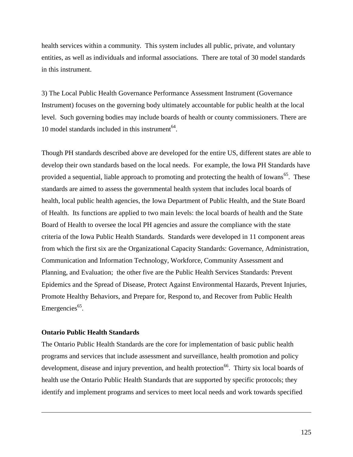health services within a community. This system includes all public, private, and voluntary entities, as well as individuals and informal associations. There are total of 30 model standards in this instrument.

3) The Local Public Health Governance Performance Assessment Instrument (Governance Instrument) focuses on the governing body ultimately accountable for public health at the local level. Such governing bodies may include boards of health or county commissioners. There are 10 model standards included in this instrument $^{64}$ .

Though PH standards described above are developed for the entire US, different states are able to develop their own standards based on the local needs. For example, the Iowa PH Standards have provided a sequential, liable approach to promoting and protecting the health of Iowans<sup>65</sup>. These standards are aimed to assess the governmental health system that includes local boards of health, local public health agencies, the Iowa Department of Public Health, and the State Board of Health. Its functions are applied to two main levels: the local boards of health and the State Board of Health to oversee the local PH agencies and assure the compliance with the state criteria of the Iowa Public Health Standards. Standards were developed in 11 component areas from which the first six are the Organizational Capacity Standards: Governance, Administration, Communication and Information Technology, Workforce, Community Assessment and Planning, and Evaluation; the other five are the Public Health Services Standards: Prevent Epidemics and the Spread of Disease, Protect Against Environmental Hazards, Prevent Injuries, Promote Healthy Behaviors, and Prepare for, Respond to, and Recover from Public Health Emergencies<sup>65</sup>.

#### **Ontario Public Health Standards**

l

The Ontario Public Health Standards are the core for implementation of basic public health programs and services that include assessment and surveillance, health promotion and policy development, disease and injury prevention, and health protection<sup>66</sup>. Thirty six local boards of health use the Ontario Public Health Standards that are supported by specific protocols; they identify and implement programs and services to meet local needs and work towards specified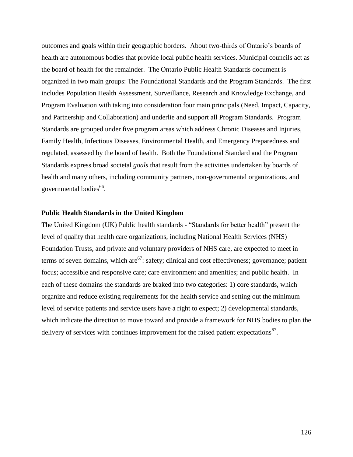outcomes and goals within their geographic borders. About two-thirds of Ontario's boards of health are autonomous bodies that provide local public health services. Municipal councils act as the board of health for the remainder. The Ontario Public Health Standards document is organized in two main groups: The Foundational Standards and the Program Standards. The first includes Population Health Assessment, Surveillance, Research and Knowledge Exchange, and Program Evaluation with taking into consideration four main principals (Need, Impact, Capacity, and Partnership and Collaboration) and underlie and support all Program Standards. Program Standards are grouped under five program areas which address Chronic Diseases and Injuries, Family Health, Infectious Diseases, Environmental Health, and Emergency Preparedness and regulated, assessed by the board of health. Both the Foundational Standard and the Program Standards express broad societal *goals* that result from the activities undertaken by boards of health and many others, including community partners, non-governmental organizations, and governmental bodies<sup>66</sup>.

#### **Public Health Standards in the United Kingdom**

The United Kingdom (UK) Public health standards - "Standards for better health" present the level of quality that health care organizations, including National Health Services (NHS) Foundation Trusts, and private and voluntary providers of NHS care, are expected to meet in terms of seven domains, which are  $67$ : safety; clinical and cost effectiveness; governance; patient focus; accessible and responsive care; care environment and amenities; and public health. In each of these domains the standards are braked into two categories: 1) core standards, which organize and reduce existing requirements for the health service and setting out the minimum level of service patients and service users have a right to expect; 2) developmental standards, which indicate the direction to move toward and provide a framework for NHS bodies to plan the delivery of services with continues improvement for the raised patient expectations<sup>67</sup>.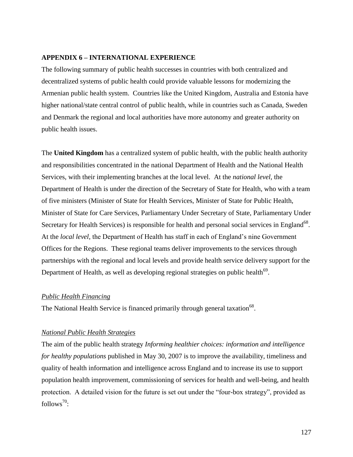## **APPENDIX 6 – INTERNATIONAL EXPERIENCE**

The following summary of public health successes in countries with both centralized and decentralized systems of public health could provide valuable lessons for modernizing the Armenian public health system. Countries like the United Kingdom, Australia and Estonia have higher national/state central control of public health, while in countries such as Canada, Sweden and Denmark the regional and local authorities have more autonomy and greater authority on public health issues.

The **United Kingdom** has a centralized system of public health, with the public health authority and responsibilities concentrated in the national Department of Health and the National Health Services, with their implementing branches at the local level. At the *national level,* the Department of Health is under the direction of the Secretary of State for Health, who with a team of five ministers (Minister of State for Health Services, Minister of State for Public Health, Minister of State for Care Services, Parliamentary Under Secretary of State, Parliamentary Under Secretary for Health Services) is responsible for health and personal social services in England<sup>68</sup>. At the *local level,* the Department of Health has staff in each of England's nine Government Offices for the Regions. These regional teams deliver improvements to the services through partnerships with the regional and local levels and provide health service delivery support for the Department of Health, as well as developing regional strategies on public health $^{69}$ .

## *Public Health Financing*

The National Health Service is financed primarily through general taxation  $68$ .

## *National Public Health Strategies*

The aim of the public health strategy *Informing healthier choices: information and intelligence for healthy populations* published in May 30, 2007 is to improve the availability, timeliness and quality of health information and intelligence across England and to increase its use to support population health improvement, commissioning of services for health and well-being, and health protection. A detailed vision for the future is set out under the "four-box strategy", provided as follows $^{70}$ :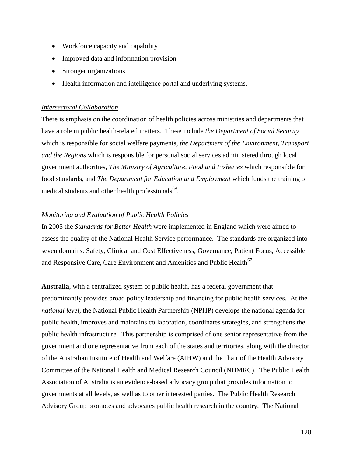- Workforce capacity and capability
- Improved data and information provision
- Stronger organizations
- Health information and intelligence portal and underlying systems.

#### *Intersectoral Collaboration*

There is emphasis on the coordination of health policies across ministries and departments that have a role in public health-related matters. These include *the Department of Social Security* which is responsible for social welfare payments, *the Department of the Environment, Transport and the Regions* which is responsible for personal social services administered through local government authorities, *The Ministry of Agriculture, Food and Fisheries* which responsible for food standards, and *The Department for Education and Employment* which funds the training of medical students and other health professionals<sup>69</sup>.

#### *Monitoring and Evaluation of Public Health Policies*

In 2005 the *Standards for Better Health* were implemented in England which were aimed to assess the quality of the National Health Service performance. The standards are organized into seven domains: Safety, Clinical and Cost Effectiveness, Governance, Patient Focus, Accessible and Responsive Care, Care Environment and Amenities and Public Health<sup>67</sup>.

**Australia**, with a centralized system of public health, has a federal government that predominantly provides broad policy leadership and financing for public health services. At the *national level*, the National Public Health Partnership (NPHP) develops the national agenda for public health, improves and maintains collaboration, coordinates strategies, and strengthens the public health infrastructure. This partnership is comprised of one senior representative from the government and one representative from each of the states and territories, along with the director of the Australian Institute of Health and Welfare (AIHW) and the chair of the Health Advisory Committee of the National Health and Medical Research Council (NHMRC). The Public Health Association of Australia is an evidence-based advocacy group that provides information to governments at all levels, as well as to other interested parties. The Public Health Research Advisory Group promotes and advocates public health research in the country. The National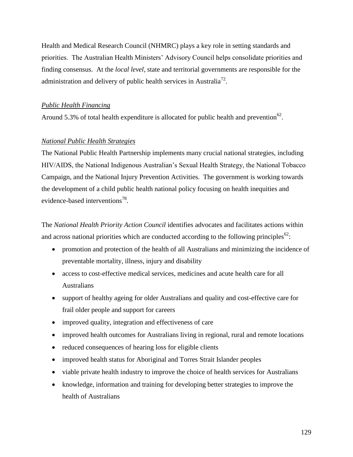Health and Medical Research Council (NHMRC) plays a key role in setting standards and priorities. The Australian Health Ministers' Advisory Council helps consolidate priorities and finding consensus. At the *local level,* state and territorial governments are responsible for the administration and delivery of public health services in Australia<sup>72</sup>.

## *Public Health Financing*

Around 5.3% of total health expenditure is allocated for public health and prevention<sup>62</sup>.

## *National Public Health Strategies*

The National Public Health Partnership implements many crucial national strategies, including HIV/AIDS, the National Indigenous Australian's Sexual Health Strategy, the National Tobacco Campaign, and the National Injury Prevention Activities. The government is working towards the development of a child public health national policy focusing on health inequities and evidence-based interventions<sup>78</sup>.

The *National Health Priority Action Council* identifies advocates and facilitates actions within and across national priorities which are conducted according to the following principles<sup>62</sup>:

- promotion and protection of the health of all Australians and minimizing the incidence of preventable mortality, illness, injury and disability
- access to cost-effective medical services, medicines and acute health care for all Australians
- support of healthy ageing for older Australians and quality and cost-effective care for frail older people and support for careers
- improved quality, integration and effectiveness of care
- improved health outcomes for Australians living in regional, rural and remote locations
- reduced consequences of hearing loss for eligible clients
- improved health status for Aboriginal and Torres Strait Islander peoples
- viable private health industry to improve the choice of health services for Australians
- knowledge, information and training for developing better strategies to improve the health of Australians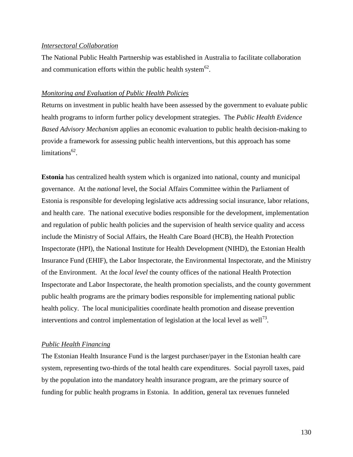#### *Intersectoral Collaboration*

The National Public Health Partnership was established in Australia to facilitate collaboration and communication efforts within the public health system  $62$ .

#### *Monitoring and Evaluation of Public Health Policies*

Returns on investment in public health have been assessed by the government to evaluate public health programs to inform further policy development strategies. The *Public Health Evidence Based Advisory Mechanism* applies an economic evaluation to public health decision-making to provide a framework for assessing public health interventions, but this approach has some  $\text{limitations}^{62}.$ 

**Estonia** has centralized health system which is organized into national, county and municipal governance. At the *national* level, the Social Affairs Committee within the Parliament of Estonia is responsible for developing legislative acts addressing social insurance, labor relations, and health care. The national executive bodies responsible for the development, implementation and regulation of public health policies and the supervision of health service quality and access include the Ministry of Social Affairs, the Health Care Board (HCB), the Health Protection Inspectorate (HPI), the National Institute for Health Development (NIHD), the Estonian Health Insurance Fund (EHIF), the Labor Inspectorate, the Environmental Inspectorate, and the Ministry of the Environment. At the *local level* the county offices of the national Health Protection Inspectorate and Labor Inspectorate, the health promotion specialists, and the county government public health programs are the primary bodies responsible for implementing national public health policy. The local municipalities coordinate health promotion and disease prevention interventions and control implementation of legislation at the local level as well<sup>73</sup>.

#### *Public Health Financing*

The Estonian Health Insurance Fund is the largest purchaser/payer in the Estonian health care system, representing two-thirds of the total health care expenditures. Social payroll taxes, paid by the population into the mandatory health insurance program, are the primary source of funding for public health programs in Estonia. In addition, general tax revenues funneled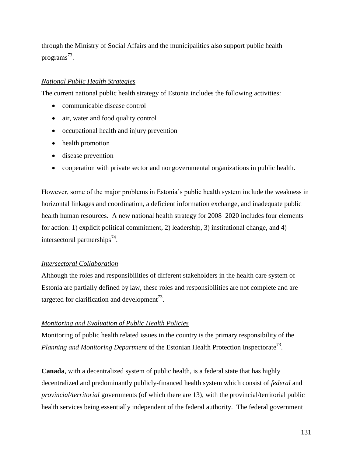through the Ministry of Social Affairs and the municipalities also support public health programs<sup>73</sup>.

## *National Public Health Strategies*

The current national public health strategy of Estonia includes the following activities:

- communicable disease control
- air, water and food quality control
- occupational health and injury prevention
- health promotion
- disease prevention
- cooperation with private sector and nongovernmental organizations in public health.

However, some of the major problems in Estonia's public health system include the weakness in horizontal linkages and coordination, a deficient information exchange, and inadequate public health human resources. A new national health strategy for 2008–2020 includes four elements for action: 1) explicit political commitment, 2) leadership, 3) institutional change, and 4) intersectoral partnerships<sup>74</sup>.

## *Intersectoral Collaboration*

Although the roles and responsibilities of different stakeholders in the health care system of Estonia are partially defined by law, these roles and responsibilities are not complete and are targeted for clarification and development<sup>73</sup>.

## *Monitoring and Evaluation of Public Health Policies*

Monitoring of public health related issues in the country is the primary responsibility of the Planning and Monitoring Department of the Estonian Health Protection Inspectorate<sup>73</sup>.

**Canada**, with a decentralized system of public health, is a federal state that has highly decentralized and predominantly publicly-financed health system which consist of *federal* and *provincial/territorial* governments (of which there are 13), with the provincial/territorial public health services being essentially independent of the federal authority. The federal government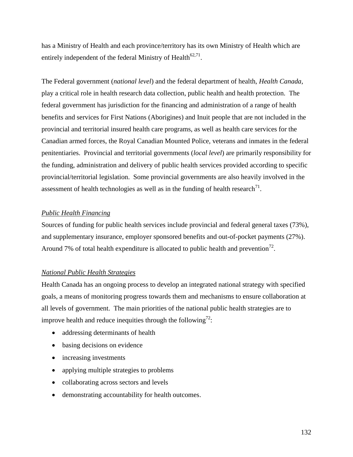has a Ministry of Health and each province/territory has its own Ministry of Health which are entirely independent of the federal Ministry of Health<sup>62,71</sup>.

The Federal government (*national level*) and the federal department of health, *Health Canada*, play a critical role in health research data collection, public health and health protection. The federal government has jurisdiction for the financing and administration of a range of health benefits and services for First Nations (Aborigines) and Inuit people that are not included in the provincial and territorial insured health care programs, as well as health care services for the Canadian armed forces, the Royal Canadian Mounted Police, veterans and inmates in the federal penitentiaries. Provincial and territorial governments (*local level*) are primarily responsibility for the funding, administration and delivery of public health services provided according to specific provincial/territorial legislation. Some provincial governments are also heavily involved in the assessment of health technologies as well as in the funding of health research<sup>71</sup>.

## *Public Health Financing*

Sources of funding for public health services include provincial and federal general taxes (73%), and supplementary insurance, employer sponsored benefits and out-of-pocket payments (27%). Around 7% of total health expenditure is allocated to public health and prevention<sup>72</sup>.

## *National Public Health Strategies*

Health Canada has an ongoing process to develop an integrated national strategy with specified goals, a means of monitoring progress towards them and mechanisms to ensure collaboration at all levels of government. The main priorities of the national public health strategies are to improve health and reduce inequities through the following<sup>72</sup>:

- addressing determinants of health
- basing decisions on evidence
- increasing investments
- applying multiple strategies to problems
- collaborating across sectors and levels
- demonstrating accountability for health outcomes.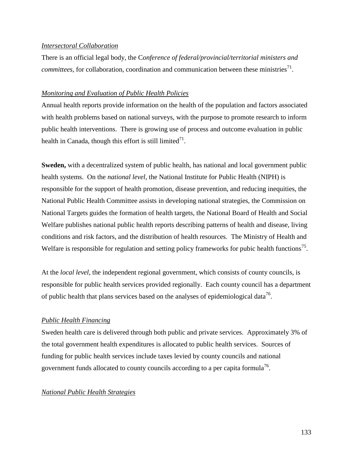## *Intersectoral Collaboration*

There is an official legal body, the C*onference of federal/provincial/territorial ministers and committees,* for collaboration, coordination and communication between these ministries<sup>71</sup>.

## *Monitoring and Evaluation of Public Health Policies*

Annual health reports provide information on the health of the population and factors associated with health problems based on national surveys, with the purpose to promote research to inform public health interventions. There is growing use of process and outcome evaluation in public health in Canada, though this effort is still limited $^{71}$ .

**Sweden,** with a decentralized system of public health, has national and local government public health systems. On the *national level*, the National Institute for Public Health (NIPH) is responsible for the support of health promotion, disease prevention, and reducing inequities, the National Public Health Committee assists in developing national strategies, the Commission on National Targets guides the formation of health targets, the National Board of Health and Social Welfare publishes national public health reports describing patterns of health and disease, living conditions and risk factors, and the distribution of health resources. The Ministry of Health and Welfare is responsible for regulation and setting policy frameworks for pubic health functions<sup>75</sup>.

At the *local level*, the independent regional government, which consists of county councils, is responsible for public health services provided regionally. Each county council has a department of public health that plans services based on the analyses of epidemiological data<sup>76</sup>.

## *Public Health Financing*

Sweden health care is delivered through both public and private services. Approximately 3% of the total government health expenditures is allocated to public health services. Sources of funding for public health services include taxes levied by county councils and national government funds allocated to county councils according to a per capita formula<sup>76</sup>.

## *National Public Health Strategies*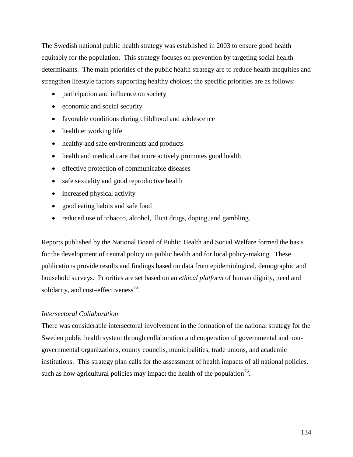The Swedish national public health strategy was established in 2003 to ensure good health equitably for the population. This strategy focuses on prevention by targeting social health determinants. The main priorities of the public health strategy are to reduce health inequities and strengthen lifestyle factors supporting healthy choices; the specific priorities are as follows:

- participation and influence on society
- economic and social security
- favorable conditions during childhood and adolescence
- healthier working life
- healthy and safe environments and products
- health and medical care that more actively promotes good health
- effective protection of communicable diseases
- safe sexuality and good reproductive health
- increased physical activity
- good eating habits and safe food
- reduced use of tobacco, alcohol, illicit drugs, doping, and gambling.

Reports published by the National Board of Public Health and Social Welfare formed the basis for the development of central policy on public health and for local policy-making. These publications provide results and findings based on data from epidemiological, demographic and household surveys. Priorities are set based on an *ethical platform* of human dignity, need and solidarity, and cost–effectiveness $^{75}$ .

## *Intersectoral Collaboration*

There was considerable intersectoral involvement in the formation of the national strategy for the Sweden public health system through collaboration and cooperation of governmental and nongovernmental organizations, county councils, municipalities, trade unions, and academic institutions. This strategy plan calls for the assessment of health impacts of all national policies, such as how agricultural policies may impact the health of the population<sup>76</sup>.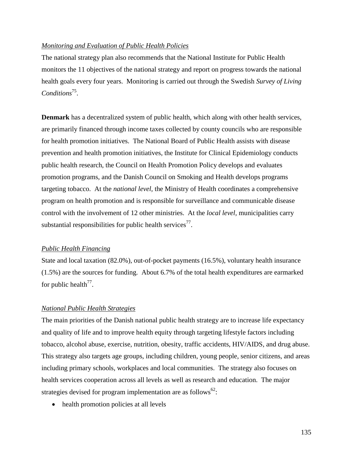## *Monitoring and Evaluation of Public Health Policies*

The national strategy plan also recommends that the National Institute for Public Health monitors the 11 objectives of the national strategy and report on progress towards the national health goals every four years. Monitoring is carried out through the Swedish *Survey of Living*  Conditions<sup>75</sup>.

**Denmark** has a decentralized system of public health, which along with other health services, are primarily financed through income taxes collected by county councils who are responsible for health promotion initiatives. The National Board of Public Health assists with disease prevention and health promotion initiatives, the Institute for Clinical Epidemiology conducts public health research, the Council on Health Promotion Policy develops and evaluates promotion programs, and the Danish Council on Smoking and Health develops programs targeting tobacco. At the *national level,* the Ministry of Health coordinates a comprehensive program on health promotion and is responsible for surveillance and communicable disease control with the involvement of 12 other ministries. At the *local level,* municipalities carry substantial responsibilities for public health services<sup>77</sup>.

## *Public Health Financing*

State and local taxation (82.0%), out-of-pocket payments (16.5%), voluntary health insurance (1.5%) are the sources for funding. About 6.7% of the total health expenditures are earmarked for public health<sup>77</sup>.

## *National Public Health Strategies*

The main priorities of the Danish national public health strategy are to increase life expectancy and quality of life and to improve health equity through targeting lifestyle factors including tobacco, alcohol abuse, exercise, nutrition, obesity, traffic accidents, HIV/AIDS, and drug abuse. This strategy also targets age groups, including children, young people, senior citizens, and areas including primary schools, workplaces and local communities. The strategy also focuses on health services cooperation across all levels as well as research and education. The major strategies devised for program implementation are as follows $^{62}$ :

• health promotion policies at all levels